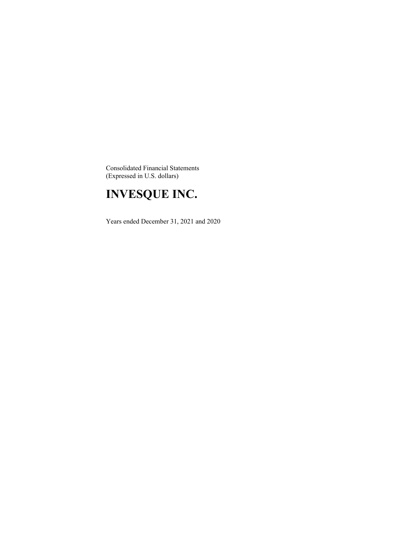Consolidated Financial Statements (Expressed in U.S. dollars)

# **INVESQUE INC.**

Years ended December 31, 2021 and 2020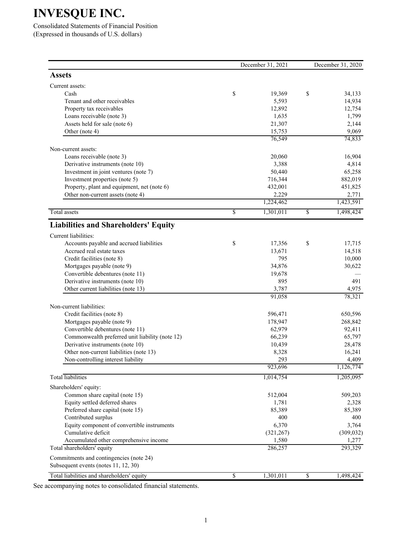Consolidated Statements of Financial Position (Expressed in thousands of U.S. dollars)

|                                                 |                          | December 31, 2021 |                         | December 31, 2020 |
|-------------------------------------------------|--------------------------|-------------------|-------------------------|-------------------|
| <b>Assets</b>                                   |                          |                   |                         |                   |
| Current assets:                                 |                          |                   |                         |                   |
| Cash                                            | \$                       | 19,369            | \$                      | 34,133            |
| Tenant and other receivables                    |                          | 5,593             |                         | 14,934            |
| Property tax receivables                        |                          | 12,892            |                         | 12,754            |
| Loans receivable (note 3)                       |                          | 1,635             |                         | 1,799             |
| Assets held for sale (note 6)                   |                          | 21,307            |                         | 2,144             |
| Other (note 4)                                  |                          | 15,753            |                         | 9,069             |
|                                                 |                          | 76,549            |                         | 74,833            |
| Non-current assets:                             |                          |                   |                         |                   |
| Loans receivable (note 3)                       |                          | 20,060            |                         | 16,904            |
| Derivative instruments (note 10)                |                          | 3,388             |                         | 4,814             |
| Investment in joint ventures (note 7)           |                          | 50,440            |                         | 65,258            |
| Investment properties (note 5)                  |                          | 716,344           |                         | 882,019           |
| Property, plant and equipment, net (note 6)     |                          | 432,001           |                         | 451,825           |
| Other non-current assets (note 4)               |                          | 2,229             |                         | 2,771             |
|                                                 |                          | 1,224,462         |                         | 1,423,591         |
| Total assets                                    | $\overline{\$}$          | 1,301,011         | $\overline{\mathbb{S}}$ | 1,498,424         |
| <b>Liabilities and Shareholders' Equity</b>     |                          |                   |                         |                   |
| Current liabilities:                            |                          |                   |                         |                   |
| Accounts payable and accrued liabilities        | \$                       | 17,356            | \$                      | 17,715            |
| Accrued real estate taxes                       |                          | 13,671            |                         | 14,518            |
| Credit facilities (note 8)                      |                          | 795               |                         | 10,000            |
| Mortgages payable (note 9)                      |                          | 34,876            |                         | 30,622            |
| Convertible debentures (note 11)                |                          | 19,678            |                         |                   |
| Derivative instruments (note 10)                |                          | 895               |                         | 491               |
| Other current liabilities (note 13)             |                          | 3,787             |                         | 4,975             |
|                                                 |                          | 91,058            |                         | 78,321            |
| Non-current liabilities:                        |                          |                   |                         |                   |
| Credit facilities (note 8)                      |                          | 596,471           |                         | 650,596           |
| Mortgages payable (note 9)                      |                          | 178,947           |                         | 268,842           |
| Convertible debentures (note 11)                |                          | 62,979            |                         | 92,411            |
| Commonwealth preferred unit liability (note 12) |                          | 66,239            |                         | 65,797            |
| Derivative instruments (note 10)                |                          | 10,439            |                         | 28,478            |
| Other non-current liabilities (note 13)         |                          | 8,328             |                         | 16,241            |
| Non-controlling interest liability              |                          | 293               |                         | 4,409             |
|                                                 |                          | 923,696           |                         | 1,126,774         |
| <b>Total</b> liabilities                        |                          | 1,014,754         |                         | 1,205,095         |
| Shareholders' equity:                           |                          |                   |                         |                   |
| Common share capital (note 15)                  |                          | 512,004           |                         | 509,203           |
| Equity settled deferred shares                  |                          | 1,781             |                         | 2,328             |
| Preferred share capital (note 15)               |                          | 85,389            |                         | 85,389            |
| Contributed surplus                             |                          | 400               |                         | 400               |
| Equity component of convertible instruments     |                          | 6,370             |                         | 3,764             |
| Cumulative deficit                              |                          | (321, 267)        |                         | (309, 032)        |
| Accumulated other comprehensive income          |                          | 1,580             |                         | 1,277             |
| Total shareholders' equity                      |                          | 286,257           |                         | 293,329           |
| Commitments and contingencies (note 24)         |                          |                   |                         |                   |
| Subsequent events (notes 11, 12, 30)            |                          |                   |                         |                   |
| Total liabilities and shareholders' equity      | $\overline{\mathcal{S}}$ | 1,301,011         | \$                      | 1,498,424         |

See accompanying notes to consolidated financial statements.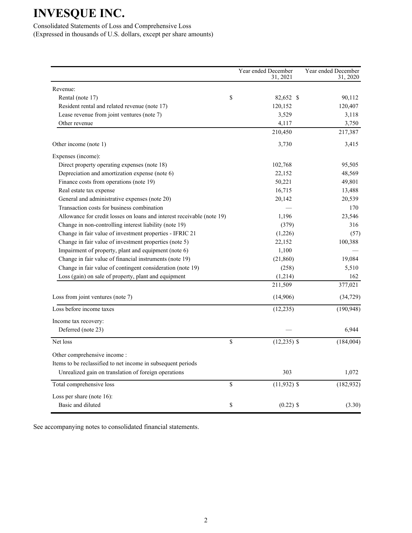Consolidated Statements of Loss and Comprehensive Loss (Expressed in thousands of U.S. dollars, except per share amounts)

|                                                                                                                                                      |             | Year ended December<br>31, 2021 | Year ended December<br>31, 2020 |
|------------------------------------------------------------------------------------------------------------------------------------------------------|-------------|---------------------------------|---------------------------------|
| Revenue:                                                                                                                                             |             |                                 |                                 |
| Rental (note 17)                                                                                                                                     | \$          | 82,652 \$                       | 90,112                          |
| Resident rental and related revenue (note 17)                                                                                                        |             | 120,152                         | 120,407                         |
| Lease revenue from joint ventures (note 7)                                                                                                           |             | 3,529                           | 3,118                           |
| Other revenue                                                                                                                                        |             | 4,117                           | 3,750                           |
|                                                                                                                                                      |             | 210,450                         | 217,387                         |
| Other income (note 1)                                                                                                                                |             | 3,730                           | 3,415                           |
| Expenses (income):                                                                                                                                   |             |                                 |                                 |
| Direct property operating expenses (note 18)                                                                                                         |             | 102,768                         | 95,505                          |
| Depreciation and amortization expense (note 6)                                                                                                       |             | 22,152                          | 48,569                          |
| Finance costs from operations (note 19)                                                                                                              |             | 50,221                          | 49,801                          |
| Real estate tax expense                                                                                                                              |             | 16,715                          | 13,488                          |
| General and administrative expenses (note 20)                                                                                                        |             | 20,142                          | 20,539                          |
| Transaction costs for business combination                                                                                                           |             |                                 | 170                             |
| Allowance for credit losses on loans and interest receivable (note 19)                                                                               |             | 1,196                           | 23,546                          |
| Change in non-controlling interest liability (note 19)                                                                                               |             | (379)                           | 316                             |
| Change in fair value of investment properties - IFRIC 21                                                                                             |             | (1,226)                         | (57)                            |
| Change in fair value of investment properties (note 5)                                                                                               |             | 22,152                          | 100,388                         |
| Impairment of property, plant and equipment (note 6)                                                                                                 |             | 1,100                           |                                 |
| Change in fair value of financial instruments (note 19)                                                                                              |             | (21, 860)                       | 19,084                          |
| Change in fair value of contingent consideration (note 19)                                                                                           |             | (258)                           | 5,510                           |
| Loss (gain) on sale of property, plant and equipment                                                                                                 |             | (1,214)                         | 162                             |
|                                                                                                                                                      |             | 211,509                         | 377,021                         |
| Loss from joint ventures (note 7)                                                                                                                    |             | (14,906)                        | (34, 729)                       |
| Loss before income taxes                                                                                                                             |             | (12, 235)                       | (190, 948)                      |
| Income tax recovery:<br>Deferred (note 23)                                                                                                           |             |                                 | 6,944                           |
| Net loss                                                                                                                                             | $\mathbf S$ | $(12, 235)$ \$                  | (184,004)                       |
| Other comprehensive income :<br>Items to be reclassified to net income in subsequent periods<br>Unrealized gain on translation of foreign operations |             | 303                             | 1,072                           |
| Total comprehensive loss                                                                                                                             | \$          | $(11,932)$ \$                   | (182, 932)                      |
| Loss per share (note 16):                                                                                                                            |             |                                 |                                 |
| Basic and diluted                                                                                                                                    | \$          | $(0.22)$ \$                     | (3.30)                          |

See accompanying notes to consolidated financial statements.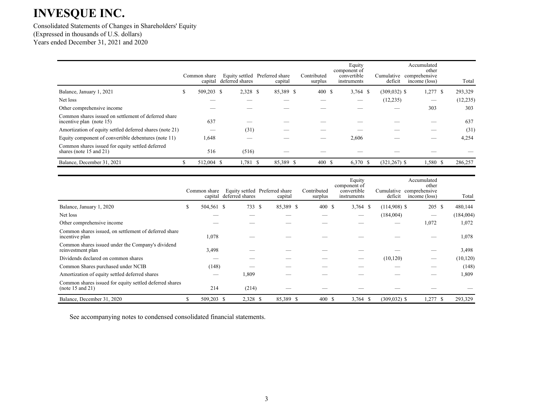Consolidated Statements of Changes in Shareholders' Equity (Expressed in thousands of U.S. dollars) Years ended December 31, 2021 and 2020

|                                                                                  | Common share | capital deferred shares | Equity settled Preferred share<br>capital | Contributed<br>surplus | Equity<br>component of<br>convertible<br>instruments | Cumulative<br>deficit | Accumulated<br>other<br>comprehensive<br>income (loss) | Total     |
|----------------------------------------------------------------------------------|--------------|-------------------------|-------------------------------------------|------------------------|------------------------------------------------------|-----------------------|--------------------------------------------------------|-----------|
| Balance, January 1, 2021                                                         | 509,203 \$   | 2,328 \$                | 85,389 \$                                 | 400S                   | $3,764$ \$                                           | $(309, 032)$ \$       | $1,277$ \$                                             | 293,329   |
| Net loss                                                                         |              |                         |                                           |                        |                                                      | (12, 235)             |                                                        | (12, 235) |
| Other comprehensive income                                                       |              |                         |                                           |                        |                                                      |                       | 303                                                    | 303       |
| Common shares issued on settlement of deferred share<br>incentive plan (note 15) | 637          |                         |                                           |                        |                                                      |                       |                                                        | 637       |
| Amortization of equity settled deferred shares (note 21)                         |              | (31)                    |                                           |                        |                                                      |                       |                                                        | (31)      |
| Equity component of convertible debentures (note 11)                             | 1,648        |                         |                                           |                        | 2,606                                                |                       |                                                        | 4,254     |
| Common shares issued for equity settled deferred<br>shares (note 15 and 21)      | 516          | (516)                   |                                           |                        |                                                      |                       |                                                        |           |
| Balance, December 31, 2021                                                       | 512,004 \$   | $1,781$ \$              | 85,389 \$                                 | 400 \$                 | 6,370 \$                                             | $(321, 267)$ \$       | $1,580$ \$                                             | 286,257   |

|                                                                             |   | Common share | capital deferred shares | Equity settled Preferred share<br>capital | Contributed<br>surplus | Equity<br>component of<br>convertible<br>instruments |            | deficit         | Accumulated<br>other<br>Cumulative comprehensive<br>income (loss) |      | Total     |
|-----------------------------------------------------------------------------|---|--------------|-------------------------|-------------------------------------------|------------------------|------------------------------------------------------|------------|-----------------|-------------------------------------------------------------------|------|-----------|
| Balance, January 1, 2020                                                    | ъ | 504,561 \$   | 733 S                   | 85,389 \$                                 | 400 \$                 |                                                      | $3,764$ \$ | $(114,908)$ \$  | 205 \$                                                            |      | 480,144   |
| Net loss                                                                    |   |              |                         |                                           |                        |                                                      |            | (184,004)       |                                                                   |      | (184,004) |
| Other comprehensive income                                                  |   |              |                         |                                           |                        |                                                      |            |                 | 1,072                                                             |      | 1,072     |
| Common shares issued, on settlement of deferred share<br>incentive plan     |   | 1,078        |                         |                                           |                        |                                                      |            |                 |                                                                   |      | 1,078     |
| Common shares issued under the Company's dividend<br>reinvestment plan      |   | 3,498        |                         |                                           |                        |                                                      |            |                 |                                                                   |      | 3,498     |
| Dividends declared on common shares                                         |   |              |                         |                                           |                        |                                                      |            | (10, 120)       |                                                                   |      | (10, 120) |
| Common Shares purchased under NCIB                                          |   | (148)        |                         |                                           |                        |                                                      |            |                 |                                                                   |      | (148)     |
| Amortization of equity settled deferred shares                              |   |              | 1,809                   |                                           |                        |                                                      |            |                 |                                                                   |      | 1,809     |
| Common shares issued for equity settled deferred shares<br>(note 15 and 21) |   | 214          | (214)                   |                                           |                        |                                                      |            |                 |                                                                   |      |           |
| Balance, December 31, 2020                                                  | У | 509,203 \$   | 2,328 \$                | 85,389 \$                                 | 400S                   |                                                      | $3,764$ \$ | $(309, 032)$ \$ | 1,277                                                             | - \$ | 293,329   |

See accompanying notes to condensed consolidated financial statements.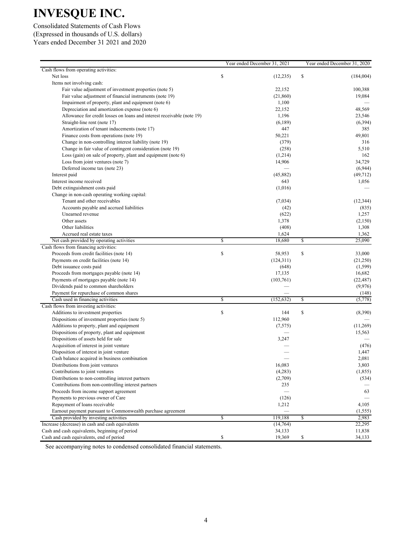Consolidated Statements of Cash Flows (Expressed in thousands of U.S. dollars) Years ended December 31 2021 and 2020

|                                                                                    |                         | Year ended December 31, 2021 |                         | Year ended December 31, 2020 |
|------------------------------------------------------------------------------------|-------------------------|------------------------------|-------------------------|------------------------------|
| Cash flows from operating activities:                                              |                         |                              |                         |                              |
| Net loss                                                                           | \$                      | (12, 235)                    | \$                      | (184,004)                    |
| Items not involving cash:                                                          |                         |                              |                         |                              |
| Fair value adjustment of investment properties (note 5)                            |                         | 22,152                       |                         | 100,388                      |
| Fair value adjustment of financial instruments (note 19)                           |                         | (21, 860)                    |                         | 19,084                       |
| Impairment of property, plant and equipment (note 6)                               |                         | 1,100                        |                         |                              |
| Depreciation and amortization expense (note 6)                                     |                         | 22,152                       |                         | 48,569                       |
| Allowance for credit losses on loans and interest receivable (note 19)             |                         | 1,196                        |                         | 23,546                       |
| Straight-line rent (note 17)                                                       |                         | (6,189)                      |                         | (6, 394)                     |
| Amortization of tenant inducements (note 17)                                       |                         | 447                          |                         | 385                          |
| Finance costs from operations (note 19)                                            |                         | 50,221                       |                         | 49,801                       |
| Change in non-controlling interest liability (note 19)                             |                         | (379)                        |                         | 316                          |
| Change in fair value of contingent consideration (note 19)                         |                         | (258)                        |                         | 5,510                        |
| Loss (gain) on sale of property, plant and equipment (note $6$ )                   |                         | (1,214)                      |                         | 162                          |
| Loss from joint ventures (note 7)                                                  |                         | 14,906                       |                         | 34,729                       |
| Deferred income tax (note 23)                                                      |                         |                              |                         | (6,944)                      |
| Interest paid                                                                      |                         | (45,882)                     |                         | (49, 712)                    |
| Interest income received                                                           |                         | 643                          |                         | 1,056                        |
| Debt extinguishment costs paid                                                     |                         | (1,016)                      |                         |                              |
| Change in non-cash operating working capital:                                      |                         |                              |                         |                              |
| Tenant and other receivables                                                       |                         | (7,034)                      |                         | (12, 344)                    |
| Accounts payable and accrued liabilities                                           |                         | (42)                         |                         | (835)                        |
| Unearned revenue                                                                   |                         | (622)                        |                         | 1,257                        |
| Other assets                                                                       |                         |                              |                         |                              |
|                                                                                    |                         | 1,378                        |                         | (2,150)                      |
| Other liabilities                                                                  |                         | (408)                        |                         | 1,308                        |
| Accrued real estate taxes                                                          |                         | 1,624                        |                         | 1,362                        |
| Net cash provided by operating activities<br>Cash flows from financing activities: | $\overline{\mathbb{S}}$ | 18,680                       | \$                      | 25,090                       |
| Proceeds from credit facilities (note 14)                                          | \$                      | 58,953                       | \$                      | 33,000                       |
|                                                                                    |                         |                              |                         | (21,250)                     |
| Payments on credit facilities (note 14)                                            |                         | (124, 311)                   |                         |                              |
| Debt issuance costs paid                                                           |                         | (648)                        |                         | (1, 599)                     |
| Proceeds from mortgages payable (note 14)                                          |                         | 17,135                       |                         | 16,682                       |
| Payments of mortgages payable (note 14)                                            |                         | (103,761)                    |                         | (22, 487)                    |
| Dividends paid to common shareholders                                              |                         |                              |                         | (9,976)                      |
| Payment for repurchase of common shares                                            |                         |                              |                         | (148)                        |
| Cash used in financing activities                                                  | $\overline{\mathbb{S}}$ | (152, 632)                   | $\overline{\mathbb{S}}$ | (5,778)                      |
| Cash flows from investing activities:                                              |                         |                              |                         |                              |
| Additions to investment properties                                                 | \$                      | 144                          | \$                      | (8,390)                      |
| Dispositions of investment properties (note 5)                                     |                         | 112,960                      |                         |                              |
| Additions to property, plant and equipment                                         |                         | (7,575)                      |                         | (11,269)                     |
| Dispositions of property, plant and equipment                                      |                         |                              |                         | 15,563                       |
| Dispositions of assets held for sale                                               |                         | 3,247                        |                         |                              |
| Acquisition of interest in joint venture                                           |                         |                              |                         | (476)                        |
| Disposition of interest in joint venture                                           |                         |                              |                         | 1,447                        |
| Cash balance acquired in business combination                                      |                         |                              |                         | 2,081                        |
| Distributions from joint ventures                                                  |                         | 16,083                       |                         | 3,803                        |
| Contributions to joint ventures                                                    |                         | (4,283)                      |                         | (1, 855)                     |
| Distributions to non-controlling interest partners                                 |                         | (2,709)                      |                         | (534)                        |
| Contributions from non-controlling interest partners                               |                         | 235                          |                         |                              |
| Proceeds from income support agreement                                             |                         |                              |                         | 63                           |
| Payments to previous owner of Care                                                 |                         | (126)                        |                         |                              |
| Repayment of loans receivable                                                      |                         | 1,212                        |                         | 4,105                        |
| Earnout payment pursuant to Commonwealth purchase agreement                        |                         | $\overline{\phantom{0}}$     |                         | (1, 555)                     |
| Cash provided by investing activities                                              | $\overline{\mathbb{S}}$ | 119,188                      | \$                      | 2,983                        |
| Increase (decrease) in cash and cash equivalents                                   |                         | (14,764)                     |                         | 22,295                       |
| Cash and cash equivalents, beginning of period                                     |                         | 34,133                       |                         | 11,838                       |
| Cash and cash equivalents, end of period                                           | \$                      | 19,369                       | \$                      | 34,133                       |

See accompanying notes to condensed consolidated financial statements.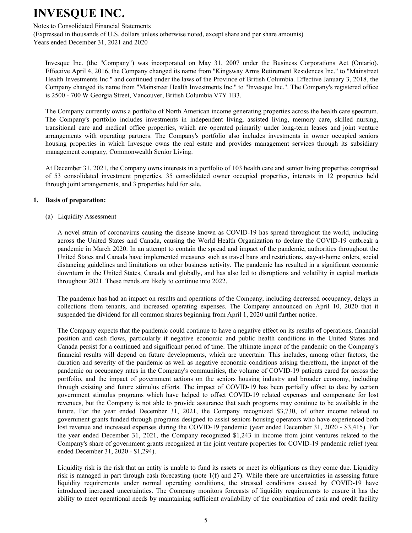#### Notes to Consolidated Financial Statements

(Expressed in thousands of U.S. dollars unless otherwise noted, except share and per share amounts) Years ended December 31, 2021 and 2020

Invesque Inc. (the "Company") was incorporated on May 31, 2007 under the Business Corporations Act (Ontario). Effective April 4, 2016, the Company changed its name from "Kingsway Arms Retirement Residences Inc." to "Mainstreet Health Investments Inc." and continued under the laws of the Province of British Columbia. Effective January 3, 2018, the Company changed its name from "Mainstreet Health Investments Inc." to "Invesque Inc.". The Company's registered office is 2500 - 700 W Georgia Street, Vancouver, British Columbia V7Y 1B3.

The Company currently owns a portfolio of North American income generating properties across the health care spectrum. The Company's portfolio includes investments in independent living, assisted living, memory care, skilled nursing, transitional care and medical office properties, which are operated primarily under long-term leases and joint venture arrangements with operating partners. The Company's portfolio also includes investments in owner occupied seniors housing properties in which Invesque owns the real estate and provides management services through its subsidiary management company, Commonwealth Senior Living.

At December 31, 2021, the Company owns interests in a portfolio of 103 health care and senior living properties comprised of 53 consolidated investment properties, 35 consolidated owner occupied properties, interests in 12 properties held through joint arrangements, and 3 properties held for sale.

#### **1. Basis of preparation:**

(a) Liquidity Assessment

A novel strain of coronavirus causing the disease known as COVID-19 has spread throughout the world, including across the United States and Canada, causing the World Health Organization to declare the COVID-19 outbreak a pandemic in March 2020. In an attempt to contain the spread and impact of the pandemic, authorities throughout the United States and Canada have implemented measures such as travel bans and restrictions, stay-at-home orders, social distancing guidelines and limitations on other business activity. The pandemic has resulted in a significant economic downturn in the United States, Canada and globally, and has also led to disruptions and volatility in capital markets throughout 2021. These trends are likely to continue into 2022.

The pandemic has had an impact on results and operations of the Company, including decreased occupancy, delays in collections from tenants, and increased operating expenses. The Company announced on April 10, 2020 that it suspended the dividend for all common shares beginning from April 1, 2020 until further notice.

The Company expects that the pandemic could continue to have a negative effect on its results of operations, financial position and cash flows, particularly if negative economic and public health conditions in the United States and Canada persist for a continued and significant period of time. The ultimate impact of the pandemic on the Company's financial results will depend on future developments, which are uncertain. This includes, among other factors, the duration and severity of the pandemic as well as negative economic conditions arising therefrom, the impact of the pandemic on occupancy rates in the Company's communities, the volume of COVID-19 patients cared for across the portfolio, and the impact of government actions on the seniors housing industry and broader economy, including through existing and future stimulus efforts. The impact of COVID-19 has been partially offset to date by certain government stimulus programs which have helped to offset COVID-19 related expenses and compensate for lost revenues, but the Company is not able to provide assurance that such programs may continue to be available in the future. For the year ended December 31, 2021, the Company recognized \$3,730, of other income related to government grants funded through programs designed to assist seniors housing operators who have experienced both lost revenue and increased expenses during the COVID-19 pandemic (year ended December 31, 2020 - \$3,415). For the year ended December 31, 2021, the Company recognized \$1,243 in income from joint ventures related to the Company's share of government grants recognized at the joint venture properties for COVID-19 pandemic relief (year ended December 31, 2020 - \$1,294).

Liquidity risk is the risk that an entity is unable to fund its assets or meet its obligations as they come due. Liquidity risk is managed in part through cash forecasting (note 1(f) and 27). While there are uncertainties in assessing future liquidity requirements under normal operating conditions, the stressed conditions caused by COVID-19 have introduced increased uncertainties. The Company monitors forecasts of liquidity requirements to ensure it has the ability to meet operational needs by maintaining sufficient availability of the combination of cash and credit facility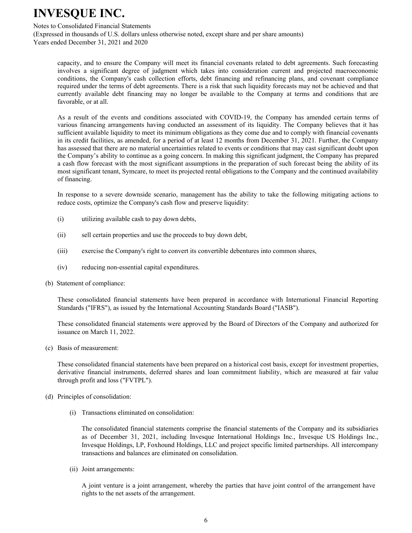#### Notes to Consolidated Financial Statements

(Expressed in thousands of U.S. dollars unless otherwise noted, except share and per share amounts) Years ended December 31, 2021 and 2020

capacity, and to ensure the Company will meet its financial covenants related to debt agreements. Such forecasting involves a significant degree of judgment which takes into consideration current and projected macroeconomic conditions, the Company's cash collection efforts, debt financing and refinancing plans, and covenant compliance required under the terms of debt agreements. There is a risk that such liquidity forecasts may not be achieved and that currently available debt financing may no longer be available to the Company at terms and conditions that are favorable, or at all.

As a result of the events and conditions associated with COVID-19, the Company has amended certain terms of various financing arrangements having conducted an assessment of its liquidity. The Company believes that it has sufficient available liquidity to meet its minimum obligations as they come due and to comply with financial covenants in its credit facilities, as amended, for a period of at least 12 months from December 31, 2021. Further, the Company has assessed that there are no material uncertainties related to events or conditions that may cast significant doubt upon the Company's ability to continue as a going concern. In making this significant judgment, the Company has prepared a cash flow forecast with the most significant assumptions in the preparation of such forecast being the ability of its most significant tenant, Symcare, to meet its projected rental obligations to the Company and the continued availability of financing.

In response to a severe downside scenario, management has the ability to take the following mitigating actions to reduce costs, optimize the Company's cash flow and preserve liquidity:

- (i) utilizing available cash to pay down debts,
- (ii) sell certain properties and use the proceeds to buy down debt,
- (iii) exercise the Company's right to convert its convertible debentures into common shares,
- (iv) reducing non-essential capital expenditures.
- (b) Statement of compliance:

These consolidated financial statements have been prepared in accordance with International Financial Reporting Standards ("IFRS"), as issued by the International Accounting Standards Board ("IASB").

These consolidated financial statements were approved by the Board of Directors of the Company and authorized for issuance on March 11, 2022.

(c) Basis of measurement:

These consolidated financial statements have been prepared on a historical cost basis, except for investment properties, derivative financial instruments, deferred shares and loan commitment liability, which are measured at fair value through profit and loss ("FVTPL").

- (d) Principles of consolidation:
	- (i) Transactions eliminated on consolidation:

The consolidated financial statements comprise the financial statements of the Company and its subsidiaries as of December 31, 2021, including Invesque International Holdings Inc., Invesque US Holdings Inc., Invesque Holdings, LP, Foxhound Holdings, LLC and project specific limited partnerships. All intercompany transactions and balances are eliminated on consolidation.

(ii) Joint arrangements:

A joint venture is a joint arrangement, whereby the parties that have joint control of the arrangement have rights to the net assets of the arrangement.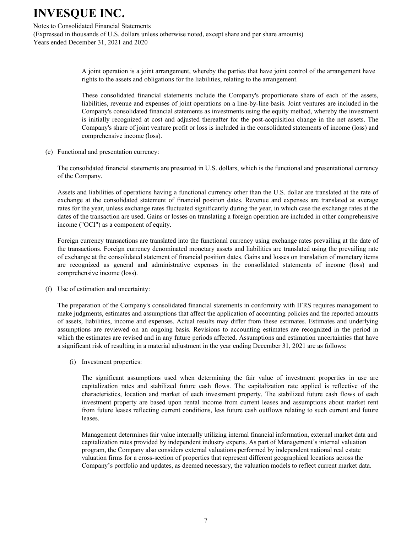#### Notes to Consolidated Financial Statements

(Expressed in thousands of U.S. dollars unless otherwise noted, except share and per share amounts) Years ended December 31, 2021 and 2020

> A joint operation is a joint arrangement, whereby the parties that have joint control of the arrangement have rights to the assets and obligations for the liabilities, relating to the arrangement.

> These consolidated financial statements include the Company's proportionate share of each of the assets, liabilities, revenue and expenses of joint operations on a line-by-line basis. Joint ventures are included in the Company's consolidated financial statements as investments using the equity method, whereby the investment is initially recognized at cost and adjusted thereafter for the post-acquisition change in the net assets. The Company's share of joint venture profit or loss is included in the consolidated statements of income (loss) and comprehensive income (loss).

(e) Functional and presentation currency:

The consolidated financial statements are presented in U.S. dollars, which is the functional and presentational currency of the Company.

Assets and liabilities of operations having a functional currency other than the U.S. dollar are translated at the rate of exchange at the consolidated statement of financial position dates. Revenue and expenses are translated at average rates for the year, unless exchange rates fluctuated significantly during the year, in which case the exchange rates at the dates of the transaction are used. Gains or losses on translating a foreign operation are included in other comprehensive income ("OCI") as a component of equity.

Foreign currency transactions are translated into the functional currency using exchange rates prevailing at the date of the transactions. Foreign currency denominated monetary assets and liabilities are translated using the prevailing rate of exchange at the consolidated statement of financial position dates. Gains and losses on translation of monetary items are recognized as general and administrative expenses in the consolidated statements of income (loss) and comprehensive income (loss).

(f) Use of estimation and uncertainty:

The preparation of the Company's consolidated financial statements in conformity with IFRS requires management to make judgments, estimates and assumptions that affect the application of accounting policies and the reported amounts of assets, liabilities, income and expenses. Actual results may differ from these estimates. Estimates and underlying assumptions are reviewed on an ongoing basis. Revisions to accounting estimates are recognized in the period in which the estimates are revised and in any future periods affected. Assumptions and estimation uncertainties that have a significant risk of resulting in a material adjustment in the year ending December 31, 2021 are as follows:

(i) Investment properties:

The significant assumptions used when determining the fair value of investment properties in use are capitalization rates and stabilized future cash flows. The capitalization rate applied is reflective of the characteristics, location and market of each investment property. The stabilized future cash flows of each investment property are based upon rental income from current leases and assumptions about market rent from future leases reflecting current conditions, less future cash outflows relating to such current and future leases.

Management determines fair value internally utilizing internal financial information, external market data and capitalization rates provided by independent industry experts. As part of Management's internal valuation program, the Company also considers external valuations performed by independent national real estate valuation firms for a cross-section of properties that represent different geographical locations across the Company's portfolio and updates, as deemed necessary, the valuation models to reflect current market data.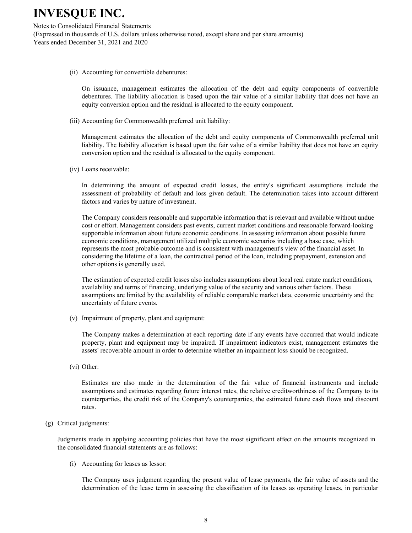Notes to Consolidated Financial Statements (Expressed in thousands of U.S. dollars unless otherwise noted, except share and per share amounts) Years ended December 31, 2021 and 2020

(ii) Accounting for convertible debentures:

On issuance, management estimates the allocation of the debt and equity components of convertible debentures. The liability allocation is based upon the fair value of a similar liability that does not have an equity conversion option and the residual is allocated to the equity component.

(iii) Accounting for Commonwealth preferred unit liability:

Management estimates the allocation of the debt and equity components of Commonwealth preferred unit liability. The liability allocation is based upon the fair value of a similar liability that does not have an equity conversion option and the residual is allocated to the equity component.

(iv) Loans receivable:

In determining the amount of expected credit losses, the entity's significant assumptions include the assessment of probability of default and loss given default. The determination takes into account different factors and varies by nature of investment.

The Company considers reasonable and supportable information that is relevant and available without undue cost or effort. Management considers past events, current market conditions and reasonable forward-looking supportable information about future economic conditions. In assessing information about possible future economic conditions, management utilized multiple economic scenarios including a base case, which represents the most probable outcome and is consistent with management's view of the financial asset. In considering the lifetime of a loan, the contractual period of the loan, including prepayment, extension and other options is generally used.

The estimation of expected credit losses also includes assumptions about local real estate market conditions, availability and terms of financing, underlying value of the security and various other factors. These assumptions are limited by the availability of reliable comparable market data, economic uncertainty and the uncertainty of future events.

(v) Impairment of property, plant and equipment:

The Company makes a determination at each reporting date if any events have occurred that would indicate property, plant and equipment may be impaired. If impairment indicators exist, management estimates the assets' recoverable amount in order to determine whether an impairment loss should be recognized.

(vi) Other:

Estimates are also made in the determination of the fair value of financial instruments and include assumptions and estimates regarding future interest rates, the relative creditworthiness of the Company to its counterparties, the credit risk of the Company's counterparties, the estimated future cash flows and discount rates.

(g) Critical judgments:

Judgments made in applying accounting policies that have the most significant effect on the amounts recognized in the consolidated financial statements are as follows:

(i) Accounting for leases as lessor:

The Company uses judgment regarding the present value of lease payments, the fair value of assets and the determination of the lease term in assessing the classification of its leases as operating leases, in particular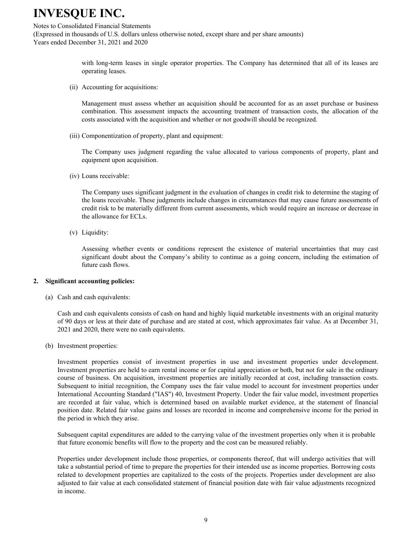#### Notes to Consolidated Financial Statements

(Expressed in thousands of U.S. dollars unless otherwise noted, except share and per share amounts) Years ended December 31, 2021 and 2020

> with long-term leases in single operator properties. The Company has determined that all of its leases are operating leases.

(ii) Accounting for acquisitions:

Management must assess whether an acquisition should be accounted for as an asset purchase or business combination. This assessment impacts the accounting treatment of transaction costs, the allocation of the costs associated with the acquisition and whether or not goodwill should be recognized.

(iii) Componentization of property, plant and equipment:

The Company uses judgment regarding the value allocated to various components of property, plant and equipment upon acquisition.

(iv) Loans receivable:

The Company uses significant judgment in the evaluation of changes in credit risk to determine the staging of the loans receivable. These judgments include changes in circumstances that may cause future assessments of credit risk to be materially different from current assessments, which would require an increase or decrease in the allowance for ECLs.

(v) Liquidity:

Assessing whether events or conditions represent the existence of material uncertainties that may cast significant doubt about the Company's ability to continue as a going concern, including the estimation of future cash flows.

#### **2. Significant accounting policies:**

(a) Cash and cash equivalents:

Cash and cash equivalents consists of cash on hand and highly liquid marketable investments with an original maturity of 90 days or less at their date of purchase and are stated at cost, which approximates fair value. As at December 31, 2021 and 2020, there were no cash equivalents.

(b) Investment properties:

Investment properties consist of investment properties in use and investment properties under development. Investment properties are held to earn rental income or for capital appreciation or both, but not for sale in the ordinary course of business. On acquisition, investment properties are initially recorded at cost, including transaction costs. Subsequent to initial recognition, the Company uses the fair value model to account for investment properties under International Accounting Standard ("IAS") 40, Investment Property. Under the fair value model, investment properties are recorded at fair value, which is determined based on available market evidence, at the statement of financial position date. Related fair value gains and losses are recorded in income and comprehensive income for the period in the period in which they arise.

Subsequent capital expenditures are added to the carrying value of the investment properties only when it is probable that future economic benefits will flow to the property and the cost can be measured reliably.

Properties under development include those properties, or components thereof, that will undergo activities that will take a substantial period of time to prepare the properties for their intended use as income properties. Borrowing costs related to development properties are capitalized to the costs of the projects. Properties under development are also adjusted to fair value at each consolidated statement of financial position date with fair value adjustments recognized in income.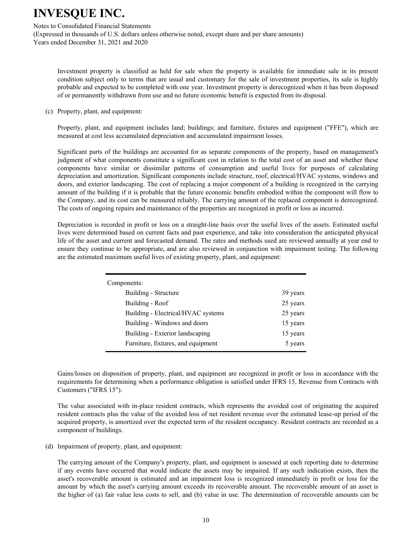Notes to Consolidated Financial Statements

(Expressed in thousands of U.S. dollars unless otherwise noted, except share and per share amounts) Years ended December 31, 2021 and 2020

Investment property is classified as held for sale when the property is available for immediate sale in its present condition subject only to terms that are usual and customary for the sale of investment properties, its sale is highly probable and expected to be completed with one year. Investment property is derecognized when it has been disposed of or permanently withdrawn from use and no future economic benefit is expected from its disposal.

(c) Property, plant, and equipment:

Property, plant, and equipment includes land; buildings; and furniture, fixtures and equipment ("FFE"), which are measured at cost less accumulated depreciation and accumulated impairment losses.

Significant parts of the buildings are accounted for as separate components of the property, based on management's judgment of what components constitute a significant cost in relation to the total cost of an asset and whether these components have similar or dissimilar patterns of consumption and useful lives for purposes of calculating depreciation and amortization. Significant components include structure, roof, electrical/HVAC systems, windows and doors, and exterior landscaping. The cost of replacing a major component of a building is recognized in the carrying amount of the building if it is probable that the future economic benefits embodied within the component will flow to the Company, and its cost can be measured reliably. The carrying amount of the replaced component is derecognized. The costs of ongoing repairs and maintenance of the properties are recognized in profit or loss as incurred.

Depreciation is recorded in profit or loss on a straight-line basis over the useful lives of the assets. Estimated useful lives were determined based on current facts and past experience, and take into consideration the anticipated physical life of the asset and current and forecasted demand. The rates and methods used are reviewed annually at year end to ensure they continue to be appropriate, and are also reviewed in conjunction with impairment testing. The following are the estimated maximum useful lives of existing property, plant, and equipment:

| Components:                        |          |
|------------------------------------|----------|
| Building - Structure               | 39 years |
| Building - Roof                    | 25 years |
| Building - Electrical/HVAC systems | 25 years |
| Building - Windows and doors       | 15 years |
| Building - Exterior landscaping    | 15 years |
| Furniture, fixtures, and equipment | 5 years  |

Gains/losses on disposition of property, plant, and equipment are recognized in profit or loss in accordance with the requirements for determining when a performance obligation is satisfied under IFRS 15, Revenue from Contracts with Customers ("IFRS 15").

The value associated with in-place resident contracts, which represents the avoided cost of originating the acquired resident contracts plus the value of the avoided loss of net resident revenue over the estimated lease-up period of the acquired property, is amortized over the expected term of the resident occupancy. Resident contracts are recorded as a component of buildings.

(d) Impairment of property, plant, and equipment:

The carrying amount of the Company's property, plant, and equipment is assessed at each reporting date to determine if any events have occurred that would indicate the assets may be impaired. If any such indication exists, then the asset's recoverable amount is estimated and an impairment loss is recognized immediately in profit or loss for the amount by which the asset's carrying amount exceeds its recoverable amount. The recoverable amount of an asset is the higher of (a) fair value less costs to sell, and (b) value in use. The determination of recoverable amounts can be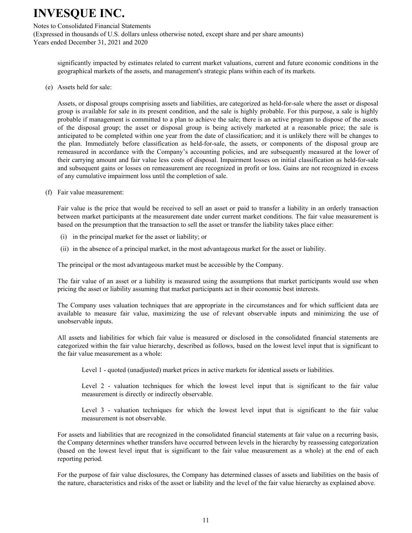#### Notes to Consolidated Financial Statements

(Expressed in thousands of U.S. dollars unless otherwise noted, except share and per share amounts) Years ended December 31, 2021 and 2020

significantly impacted by estimates related to current market valuations, current and future economic conditions in the geographical markets of the assets, and management's strategic plans within each of its markets.

(e) Assets held for sale:

Assets, or disposal groups comprising assets and liabilities, are categorized as held-for-sale where the asset or disposal group is available for sale in its present condition, and the sale is highly probable. For this purpose, a sale is highly probable if management is committed to a plan to achieve the sale; there is an active program to dispose of the assets of the disposal group; the asset or disposal group is being actively marketed at a reasonable price; the sale is anticipated to be completed within one year from the date of classification; and it is unlikely there will be changes to the plan. Immediately before classification as held-for-sale, the assets, or components of the disposal group are remeasured in accordance with the Company's accounting policies, and are subsequently measured at the lower of their carrying amount and fair value less costs of disposal. Impairment losses on initial classification as held-for-sale and subsequent gains or losses on remeasurement are recognized in profit or loss. Gains are not recognized in excess of any cumulative impairment loss until the completion of sale.

(f) Fair value measurement:

Fair value is the price that would be received to sell an asset or paid to transfer a liability in an orderly transaction between market participants at the measurement date under current market conditions. The fair value measurement is based on the presumption that the transaction to sell the asset or transfer the liability takes place either:

- (i) in the principal market for the asset or liability; or
- (ii) in the absence of a principal market, in the most advantageous market for the asset or liability.

The principal or the most advantageous market must be accessible by the Company.

The fair value of an asset or a liability is measured using the assumptions that market participants would use when pricing the asset or liability assuming that market participants act in their economic best interests.

The Company uses valuation techniques that are appropriate in the circumstances and for which sufficient data are available to measure fair value, maximizing the use of relevant observable inputs and minimizing the use of unobservable inputs.

All assets and liabilities for which fair value is measured or disclosed in the consolidated financial statements are categorized within the fair value hierarchy, described as follows, based on the lowest level input that is significant to the fair value measurement as a whole:

Level 1 - quoted (unadjusted) market prices in active markets for identical assets or liabilities.

Level 2 - valuation techniques for which the lowest level input that is significant to the fair value measurement is directly or indirectly observable.

Level 3 - valuation techniques for which the lowest level input that is significant to the fair value measurement is not observable.

For assets and liabilities that are recognized in the consolidated financial statements at fair value on a recurring basis, the Company determines whether transfers have occurred between levels in the hierarchy by reassessing categorization (based on the lowest level input that is significant to the fair value measurement as a whole) at the end of each reporting period.

For the purpose of fair value disclosures, the Company has determined classes of assets and liabilities on the basis of the nature, characteristics and risks of the asset or liability and the level of the fair value hierarchy as explained above.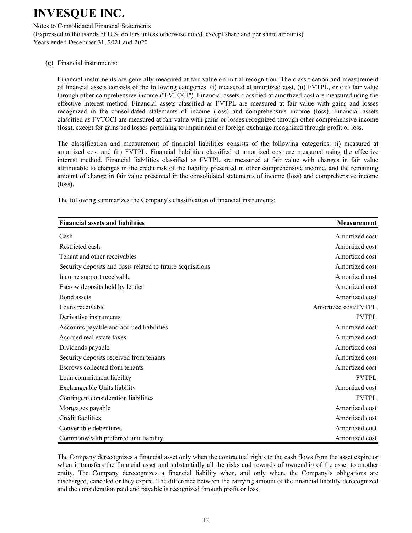Notes to Consolidated Financial Statements

(Expressed in thousands of U.S. dollars unless otherwise noted, except share and per share amounts) Years ended December 31, 2021 and 2020

(g) Financial instruments:

Financial instruments are generally measured at fair value on initial recognition. The classification and measurement of financial assets consists of the following categories: (i) measured at amortized cost, (ii) FVTPL, or (iii) fair value through other comprehensive income (''FVTOCI''). Financial assets classified at amortized cost are measured using the effective interest method. Financial assets classified as FVTPL are measured at fair value with gains and losses recognized in the consolidated statements of income (loss) and comprehensive income (loss). Financial assets classified as FVTOCI are measured at fair value with gains or losses recognized through other comprehensive income (loss), except for gains and losses pertaining to impairment or foreign exchange recognized through profit or loss.

The classification and measurement of financial liabilities consists of the following categories: (i) measured at amortized cost and (ii) FVTPL. Financial liabilities classified at amortized cost are measured using the effective interest method. Financial liabilities classified as FVTPL are measured at fair value with changes in fair value attributable to changes in the credit risk of the liability presented in other comprehensive income, and the remaining amount of change in fair value presented in the consolidated statements of income (loss) and comprehensive income (loss).

The following summarizes the Company's classification of financial instruments:

| <b>Financial assets and liabilities</b>                    | <b>Measurement</b>   |
|------------------------------------------------------------|----------------------|
| Cash                                                       | Amortized cost       |
| Restricted cash                                            | Amortized cost       |
| Tenant and other receivables                               | Amortized cost       |
| Security deposits and costs related to future acquisitions | Amortized cost       |
| Income support receivable                                  | Amortized cost       |
| Escrow deposits held by lender                             | Amortized cost       |
| Bond assets                                                | Amortized cost       |
| Loans receivable                                           | Amortized cost/FVTPL |
| Derivative instruments                                     | <b>FVTPL</b>         |
| Accounts payable and accrued liabilities                   | Amortized cost       |
| Accrued real estate taxes                                  | Amortized cost       |
| Dividends payable                                          | Amortized cost       |
| Security deposits received from tenants                    | Amortized cost       |
| Escrows collected from tenants                             | Amortized cost       |
| Loan commitment liability                                  | <b>FVTPL</b>         |
| Exchangeable Units liability                               | Amortized cost       |
| Contingent consideration liabilities                       | <b>FVTPL</b>         |
| Mortgages payable                                          | Amortized cost       |
| Credit facilities                                          | Amortized cost       |
| Convertible debentures                                     | Amortized cost       |
| Commonwealth preferred unit liability                      | Amortized cost       |

The Company derecognizes a financial asset only when the contractual rights to the cash flows from the asset expire or when it transfers the financial asset and substantially all the risks and rewards of ownership of the asset to another entity. The Company derecognizes a financial liability when, and only when, the Company's obligations are discharged, canceled or they expire. The difference between the carrying amount of the financial liability derecognized and the consideration paid and payable is recognized through profit or loss.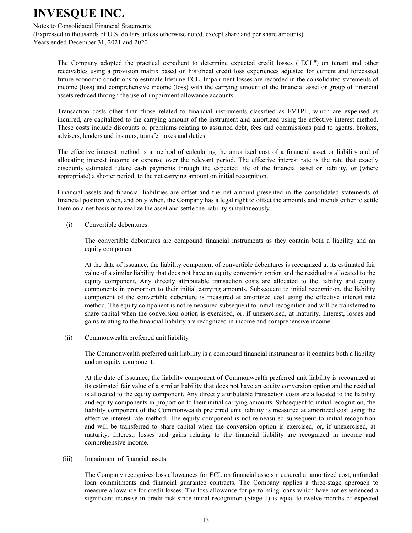#### Notes to Consolidated Financial Statements

(Expressed in thousands of U.S. dollars unless otherwise noted, except share and per share amounts) Years ended December 31, 2021 and 2020

The Company adopted the practical expedient to determine expected credit losses ("ECL") on tenant and other receivables using a provision matrix based on historical credit loss experiences adjusted for current and forecasted future economic conditions to estimate lifetime ECL. Impairment losses are recorded in the consolidated statements of income (loss) and comprehensive income (loss) with the carrying amount of the financial asset or group of financial assets reduced through the use of impairment allowance accounts.

Transaction costs other than those related to financial instruments classified as FVTPL, which are expensed as incurred, are capitalized to the carrying amount of the instrument and amortized using the effective interest method. These costs include discounts or premiums relating to assumed debt, fees and commissions paid to agents, brokers, advisers, lenders and insurers, transfer taxes and duties.

The effective interest method is a method of calculating the amortized cost of a financial asset or liability and of allocating interest income or expense over the relevant period. The effective interest rate is the rate that exactly discounts estimated future cash payments through the expected life of the financial asset or liability, or (where appropriate) a shorter period, to the net carrying amount on initial recognition.

Financial assets and financial liabilities are offset and the net amount presented in the consolidated statements of financial position when, and only when, the Company has a legal right to offset the amounts and intends either to settle them on a net basis or to realize the asset and settle the liability simultaneously.

(i) Convertible debentures:

The convertible debentures are compound financial instruments as they contain both a liability and an equity component.

At the date of issuance, the liability component of convertible debentures is recognized at its estimated fair value of a similar liability that does not have an equity conversion option and the residual is allocated to the equity component. Any directly attributable transaction costs are allocated to the liability and equity components in proportion to their initial carrying amounts. Subsequent to initial recognition, the liability component of the convertible debenture is measured at amortized cost using the effective interest rate method. The equity component is not remeasured subsequent to initial recognition and will be transferred to share capital when the conversion option is exercised, or, if unexercised, at maturity. Interest, losses and gains relating to the financial liability are recognized in income and comprehensive income.

(ii) Commonwealth preferred unit liability

The Commonwealth preferred unit liability is a compound financial instrument as it contains both a liability and an equity component.

At the date of issuance, the liability component of Commonwealth preferred unit liability is recognized at its estimated fair value of a similar liability that does not have an equity conversion option and the residual is allocated to the equity component. Any directly attributable transaction costs are allocated to the liability and equity components in proportion to their initial carrying amounts. Subsequent to initial recognition, the liability component of the Commonwealth preferred unit liability is measured at amortized cost using the effective interest rate method. The equity component is not remeasured subsequent to initial recognition and will be transferred to share capital when the conversion option is exercised, or, if unexercised, at maturity. Interest, losses and gains relating to the financial liability are recognized in income and comprehensive income.

#### (iii) Impairment of financial assets:

The Company recognizes loss allowances for ECL on financial assets measured at amortized cost, unfunded loan commitments and financial guarantee contracts. The Company applies a three-stage approach to measure allowance for credit losses. The loss allowance for performing loans which have not experienced a significant increase in credit risk since initial recognition (Stage 1) is equal to twelve months of expected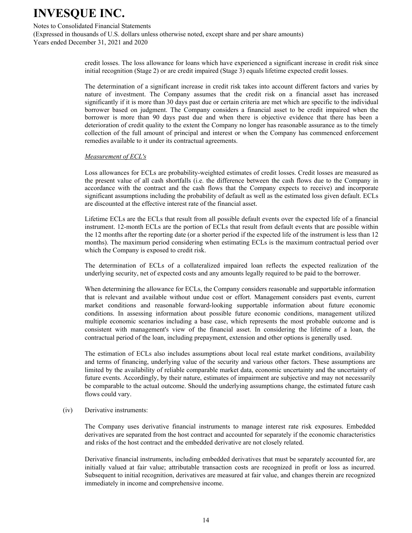#### Notes to Consolidated Financial Statements

(Expressed in thousands of U.S. dollars unless otherwise noted, except share and per share amounts) Years ended December 31, 2021 and 2020

> credit losses. The loss allowance for loans which have experienced a significant increase in credit risk since initial recognition (Stage 2) or are credit impaired (Stage 3) equals lifetime expected credit losses.

> The determination of a significant increase in credit risk takes into account different factors and varies by nature of investment. The Company assumes that the credit risk on a financial asset has increased significantly if it is more than 30 days past due or certain criteria are met which are specific to the individual borrower based on judgment. The Company considers a financial asset to be credit impaired when the borrower is more than 90 days past due and when there is objective evidence that there has been a deterioration of credit quality to the extent the Company no longer has reasonable assurance as to the timely collection of the full amount of principal and interest or when the Company has commenced enforcement remedies available to it under its contractual agreements.

#### *Measurement of ECL's*

Loss allowances for ECLs are probability-weighted estimates of credit losses. Credit losses are measured as the present value of all cash shortfalls (i.e. the difference between the cash flows due to the Company in accordance with the contract and the cash flows that the Company expects to receive) and incorporate significant assumptions including the probability of default as well as the estimated loss given default. ECLs are discounted at the effective interest rate of the financial asset.

Lifetime ECLs are the ECLs that result from all possible default events over the expected life of a financial instrument. 12-month ECLs are the portion of ECLs that result from default events that are possible within the 12 months after the reporting date (or a shorter period if the expected life of the instrument is less than 12 months). The maximum period considering when estimating ECLs is the maximum contractual period over which the Company is exposed to credit risk.

The determination of ECLs of a collateralized impaired loan reflects the expected realization of the underlying security, net of expected costs and any amounts legally required to be paid to the borrower.

When determining the allowance for ECLs, the Company considers reasonable and supportable information that is relevant and available without undue cost or effort. Management considers past events, current market conditions and reasonable forward-looking supportable information about future economic conditions. In assessing information about possible future economic conditions, management utilized multiple economic scenarios including a base case, which represents the most probable outcome and is consistent with management's view of the financial asset. In considering the lifetime of a loan, the contractual period of the loan, including prepayment, extension and other options is generally used.

The estimation of ECLs also includes assumptions about local real estate market conditions, availability and terms of financing, underlying value of the security and various other factors. These assumptions are limited by the availability of reliable comparable market data, economic uncertainty and the uncertainty of future events. Accordingly, by their nature, estimates of impairment are subjective and may not necessarily be comparable to the actual outcome. Should the underlying assumptions change, the estimated future cash flows could vary.

#### (iv) Derivative instruments:

The Company uses derivative financial instruments to manage interest rate risk exposures. Embedded derivatives are separated from the host contract and accounted for separately if the economic characteristics and risks of the host contract and the embedded derivative are not closely related.

Derivative financial instruments, including embedded derivatives that must be separately accounted for, are initially valued at fair value; attributable transaction costs are recognized in profit or loss as incurred. Subsequent to initial recognition, derivatives are measured at fair value, and changes therein are recognized immediately in income and comprehensive income.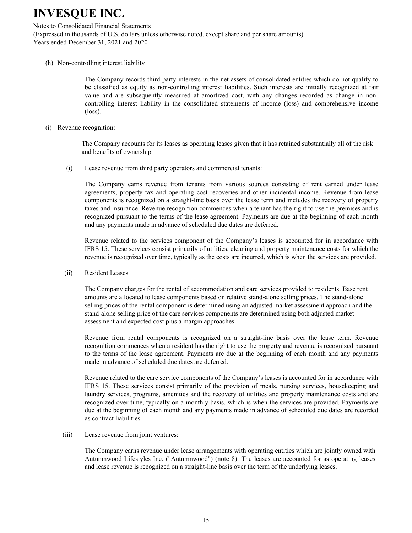#### Notes to Consolidated Financial Statements

(Expressed in thousands of U.S. dollars unless otherwise noted, except share and per share amounts) Years ended December 31, 2021 and 2020

(h) Non-controlling interest liability

The Company records third-party interests in the net assets of consolidated entities which do not qualify to be classified as equity as non-controlling interest liabilities. Such interests are initially recognized at fair value and are subsequently measured at amortized cost, with any changes recorded as change in noncontrolling interest liability in the consolidated statements of income (loss) and comprehensive income (loss).

(i) Revenue recognition:

The Company accounts for its leases as operating leases given that it has retained substantially all of the risk and benefits of ownership

(i) Lease revenue from third party operators and commercial tenants:

The Company earns revenue from tenants from various sources consisting of rent earned under lease agreements, property tax and operating cost recoveries and other incidental income. Revenue from lease components is recognized on a straight-line basis over the lease term and includes the recovery of property taxes and insurance. Revenue recognition commences when a tenant has the right to use the premises and is recognized pursuant to the terms of the lease agreement. Payments are due at the beginning of each month and any payments made in advance of scheduled due dates are deferred.

Revenue related to the services component of the Company's leases is accounted for in accordance with IFRS 15. These services consist primarily of utilities, cleaning and property maintenance costs for which the revenue is recognized over time, typically as the costs are incurred, which is when the services are provided.

(ii) Resident Leases

The Company charges for the rental of accommodation and care services provided to residents. Base rent amounts are allocated to lease components based on relative stand-alone selling prices. The stand-alone selling prices of the rental component is determined using an adjusted market assessment approach and the stand-alone selling price of the care services components are determined using both adjusted market assessment and expected cost plus a margin approaches.

Revenue from rental components is recognized on a straight-line basis over the lease term. Revenue recognition commences when a resident has the right to use the property and revenue is recognized pursuant to the terms of the lease agreement. Payments are due at the beginning of each month and any payments made in advance of scheduled due dates are deferred.

Revenue related to the care service components of the Company's leases is accounted for in accordance with IFRS 15. These services consist primarily of the provision of meals, nursing services, housekeeping and laundry services, programs, amenities and the recovery of utilities and property maintenance costs and are recognized over time, typically on a monthly basis, which is when the services are provided. Payments are due at the beginning of each month and any payments made in advance of scheduled due dates are recorded as contract liabilities.

(iii) Lease revenue from joint ventures:

The Company earns revenue under lease arrangements with operating entities which are jointly owned with Autumnwood Lifestyles Inc. ("Autumnwood") (note 8). The leases are accounted for as operating leases and lease revenue is recognized on a straight-line basis over the term of the underlying leases.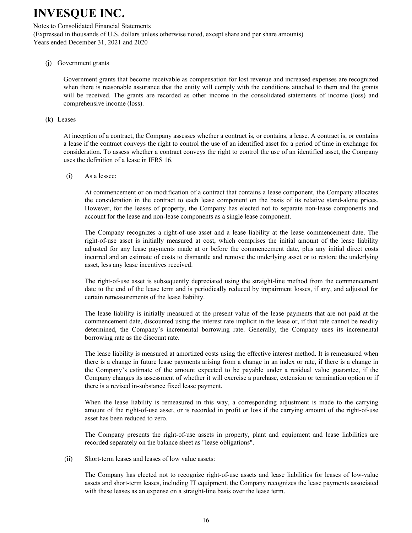#### Notes to Consolidated Financial Statements

(Expressed in thousands of U.S. dollars unless otherwise noted, except share and per share amounts) Years ended December 31, 2021 and 2020

#### (j) Government grants

Government grants that become receivable as compensation for lost revenue and increased expenses are recognized when there is reasonable assurance that the entity will comply with the conditions attached to them and the grants will be received. The grants are recorded as other income in the consolidated statements of income (loss) and comprehensive income (loss).

#### (k) Leases

At inception of a contract, the Company assesses whether a contract is, or contains, a lease. A contract is, or contains a lease if the contract conveys the right to control the use of an identified asset for a period of time in exchange for consideration. To assess whether a contract conveys the right to control the use of an identified asset, the Company uses the definition of a lease in IFRS 16.

(i) As a lessee:

At commencement or on modification of a contract that contains a lease component, the Company allocates the consideration in the contract to each lease component on the basis of its relative stand-alone prices. However, for the leases of property, the Company has elected not to separate non-lease components and account for the lease and non-lease components as a single lease component.

The Company recognizes a right-of-use asset and a lease liability at the lease commencement date. The right-of-use asset is initially measured at cost, which comprises the initial amount of the lease liability adjusted for any lease payments made at or before the commencement date, plus any initial direct costs incurred and an estimate of costs to dismantle and remove the underlying asset or to restore the underlying asset, less any lease incentives received.

The right-of-use asset is subsequently depreciated using the straight-line method from the commencement date to the end of the lease term and is periodically reduced by impairment losses, if any, and adjusted for certain remeasurements of the lease liability.

The lease liability is initially measured at the present value of the lease payments that are not paid at the commencement date, discounted using the interest rate implicit in the lease or, if that rate cannot be readily determined, the Company's incremental borrowing rate. Generally, the Company uses its incremental borrowing rate as the discount rate.

The lease liability is measured at amortized costs using the effective interest method. It is remeasured when there is a change in future lease payments arising from a change in an index or rate, if there is a change in the Company's estimate of the amount expected to be payable under a residual value guarantee, if the Company changes its assessment of whether it will exercise a purchase, extension or termination option or if there is a revised in-substance fixed lease payment.

When the lease liability is remeasured in this way, a corresponding adjustment is made to the carrying amount of the right-of-use asset, or is recorded in profit or loss if the carrying amount of the right-of-use asset has been reduced to zero.

The Company presents the right-of-use assets in property, plant and equipment and lease liabilities are recorded separately on the balance sheet as "lease obligations".

(ii) Short-term leases and leases of low value assets:

The Company has elected not to recognize right-of-use assets and lease liabilities for leases of low-value assets and short-term leases, including IT equipment. the Company recognizes the lease payments associated with these leases as an expense on a straight-line basis over the lease term.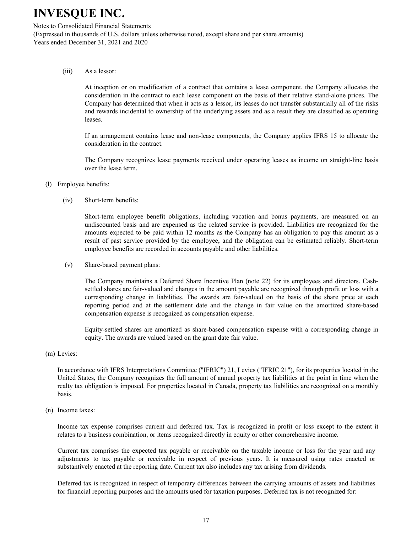Notes to Consolidated Financial Statements

(Expressed in thousands of U.S. dollars unless otherwise noted, except share and per share amounts) Years ended December 31, 2021 and 2020

(iii) As a lessor:

At inception or on modification of a contract that contains a lease component, the Company allocates the consideration in the contract to each lease component on the basis of their relative stand-alone prices. The Company has determined that when it acts as a lessor, its leases do not transfer substantially all of the risks and rewards incidental to ownership of the underlying assets and as a result they are classified as operating leases.

If an arrangement contains lease and non-lease components, the Company applies IFRS 15 to allocate the consideration in the contract.

The Company recognizes lease payments received under operating leases as income on straight-line basis over the lease term.

- (l) Employee benefits:
	- (iv) Short-term benefits:

Short-term employee benefit obligations, including vacation and bonus payments, are measured on an undiscounted basis and are expensed as the related service is provided. Liabilities are recognized for the amounts expected to be paid within 12 months as the Company has an obligation to pay this amount as a result of past service provided by the employee, and the obligation can be estimated reliably. Short-term employee benefits are recorded in accounts payable and other liabilities.

(v) Share-based payment plans:

The Company maintains a Deferred Share Incentive Plan (note 22) for its employees and directors. Cashsettled shares are fair-valued and changes in the amount payable are recognized through profit or loss with a corresponding change in liabilities. The awards are fair-valued on the basis of the share price at each reporting period and at the settlement date and the change in fair value on the amortized share-based compensation expense is recognized as compensation expense.

Equity-settled shares are amortized as share-based compensation expense with a corresponding change in equity. The awards are valued based on the grant date fair value.

(m) Levies:

In accordance with IFRS Interpretations Committee ("IFRIC") 21, Levies ("IFRIC 21"), for its properties located in the United States, the Company recognizes the full amount of annual property tax liabilities at the point in time when the realty tax obligation is imposed. For properties located in Canada, property tax liabilities are recognized on a monthly basis.

(n) Income taxes:

Income tax expense comprises current and deferred tax. Tax is recognized in profit or loss except to the extent it relates to a business combination, or items recognized directly in equity or other comprehensive income.

Current tax comprises the expected tax payable or receivable on the taxable income or loss for the year and any adjustments to tax payable or receivable in respect of previous years. It is measured using rates enacted or substantively enacted at the reporting date. Current tax also includes any tax arising from dividends.

Deferred tax is recognized in respect of temporary differences between the carrying amounts of assets and liabilities for financial reporting purposes and the amounts used for taxation purposes. Deferred tax is not recognized for: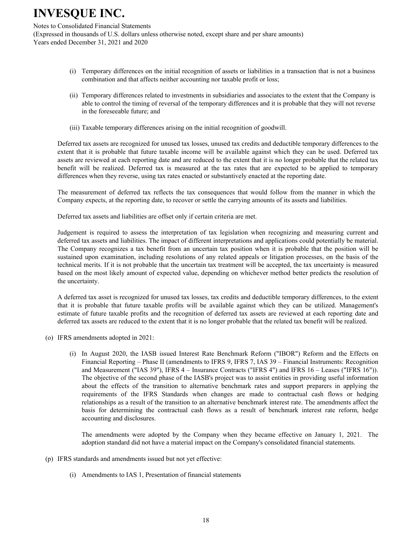Notes to Consolidated Financial Statements

(Expressed in thousands of U.S. dollars unless otherwise noted, except share and per share amounts) Years ended December 31, 2021 and 2020

- (i) Temporary differences on the initial recognition of assets or liabilities in a transaction that is not a business combination and that affects neither accounting nor taxable profit or loss;
- (ii) Temporary differences related to investments in subsidiaries and associates to the extent that the Company is able to control the timing of reversal of the temporary differences and it is probable that they will not reverse in the foreseeable future; and
- (iii) Taxable temporary differences arising on the initial recognition of goodwill.

Deferred tax assets are recognized for unused tax losses, unused tax credits and deductible temporary differences to the extent that it is probable that future taxable income will be available against which they can be used. Deferred tax assets are reviewed at each reporting date and are reduced to the extent that it is no longer probable that the related tax benefit will be realized. Deferred tax is measured at the tax rates that are expected to be applied to temporary differences when they reverse, using tax rates enacted or substantively enacted at the reporting date.

The measurement of deferred tax reflects the tax consequences that would follow from the manner in which the Company expects, at the reporting date, to recover or settle the carrying amounts of its assets and liabilities.

Deferred tax assets and liabilities are offset only if certain criteria are met.

Judgement is required to assess the interpretation of tax legislation when recognizing and measuring current and deferred tax assets and liabilities. The impact of different interpretations and applications could potentially be material. The Company recognizes a tax benefit from an uncertain tax position when it is probable that the position will be sustained upon examination, including resolutions of any related appeals or litigation processes, on the basis of the technical merits. If it is not probable that the uncertain tax treatment will be accepted, the tax uncertainty is measured based on the most likely amount of expected value, depending on whichever method better predicts the resolution of the uncertainty.

A deferred tax asset is recognized for unused tax losses, tax credits and deductible temporary differences, to the extent that it is probable that future taxable profits will be available against which they can be utilized. Management's estimate of future taxable profits and the recognition of deferred tax assets are reviewed at each reporting date and deferred tax assets are reduced to the extent that it is no longer probable that the related tax benefit will be realized.

- (o) IFRS amendments adopted in 2021:
	- (i) In August 2020, the IASB issued Interest Rate Benchmark Reform ("IBOR") Reform and the Effects on Financial Reporting – Phase II (amendments to IFRS 9, IFRS 7, IAS 39 – Financial Instruments: Recognition and Measurement ("IAS 39"), IFRS 4 – Insurance Contracts ("IFRS 4") and IFRS 16 – Leases ("IFRS 16")). The objective of the second phase of the IASB's project was to assist entities in providing useful information about the effects of the transition to alternative benchmark rates and support preparers in applying the requirements of the IFRS Standards when changes are made to contractual cash flows or hedging relationships as a result of the transition to an alternative benchmark interest rate. The amendments affect the basis for determining the contractual cash flows as a result of benchmark interest rate reform, hedge accounting and disclosures.

The amendments were adopted by the Company when they became effective on January 1, 2021. The adoption standard did not have a material impact on the Company's consolidated financial statements.

- (p) IFRS standards and amendments issued but not yet effective:
	- (i) Amendments to IAS 1, Presentation of financial statements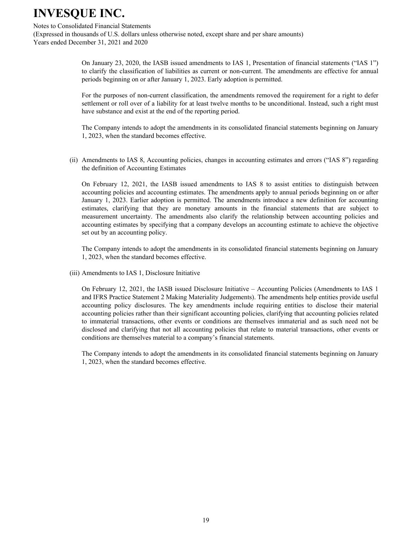#### Notes to Consolidated Financial Statements

(Expressed in thousands of U.S. dollars unless otherwise noted, except share and per share amounts) Years ended December 31, 2021 and 2020

> On January 23, 2020, the IASB issued amendments to IAS 1, Presentation of financial statements ("IAS 1") to clarify the classification of liabilities as current or non-current. The amendments are effective for annual periods beginning on or after January 1, 2023. Early adoption is permitted.

> For the purposes of non-current classification, the amendments removed the requirement for a right to defer settlement or roll over of a liability for at least twelve months to be unconditional. Instead, such a right must have substance and exist at the end of the reporting period.

> The Company intends to adopt the amendments in its consolidated financial statements beginning on January 1, 2023, when the standard becomes effective.

(ii) Amendments to IAS 8, Accounting policies, changes in accounting estimates and errors ("IAS 8") regarding the definition of Accounting Estimates

On February 12, 2021, the IASB issued amendments to IAS 8 to assist entities to distinguish between accounting policies and accounting estimates. The amendments apply to annual periods beginning on or after January 1, 2023. Earlier adoption is permitted. The amendments introduce a new definition for accounting estimates, clarifying that they are monetary amounts in the financial statements that are subject to measurement uncertainty. The amendments also clarify the relationship between accounting policies and accounting estimates by specifying that a company develops an accounting estimate to achieve the objective set out by an accounting policy.

The Company intends to adopt the amendments in its consolidated financial statements beginning on January 1, 2023, when the standard becomes effective.

(iii) Amendments to IAS 1, Disclosure Initiative

On February 12, 2021, the IASB issued Disclosure Initiative – Accounting Policies (Amendments to IAS 1 and IFRS Practice Statement 2 Making Materiality Judgements). The amendments help entities provide useful accounting policy disclosures. The key amendments include requiring entities to disclose their material accounting policies rather than their significant accounting policies, clarifying that accounting policies related to immaterial transactions, other events or conditions are themselves immaterial and as such need not be disclosed and clarifying that not all accounting policies that relate to material transactions, other events or conditions are themselves material to a company's financial statements.

The Company intends to adopt the amendments in its consolidated financial statements beginning on January 1, 2023, when the standard becomes effective.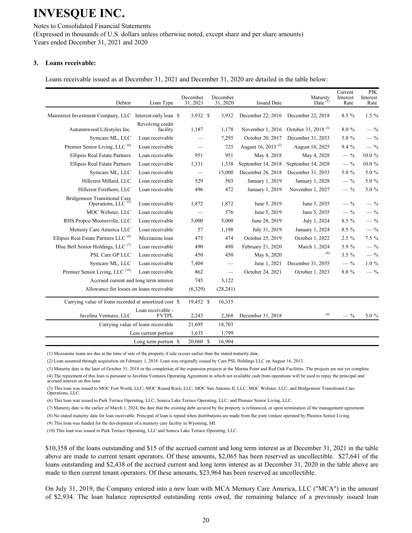Notes to Consolidated Financial Statements (Expressed in thousands of U.S. dollars unless otherwise noted, except share and per share amounts) Years ended December 31, 2021 and 2020

#### **3. Loans receivable:**

Loans receivable issued as at December 31, 2021 and December 31, 2020 are detailed in the table below:

| Debtor                                                                | Loan Type                          | December<br>31, 2021          | December<br>31, 2020 | <b>Issued Date</b>                                 | Maturity<br>Date $(1)$          | Current<br>Interest<br>Rate | <b>PIK</b><br>Interest<br>Rate |
|-----------------------------------------------------------------------|------------------------------------|-------------------------------|----------------------|----------------------------------------------------|---------------------------------|-----------------------------|--------------------------------|
| Mainstreet Investment Company, LLC                                    | Interest-only loan \$              | 3,932 \$                      | 3,932                | December 22, 2016                                  | December 22, 2018               | $8.5\%$                     | $1.5 \%$                       |
|                                                                       | Revolving credit                   |                               |                      |                                                    | October 31, 2018 <sup>(3)</sup> | 8.0%                        | $-$ %                          |
| Autumnwood Lifestyles Inc.                                            | facility                           | 1,187                         | 1,178                | November 1, 2016                                   |                                 |                             |                                |
| Symcare ML, LLC<br>Premier Senior Living, LLC <sup>(6)</sup>          | Loan receivable<br>Loan receivable |                               | 7,295<br>725         | October 20, 2017<br>August 16, 2013 <sup>(2)</sup> | December 31, 2033               | 5.0 %                       | $-$ %<br>$-$ %                 |
|                                                                       | Loan receivable                    | 951                           | 951                  |                                                    | August 16, 2025                 | 9.4%<br>$-$ %               | $10.0 \%$                      |
| <b>Ellipsis Real Estate Partners</b>                                  |                                    |                               |                      | May 4, 2018                                        | May 4, 2028                     | $-$ %                       |                                |
| <b>Ellipsis Real Estate Partners</b>                                  | Loan receivable                    | 1,331                         | 1,338                | September 14, 2018                                 | September 14, 2028              |                             | 10.0 %                         |
| Symcare ML, LLC                                                       | Loan receivable                    | $\overbrace{\phantom{12333}}$ | 15,000               | December 26, 2018                                  | December 31, 2033               | 5.0 %                       | 5.0 %                          |
| Hillcrest Millard, LLC                                                | Loan receivable                    | 529                           | 503                  | January 1, 2019                                    | January 1, 2028                 | $-$ %                       | 5.0 %                          |
| Hillcrest Firethorn, LLC                                              | Loan receivable                    | 496                           | 472                  | January 1, 2019                                    | November 1, 2027                | $-$ %                       | 5.0 %                          |
| <b>Bridgemoor Transitional Care</b><br>Operations, LLC <sup>(5)</sup> | Loan receivable                    | 1,872                         | 1,872                | June 5, 2019                                       | June 5, 2035                    | $-$ %                       | $-$ %                          |
| MOC Webster, LLC                                                      | Loan receivable                    |                               | 576                  | June 5, 2019                                       | June 5, 2035                    | $-$ %                       | $-$ %                          |
| RHS Propco Mooresville, LLC                                           | Loan receivable                    | 5,000                         | 5,000                | June 28, 2019                                      | July 1, 2024                    | 8.5 %                       | $-$ %                          |
| Memory Care America LLC                                               | Loan receivable                    | 57                            | 1,198                | July 31, 2019                                      | January 1, 2024                 | $8.5\%$                     | $-$ %                          |
| Ellipsis Real Estate Partners LLC <sup>(9)</sup>                      | Mezzanine loan                     | 475                           | 474                  | October 25, 2019                                   | October 1, 2022                 | $2.5\%$                     | 7.5 %                          |
| Blue Bell Senior Holdings, LLC <sup>(7)</sup>                         | Loan receivable                    | 490                           | 490                  | February 21, 2020                                  | March 1, 2024                   | 5.9%                        | $-$ %                          |
| PSL Care GP LLC                                                       | Loan receivable                    | 450                           | 450                  | May 6, 2020                                        | (8)                             | $3.5 \%$                    | $-$ %                          |
| Symcare ML, LLC                                                       | Loan receivable                    | 7,404                         |                      | June 1, 2021                                       | December 31, 2035               | $-$ %                       | $1.0 \%$                       |
| Premier Senior Living, LLC <sup>(10)</sup>                            | Loan receivable                    | 862                           |                      | October 24, 2021                                   | October 1, 2023                 | 8.0%                        | $-$ %                          |
| Accrued current and long term interest                                |                                    | 745                           | 3,122                |                                                    |                                 |                             |                                |
| Allowance for losses on loans receivable                              |                                    | (6,329)                       | (28, 241)            |                                                    |                                 |                             |                                |
| Carrying value of loans recorded at amortized cost \$                 |                                    | 19,452 \$                     | 16,335               |                                                    |                                 |                             |                                |
| Javelina Ventures, LLC                                                | Loan receivable -<br><b>FVTPL</b>  | 2,243                         | 2,368                | December 31, 2018                                  | (4)                             | $-$ %                       | 5.0 %                          |
| Carrying value of loans receivable                                    |                                    | 21,695                        | 18,703               |                                                    |                                 |                             |                                |
|                                                                       | Less current portion               | 1,635                         | 1,799                |                                                    |                                 |                             |                                |
|                                                                       | Long term portion \$               | 20.060 \$                     | 16,904               |                                                    |                                 |                             |                                |
|                                                                       |                                    |                               |                      |                                                    |                                 |                             |                                |

(1) Mezzanine loans are due at the time of sale of the property if sale occurs earlier than the stated maturity date.

(2) Loan assumed through acquisition on February 1, 2018. Loan was originally issued by Care PSL Holdings LLC on August 16, 2013.

(3) Maturity date is the later of October 31, 2018 or the completion of the expansion projects at the Marina Point and Red Oak Facilities. The projects are not yet complete.

(4) The repayment of this loan is pursuant to Javelina Ventures Operating Agreement in which net available cash from operations will be used to repay the principal and accrued interest on this loan.

(5) This loan was issued to MOC Fort Worth, LLC; MOC Round Rock, LLC; MOC San Antonio II, LLC; MOC Webster, LLC; and Bridgemoor Transitional Care Operations, LLC.

(6) This loan was issued to Park Terrace Operating, LLC; Seneca Lake Terrace Operating, LLC; and Premier Senior Living, LLC.

(7) Maturity date is the earlier of March 1, 2024, the date that the existing debt secured by the property is refinanced, or upon termination of the management agreement.

(8) No stated maturity date for loan receivable. Principal of loan is repaid when distributions are made from the joint venture operated by Phoenix Senior Living.

(9) This loan was funded for the development of a memory care facility in Wyoming, MI.

(10) This loan was issued to Park Terrace Operating, LLC and Seneca Lake Terrace Operating, LLC.

\$10,358 of the loans outstanding and \$15 of the accrued current and long term interest as at December 31, 2021 in the table above are made to current tenant operators. Of these amounts, \$2,065 has been reserved as uncollectible. \$27,641 of the loans outstanding and \$2,438 of the accrued current and long term interest as at December 31, 2020 in the table above are made to then current tenant operators. Of these amounts, \$23,964 has been reserved as uncollectible.

On July 31, 2019, the Company entered into a new loan with MCA Memory Care America, LLC ("MCA") in the amount of \$2,934. The loan balance represented outstanding rents owed, the remaining balance of a previously issued loan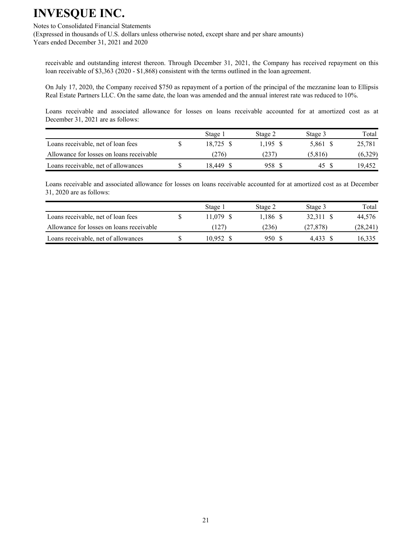#### Notes to Consolidated Financial Statements

(Expressed in thousands of U.S. dollars unless otherwise noted, except share and per share amounts) Years ended December 31, 2021 and 2020

receivable and outstanding interest thereon. Through December 31, 2021, the Company has received repayment on this loan receivable of \$3,363 (2020 - \$1,868) consistent with the terms outlined in the loan agreement.

On July 17, 2020, the Company received \$750 as repayment of a portion of the principal of the mezzanine loan to Ellipsis Real Estate Partners LLC. On the same date, the loan was amended and the annual interest rate was reduced to 10%.

Loans receivable and associated allowance for losses on loans receivable accounted for at amortized cost as at December 31, 2021 are as follows:

|                                          | Stage 1   | Stage 2 | Stage 3  | Total   |
|------------------------------------------|-----------|---------|----------|---------|
| Loans receivable, net of loan fees       | 18.725 \$ | 1.195S  | 5,861 \$ | 25,781  |
| Allowance for losses on loans receivable | (276)     | (237)   | (5,816)  | (6.329) |
| Loans receivable, net of allowances      | 18.449    | 958 S   | 45       | 19.452  |

Loans receivable and associated allowance for losses on loans receivable accounted for at amortized cost as at December 31, 2020 are as follows:

|                                          | Stage 1   | Stage 2  | Stage 3   | Total    |
|------------------------------------------|-----------|----------|-----------|----------|
| Loans receivable, net of loan fees       | 11.079 \$ | 1.186 \$ | 32.311 S  | 44.576   |
| Allowance for losses on loans receivable | .127)     | (236)    | (27, 878) | (28,241) |
| Loans receivable, net of allowances      | 10.952 \$ | 950 S    | 4.433     | 16.335   |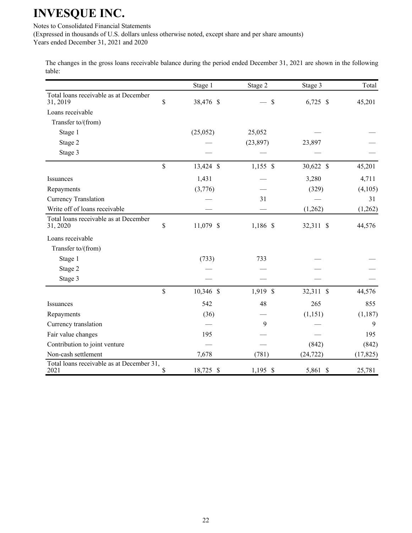Notes to Consolidated Financial Statements

(Expressed in thousands of U.S. dollars unless otherwise noted, except share and per share amounts)

Years ended December 31, 2021 and 2020

The changes in the gross loans receivable balance during the period ended December 31, 2021 are shown in the following table:

|                                                   | Stage 1         | Stage 2    | Stage 3    | Total     |
|---------------------------------------------------|-----------------|------------|------------|-----------|
| Total loans receivable as at December<br>31, 2019 | \$<br>38,476 \$ | \$         | $6,725$ \$ | 45,201    |
| Loans receivable                                  |                 |            |            |           |
| Transfer to/(from)                                |                 |            |            |           |
| Stage 1                                           | (25,052)        | 25,052     |            |           |
| Stage 2                                           |                 | (23, 897)  | 23,897     |           |
| Stage 3                                           |                 |            |            |           |
|                                                   | \$<br>13,424 \$ | $1,155$ \$ | 30,622 \$  | 45,201    |
| Issuances                                         | 1,431           |            | 3,280      | 4,711     |
| Repayments                                        | (3,776)         |            | (329)      | (4,105)   |
| Currency Translation                              |                 | 31         |            | 31        |
| Write off of loans receivable                     |                 |            | (1,262)    | (1,262)   |
| Total loans receivable as at December<br>31, 2020 | \$<br>11,079 \$ | 1,186 \$   | 32,311 \$  | 44,576    |
| Loans receivable                                  |                 |            |            |           |
| Transfer to/(from)                                |                 |            |            |           |
| Stage 1                                           | (733)           | 733        |            |           |
| Stage 2                                           |                 |            |            |           |
| Stage 3                                           |                 |            |            |           |
|                                                   | \$<br>10,346 \$ | 1,919 \$   | 32,311 \$  | 44,576    |
| Issuances                                         | 542             | 48         | 265        | 855       |
| Repayments                                        | (36)            |            | (1, 151)   | (1, 187)  |
| Currency translation                              |                 | 9          |            | 9         |
| Fair value changes                                | 195             |            |            | 195       |
| Contribution to joint venture                     |                 |            | (842)      | (842)     |
| Non-cash settlement                               | 7,678           | (781)      | (24, 722)  | (17, 825) |
| Total loans receivable as at December 31,<br>2021 | \$<br>18,725 \$ | $1,195$ \$ | 5,861 \$   | 25,781    |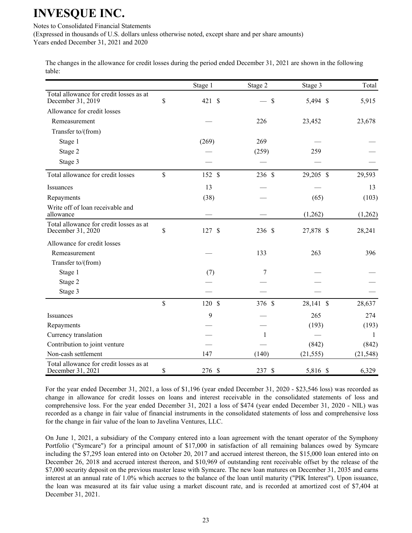Notes to Consolidated Financial Statements

(Expressed in thousands of U.S. dollars unless otherwise noted, except share and per share amounts) Years ended December 31, 2021 and 2020

The changes in the allowance for credit losses during the period ended December 31, 2021 are shown in the following table:

|                                                              |               | Stage 1              | Stage 2      | Stage 3   | Total     |
|--------------------------------------------------------------|---------------|----------------------|--------------|-----------|-----------|
| Total allowance for credit losses as at<br>December 31, 2019 | \$            | 421S                 | \$           | 5,494 \$  | 5,915     |
| Allowance for credit losses                                  |               |                      |              |           |           |
| Remeasurement                                                |               |                      | 226          | 23,452    | 23,678    |
| Transfer to/(from)                                           |               |                      |              |           |           |
| Stage 1                                                      |               | (269)                | 269          |           |           |
| Stage 2                                                      |               |                      | (259)        | 259       |           |
| Stage 3                                                      |               |                      |              |           |           |
|                                                              |               |                      |              |           |           |
| Total allowance for credit losses                            | $\mathsf{\$}$ | 152 \$               | 236 \$       | 29,205 \$ | 29,593    |
| Issuances                                                    |               | 13                   |              |           | 13        |
| Repayments                                                   |               | (38)                 |              | (65)      | (103)     |
| Write off of loan receivable and<br>allowance                |               |                      |              | (1,262)   | (1,262)   |
| Total allowance for credit losses as at<br>December 31, 2020 | \$            | 127<br>$\mathcal{S}$ | 236 \$       | 27,878 \$ | 28,241    |
| Allowance for credit losses                                  |               |                      |              |           |           |
| Remeasurement                                                |               |                      | 133          | 263       | 396       |
| Transfer to/(from)                                           |               |                      |              |           |           |
| Stage 1                                                      |               | (7)                  | 7            |           |           |
| Stage 2                                                      |               |                      |              |           |           |
| Stage 3                                                      |               |                      |              |           |           |
|                                                              | \$            | 120 \$               | 376 \$       | 28,141 \$ | 28,637    |
| Issuances                                                    |               | 9                    |              | 265       | 274       |
| Repayments                                                   |               |                      |              | (193)     | (193)     |
| Currency translation                                         |               |                      | $\mathbf{1}$ |           | 1         |
| Contribution to joint venture                                |               |                      |              | (842)     | (842)     |
| Non-cash settlement                                          |               | 147                  | (140)        | (21, 555) | (21, 548) |
| Total allowance for credit losses as at<br>December 31, 2021 | \$            | 276 \$               | 237 \$       | 5,816 \$  | 6,329     |

For the year ended December 31, 2021, a loss of \$1,196 (year ended December 31, 2020 - \$23,546 loss) was recorded as change in allowance for credit losses on loans and interest receivable in the consolidated statements of loss and comprehensive loss. For the year ended December 31, 2021 a loss of \$474 (year ended December 31, 2020 - NIL) was recorded as a change in fair value of financial instruments in the consolidated statements of loss and comprehensive loss for the change in fair value of the loan to Javelina Ventures, LLC.

On June 1, 2021, a subsidiary of the Company entered into a loan agreement with the tenant operator of the Symphony Portfolio ("Symcare") for a principal amount of \$17,000 in satisfaction of all remaining balances owed by Symcare including the \$7,295 loan entered into on October 20, 2017 and accrued interest thereon, the \$15,000 loan entered into on December 26, 2018 and accrued interest thereon, and \$10,969 of outstanding rent receivable offset by the release of the \$7,000 security deposit on the previous master lease with Symcare. The new loan matures on December 31, 2035 and earns interest at an annual rate of 1.0% which accrues to the balance of the loan until maturity ("PIK Interest"). Upon issuance, the loan was measured at its fair value using a market discount rate, and is recorded at amortized cost of \$7,404 at December 31, 2021.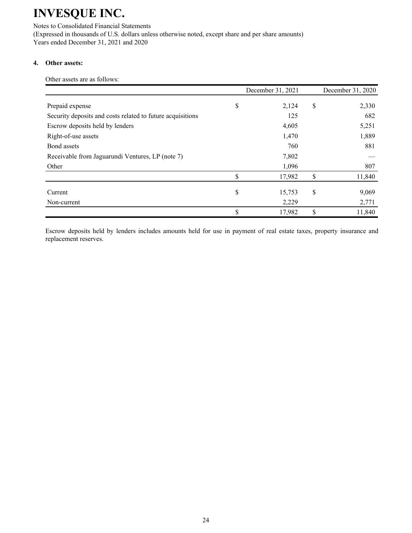Notes to Consolidated Financial Statements (Expressed in thousands of U.S. dollars unless otherwise noted, except share and per share amounts) Years ended December 31, 2021 and 2020

### **4. Other assets:**

Other assets are as follows:

|                                                            | December 31, 2021 | December 31, 2020 |
|------------------------------------------------------------|-------------------|-------------------|
| Prepaid expense                                            | \$<br>2,124       | \$<br>2,330       |
| Security deposits and costs related to future acquisitions | 125               | 682               |
| Escrow deposits held by lenders                            | 4,605             | 5,251             |
| Right-of-use assets                                        | 1,470             | 1,889             |
| Bond assets                                                | 760               | 881               |
| Receivable from Jaguarundi Ventures, LP (note 7)           | 7,802             |                   |
| Other                                                      | 1,096             | 807               |
|                                                            | \$<br>17,982      | \$<br>11,840      |
| Current                                                    | \$<br>15,753      | \$<br>9,069       |
| Non-current                                                | 2,229             | 2,771             |
|                                                            | \$<br>17,982      | \$<br>11,840      |

Escrow deposits held by lenders includes amounts held for use in payment of real estate taxes, property insurance and replacement reserves.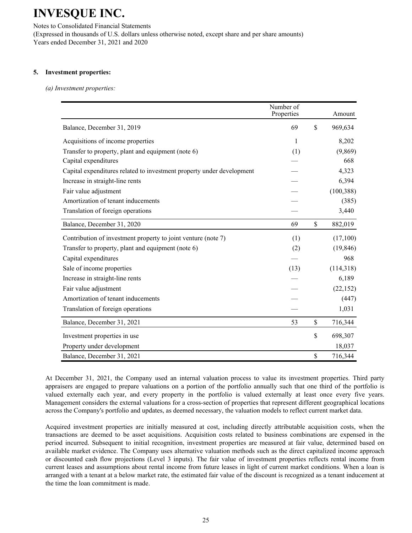Notes to Consolidated Financial Statements (Expressed in thousands of U.S. dollars unless otherwise noted, except share and per share amounts) Years ended December 31, 2021 and 2020

#### **5. Investment properties:**

*(a) Investment properties:*

|                                                                       | Number of<br>Properties | Amount        |
|-----------------------------------------------------------------------|-------------------------|---------------|
| Balance, December 31, 2019                                            | 69                      | \$<br>969,634 |
| Acquisitions of income properties                                     | $\mathbf{1}$            | 8,202         |
| Transfer to property, plant and equipment (note 6)                    | (1)                     | (9,869)       |
| Capital expenditures                                                  |                         | 668           |
| Capital expenditures related to investment property under development |                         | 4,323         |
| Increase in straight-line rents                                       |                         | 6,394         |
| Fair value adjustment                                                 |                         | (100, 388)    |
| Amortization of tenant inducements                                    |                         | (385)         |
| Translation of foreign operations                                     |                         | 3,440         |
| Balance, December 31, 2020                                            | 69                      | \$<br>882,019 |
| Contribution of investment property to joint venture (note 7)         | (1)                     | (17,100)      |
| Transfer to property, plant and equipment (note 6)                    | (2)                     | (19, 846)     |
| Capital expenditures                                                  |                         | 968           |
| Sale of income properties                                             | (13)                    | (114,318)     |
| Increase in straight-line rents                                       |                         | 6,189         |
| Fair value adjustment                                                 |                         | (22, 152)     |
| Amortization of tenant inducements                                    |                         | (447)         |
| Translation of foreign operations                                     |                         | 1,031         |
| Balance, December 31, 2021                                            | 53                      | \$<br>716,344 |
| Investment properties in use                                          |                         | \$<br>698,307 |
| Property under development                                            |                         | 18,037        |
| Balance, December 31, 2021                                            |                         | \$<br>716,344 |

At December 31, 2021, the Company used an internal valuation process to value its investment properties. Third party appraisers are engaged to prepare valuations on a portion of the portfolio annually such that one third of the portfolio is valued externally each year, and every property in the portfolio is valued externally at least once every five years. Management considers the external valuations for a cross-section of properties that represent different geographical locations across the Company's portfolio and updates, as deemed necessary, the valuation models to reflect current market data.

Acquired investment properties are initially measured at cost, including directly attributable acquisition costs, when the transactions are deemed to be asset acquisitions. Acquisition costs related to business combinations are expensed in the period incurred. Subsequent to initial recognition, investment properties are measured at fair value, determined based on available market evidence. The Company uses alternative valuation methods such as the direct capitalized income approach or discounted cash flow projections (Level 3 inputs). The fair value of investment properties reflects rental income from current leases and assumptions about rental income from future leases in light of current market conditions. When a loan is arranged with a tenant at a below market rate, the estimated fair value of the discount is recognized as a tenant inducement at the time the loan commitment is made.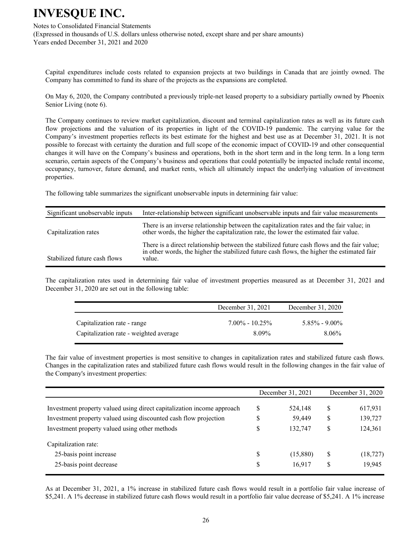#### Notes to Consolidated Financial Statements

(Expressed in thousands of U.S. dollars unless otherwise noted, except share and per share amounts) Years ended December 31, 2021 and 2020

Capital expenditures include costs related to expansion projects at two buildings in Canada that are jointly owned. The Company has committed to fund its share of the projects as the expansions are completed.

On May 6, 2020, the Company contributed a previously triple-net leased property to a subsidiary partially owned by Phoenix Senior Living (note 6).

The Company continues to review market capitalization, discount and terminal capitalization rates as well as its future cash flow projections and the valuation of its properties in light of the COVID-19 pandemic. The carrying value for the Company's investment properties reflects its best estimate for the highest and best use as at December 31, 2021. It is not possible to forecast with certainty the duration and full scope of the economic impact of COVID-19 and other consequential changes it will have on the Company's business and operations, both in the short term and in the long term. In a long term scenario, certain aspects of the Company's business and operations that could potentially be impacted include rental income, occupancy, turnover, future demand, and market rents, which all ultimately impact the underlying valuation of investment properties.

The following table summarizes the significant unobservable inputs in determining fair value:

| Significant unobservable inputs | Inter-relationship between significant unobservable inputs and fair value measurements                                                                                                              |
|---------------------------------|-----------------------------------------------------------------------------------------------------------------------------------------------------------------------------------------------------|
| Capitalization rates            | There is an inverse relationship between the capitalization rates and the fair value; in<br>other words, the higher the capitalization rate, the lower the estimated fair value.                    |
| Stabilized future cash flows    | There is a direct relationship between the stabilized future cash flows and the fair value;<br>in other words, the higher the stabilized future cash flows, the higher the estimated fair<br>value. |

The capitalization rates used in determining fair value of investment properties measured as at December 31, 2021 and December 31, 2020 are set out in the following table:

|                                        | December 31, 2021  | December 31, 2020 |
|----------------------------------------|--------------------|-------------------|
| Capitalization rate - range            | $7.00\% - 10.25\%$ | $5.85\% - 9.00\%$ |
| Capitalization rate - weighted average | 8.09%              | 8.06%             |

The fair value of investment properties is most sensitive to changes in capitalization rates and stabilized future cash flows. Changes in the capitalization rates and stabilized future cash flows would result in the following changes in the fair value of the Company's investment properties:

|                                                                        |    | December 31, 2021 |    | December 31, 2020 |
|------------------------------------------------------------------------|----|-------------------|----|-------------------|
| Investment property valued using direct capitalization income approach | S  | 524,148           | S  | 617,931           |
| Investment property valued using discounted cash flow projection       | \$ | 59,449            | \$ | 139,727           |
| Investment property valued using other methods                         | \$ | 132,747           | \$ | 124,361           |
| Capitalization rate:                                                   |    |                   |    |                   |
| 25-basis point increase                                                | \$ | (15,880)          | \$ | (18, 727)         |
| 25-basis point decrease                                                | \$ | 16,917            | S  | 19,945            |

As at December 31, 2021, a 1% increase in stabilized future cash flows would result in a portfolio fair value increase of \$5,241. A 1% decrease in stabilized future cash flows would result in a portfolio fair value decrease of \$5,241. A 1% increase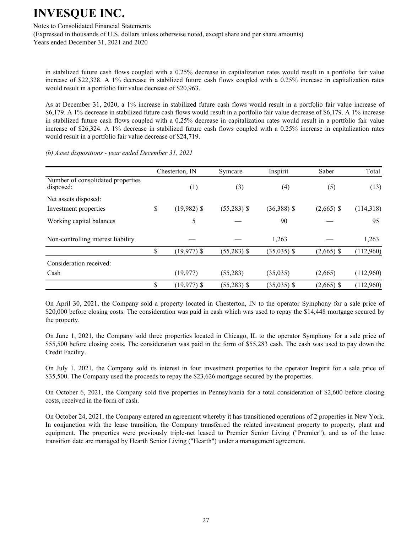#### Notes to Consolidated Financial Statements

(Expressed in thousands of U.S. dollars unless otherwise noted, except share and per share amounts) Years ended December 31, 2021 and 2020

in stabilized future cash flows coupled with a 0.25% decrease in capitalization rates would result in a portfolio fair value increase of \$22,328. A 1% decrease in stabilized future cash flows coupled with a 0.25% increase in capitalization rates would result in a portfolio fair value decrease of \$20,963.

As at December 31, 2020, a 1% increase in stabilized future cash flows would result in a portfolio fair value increase of \$6,179. A 1% decrease in stabilized future cash flows would result in a portfolio fair value decrease of \$6,179. A 1% increase in stabilized future cash flows coupled with a 0.25% decrease in capitalization rates would result in a portfolio fair value increase of \$26,324. A 1% decrease in stabilized future cash flows coupled with a 0.25% increase in capitalization rates would result in a portfolio fair value decrease of \$24,719.

*(b) Asset dispositions - year ended December 31, 2021*

|                                                | Chesterton, IN       | Symcare       | Inspirit      | Saber        | Total     |
|------------------------------------------------|----------------------|---------------|---------------|--------------|-----------|
| Number of consolidated properties<br>disposed: | (1)                  | (3)           | (4)           | (5)          | (13)      |
| Net assets disposed:<br>Investment properties  | \$<br>$(19,982)$ \$  | $(55,283)$ \$ | $(36,388)$ \$ | $(2,665)$ \$ | (114,318) |
| Working capital balances                       | 5                    |               | 90            |              | 95        |
| Non-controlling interest liability             |                      |               | 1,263         |              | 1,263     |
|                                                | \$<br>$(19,977)$ \$  | $(55,283)$ \$ | $(35,035)$ \$ | $(2,665)$ \$ | (112,960) |
| Consideration received:                        |                      |               |               |              |           |
| Cash                                           | (19, 977)            | (55,283)      | (35,035)      | (2,665)      | (112,960) |
|                                                | \$<br>$(19, 977)$ \$ | $(55,283)$ \$ | $(35,035)$ \$ | $(2,665)$ \$ | (112,960) |

On April 30, 2021, the Company sold a property located in Chesterton, IN to the operator Symphony for a sale price of \$20,000 before closing costs. The consideration was paid in cash which was used to repay the \$14,448 mortgage secured by the property.

On June 1, 2021, the Company sold three properties located in Chicago, IL to the operator Symphony for a sale price of \$55,500 before closing costs. The consideration was paid in the form of \$55,283 cash. The cash was used to pay down the Credit Facility.

On July 1, 2021, the Company sold its interest in four investment properties to the operator Inspirit for a sale price of \$35,500. The Company used the proceeds to repay the \$23,626 mortgage secured by the properties.

On October 6, 2021, the Company sold five properties in Pennsylvania for a total consideration of \$2,600 before closing costs, received in the form of cash.

On October 24, 2021, the Company entered an agreement whereby it has transitioned operations of 2 properties in New York. In conjunction with the lease transition, the Company transferred the related investment property to property, plant and equipment. The properties were previously triple-net leased to Premier Senior Living ("Premier"), and as of the lease transition date are managed by Hearth Senior Living ("Hearth") under a management agreement.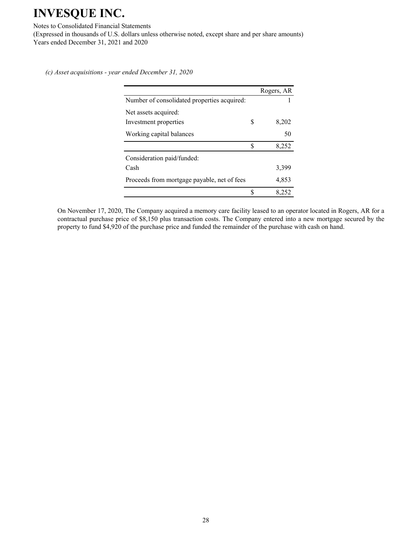#### Notes to Consolidated Financial Statements

(Expressed in thousands of U.S. dollars unless otherwise noted, except share and per share amounts) Years ended December 31, 2021 and 2020

*(c) Asset acquisitions - year ended December 31, 2020*

|                                             |   | Rogers, AR |
|---------------------------------------------|---|------------|
| Number of consolidated properties acquired: |   |            |
| Net assets acquired:                        |   |            |
| Investment properties                       | S | 8,202      |
| Working capital balances                    |   | 50         |
|                                             | S | 8,252      |
| Consideration paid/funded:                  |   |            |
| Cash                                        |   | 3,399      |
| Proceeds from mortgage payable, net of fees |   | 4,853      |
|                                             | S | 8.252      |

On November 17, 2020, The Company acquired a memory care facility leased to an operator located in Rogers, AR for a contractual purchase price of \$8,150 plus transaction costs. The Company entered into a new mortgage secured by the property to fund \$4,920 of the purchase price and funded the remainder of the purchase with cash on hand.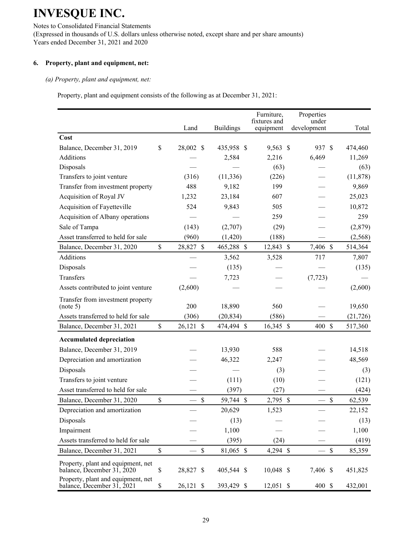Notes to Consolidated Financial Statements (Expressed in thousands of U.S. dollars unless otherwise noted, except share and per share amounts) Years ended December 31, 2021 and 2020

### **6. Property, plant and equipment, net:**

#### *(a) Property, plant and equipment, net:*

Property, plant and equipment consists of the following as at December 31, 2021:

|                                                                  |               | Land          | <b>Buildings</b> | Furniture,<br>fixtures and<br>equipment | Properties<br>under<br>development       | Total     |
|------------------------------------------------------------------|---------------|---------------|------------------|-----------------------------------------|------------------------------------------|-----------|
| Cost                                                             |               |               |                  |                                         |                                          |           |
| Balance, December 31, 2019                                       | \$            | 28,002 \$     | 435,958 \$       | 9,563 \$                                | 937 \$                                   | 474,460   |
| Additions                                                        |               |               | 2,584            | 2,216                                   | 6,469                                    | 11,269    |
| Disposals                                                        |               |               |                  | (63)                                    |                                          | (63)      |
| Transfers to joint venture                                       |               | (316)         | (11, 336)        | (226)                                   |                                          | (11, 878) |
| Transfer from investment property                                |               | 488           | 9,182            | 199                                     |                                          | 9,869     |
| Acquisition of Royal JV                                          |               | 1,232         | 23,184           | 607                                     |                                          | 25,023    |
| Acquisition of Fayetteville                                      |               | 524           | 9,843            | 505                                     |                                          | 10,872    |
| Acquisition of Albany operations                                 |               |               |                  | 259                                     |                                          | 259       |
| Sale of Tampa                                                    |               | (143)         | (2,707)          | (29)                                    |                                          | (2,879)   |
| Asset transferred to held for sale                               |               | (960)         | (1, 420)         | (188)                                   |                                          | (2, 568)  |
| Balance, December 31, 2020                                       | $\mathsf{\$}$ | 28,827 \$     | 465,288 \$       | 12,843 \$                               | 7,406 \$                                 | 514,364   |
| Additions                                                        |               |               | 3,562            | 3,528                                   | 717                                      | 7,807     |
| Disposals                                                        |               |               | (135)            |                                         |                                          | (135)     |
| Transfers                                                        |               |               | 7,723            |                                         | (7, 723)                                 |           |
| Assets contributed to joint venture                              |               | (2,600)       |                  |                                         |                                          | (2,600)   |
| Transfer from investment property<br>(note 5)                    |               | 200           | 18,890           | 560                                     |                                          | 19,650    |
| Assets transferred to held for sale                              |               | (306)         | (20, 834)        | (586)                                   |                                          | (21, 726) |
| Balance, December 31, 2021                                       | \$            | 26,121 \$     | 474,494 \$       | 16,345 \$                               | 400 \$                                   | 517,360   |
| <b>Accumulated depreciation</b>                                  |               |               |                  |                                         |                                          |           |
| Balance, December 31, 2019                                       |               |               | 13,930           | 588                                     |                                          | 14,518    |
| Depreciation and amortization                                    |               |               | 46,322           | 2,247                                   |                                          | 48,569    |
| Disposals                                                        |               |               |                  | (3)                                     |                                          | (3)       |
| Transfers to joint venture                                       |               |               | (111)            | (10)                                    |                                          | (121)     |
| Asset transferred to held for sale                               |               |               | (397)            | (27)                                    |                                          | (424)     |
| Balance, December 31, 2020                                       | \$            | $\mathcal{S}$ | 59,744 \$        | 2,795 \$                                | $\mathcal{S}$                            | 62,539    |
| Depreciation and amortization                                    |               |               | 20,629           | 1,523                                   |                                          | 22,152    |
| Disposals                                                        |               |               | (13)             |                                         |                                          | (13)      |
| Impairment                                                       |               |               | 1,100            |                                         |                                          | 1,100     |
| Assets transferred to held for sale                              |               |               | (395)            | (24)                                    |                                          | (419)     |
| Balance, December 31, 2021                                       | $\mathbb{S}$  | $\mathbb{S}$  | 81,065 \$        | 4,294 \$                                | $\mathbb{S}$<br>$\overline{\phantom{0}}$ | 85,359    |
| Property, plant and equipment, net<br>balance, December 31, 2020 | \$            | 28,827 \$     | 405,544 \$       | 10,048 \$                               | 7,406 \$                                 | 451,825   |
| Property, plant and equipment, net<br>balance, December 31, 2021 | $\$$          | 26,121 \$     | 393,429 \$       | $12,051$ \$                             | 400 \$                                   | 432,001   |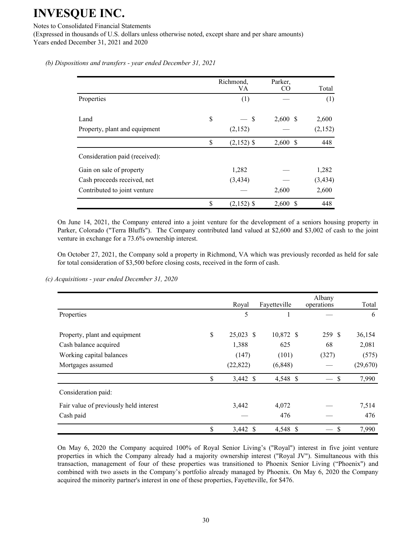Notes to Consolidated Financial Statements

(Expressed in thousands of U.S. dollars unless otherwise noted, except share and per share amounts) Years ended December 31, 2021 and 2020

*(b) Dispositions and transfers - year ended December 31, 2021*

|                                | Richmond,<br>VA     | Parker,<br>CO | Total    |
|--------------------------------|---------------------|---------------|----------|
| Properties                     | (1)                 |               | (1)      |
|                                |                     |               |          |
| Land                           | \$<br><sup>\$</sup> | $2,600$ \$    | 2,600    |
| Property, plant and equipment  | (2,152)             |               | (2,152)  |
|                                | \$<br>$(2,152)$ \$  | $2,600$ \$    | 448      |
| Consideration paid (received): |                     |               |          |
| Gain on sale of property       | 1,282               |               | 1,282    |
| Cash proceeds received, net    | (3, 434)            |               | (3, 434) |
| Contributed to joint venture   |                     | 2,600         | 2,600    |
|                                | \$<br>$(2,152)$ \$  | 2,600<br>S    | 448      |

On June 14, 2021, the Company entered into a joint venture for the development of a seniors housing property in Parker, Colorado ("Terra Bluffs"). The Company contributed land valued at \$2,600 and \$3,002 of cash to the joint venture in exchange for a 73.6% ownership interest.

On October 27, 2021, the Company sold a property in Richmond, VA which was previously recorded as held for sale for total consideration of \$3,500 before closing costs, received in the form of cash.

*(c) Acquisitions - year ended December 31, 2020*

|                                        | Royal             | Fayetteville | Albany<br>operations | Total     |
|----------------------------------------|-------------------|--------------|----------------------|-----------|
| Properties                             | 5                 |              |                      | 6         |
| Property, plant and equipment          | \$<br>$25,023$ \$ | 10,872 \$    | 259 \$               | 36,154    |
| Cash balance acquired                  | 1,388             | 625          | 68                   | 2,081     |
| Working capital balances               | (147)             | (101)        | (327)                | (575)     |
| Mortgages assumed                      | (22, 822)         | (6, 848)     |                      | (29, 670) |
|                                        | \$<br>3,442 \$    | 4,548 \$     | \$                   | 7,990     |
| Consideration paid:                    |                   |              |                      |           |
| Fair value of previously held interest | 3,442             | 4,072        |                      | 7,514     |
| Cash paid                              |                   | 476          |                      | 476       |
|                                        | \$<br>3,442 \$    | 4,548 \$     | \$                   | 7,990     |

On May 6, 2020 the Company acquired 100% of Royal Senior Living's ("Royal") interest in five joint venture properties in which the Company already had a majority ownership interest ("Royal JV"). Simultaneous with this transaction, management of four of these properties was transitioned to Phoenix Senior Living ("Phoenix") and combined with two assets in the Company's portfolio already managed by Phoenix. On May 6, 2020 the Company acquired the minority partner's interest in one of these properties, Fayetteville, for \$476.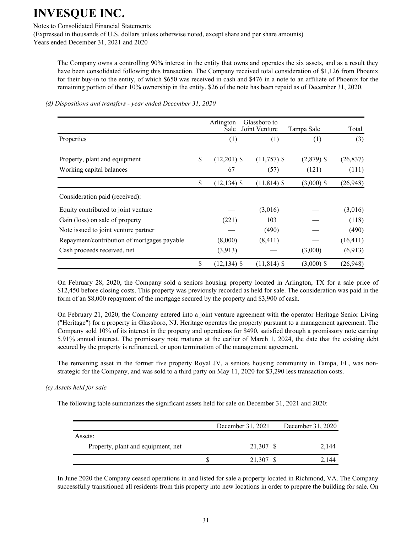Notes to Consolidated Financial Statements

(Expressed in thousands of U.S. dollars unless otherwise noted, except share and per share amounts) Years ended December 31, 2021 and 2020

The Company owns a controlling 90% interest in the entity that owns and operates the six assets, and as a result they have been consolidated following this transaction. The Company received total consideration of \$1,126 from Phoenix for their buy-in to the entity, of which \$650 was received in cash and \$476 in a note to an affiliate of Phoenix for the remaining portion of their 10% ownership in the entity. \$26 of the note has been repaid as of December 31, 2020.

|                                             | Arlington<br>Sale    | Glassboro to<br>Joint Venture | Tampa Sale   | Total     |
|---------------------------------------------|----------------------|-------------------------------|--------------|-----------|
| Properties                                  | (1)                  | (1)                           | (1)          | (3)       |
| Property, plant and equipment               | \$<br>$(12,201)$ \$  | $(11,757)$ \$                 | $(2,879)$ \$ | (26, 837) |
| Working capital balances                    | 67                   | (57)                          | (121)        | (111)     |
|                                             | \$<br>$(12, 134)$ \$ | $(11, 814)$ \$                | $(3,000)$ \$ | (26,948)  |
| Consideration paid (received):              |                      |                               |              |           |
| Equity contributed to joint venture         |                      | (3,016)                       |              | (3,016)   |
| Gain (loss) on sale of property             | (221)                | 103                           |              | (118)     |
| Note issued to joint venture partner        |                      | (490)                         |              | (490)     |
| Repayment/contribution of mortgages payable | (8,000)              | (8, 411)                      |              | (16, 411) |
| Cash proceeds received, net                 | (3,913)              |                               | (3,000)      | (6,913)   |
|                                             | \$<br>$(12, 134)$ \$ | $(11, 814)$ \$                | $(3,000)$ \$ | (26,948)  |

*(d) Dispositions and transfers - year ended December 31, 2020*

On February 28, 2020, the Company sold a seniors housing property located in Arlington, TX for a sale price of \$12,450 before closing costs. This property was previously recorded as held for sale. The consideration was paid in the form of an \$8,000 repayment of the mortgage secured by the property and \$3,900 of cash.

On February 21, 2020, the Company entered into a joint venture agreement with the operator Heritage Senior Living ("Heritage") for a property in Glassboro, NJ. Heritage operates the property pursuant to a management agreement. The Company sold 10% of its interest in the property and operations for \$490, satisfied through a promissory note earning 5.91% annual interest. The promissory note matures at the earlier of March 1, 2024, the date that the existing debt secured by the property is refinanced, or upon termination of the management agreement.

The remaining asset in the former five property Royal JV, a seniors housing community in Tampa, FL, was nonstrategic for the Company, and was sold to a third party on May 11, 2020 for \$3,290 less transaction costs.

*(e) Assets held for sale*

The following table summarizes the significant assets held for sale on December 31, 2021 and 2020:

|                                    | December 31, 2021 | December 31, 2020 |
|------------------------------------|-------------------|-------------------|
| Assets:                            |                   |                   |
| Property, plant and equipment, net | 21,307 \$         | 2.144             |
|                                    |                   | 2.144             |

In June 2020 the Company ceased operations in and listed for sale a property located in Richmond, VA. The Company successfully transitioned all residents from this property into new locations in order to prepare the building for sale. On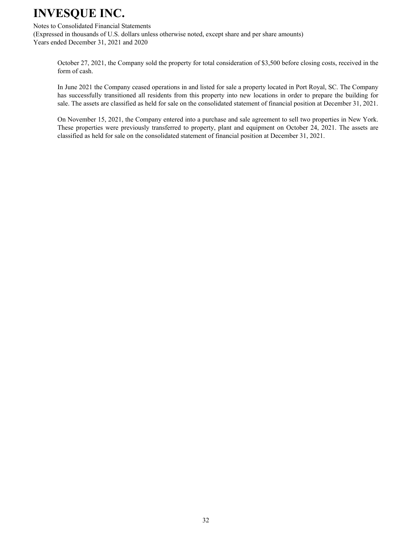Notes to Consolidated Financial Statements

(Expressed in thousands of U.S. dollars unless otherwise noted, except share and per share amounts) Years ended December 31, 2021 and 2020

October 27, 2021, the Company sold the property for total consideration of \$3,500 before closing costs, received in the form of cash.

In June 2021 the Company ceased operations in and listed for sale a property located in Port Royal, SC. The Company has successfully transitioned all residents from this property into new locations in order to prepare the building for sale. The assets are classified as held for sale on the consolidated statement of financial position at December 31, 2021.

On November 15, 2021, the Company entered into a purchase and sale agreement to sell two properties in New York. These properties were previously transferred to property, plant and equipment on October 24, 2021. The assets are classified as held for sale on the consolidated statement of financial position at December 31, 2021.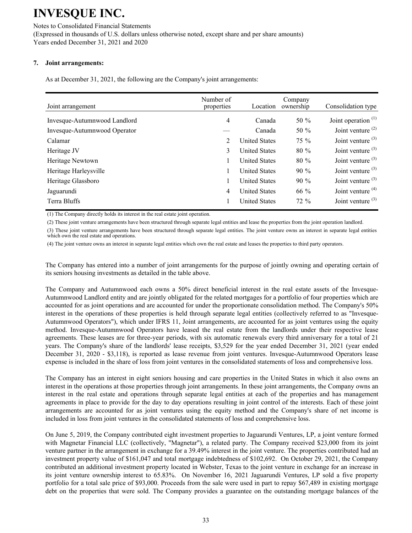#### Notes to Consolidated Financial Statements (Expressed in thousands of U.S. dollars unless otherwise noted, except share and per share amounts) Years ended December 31, 2021 and 2020

### **7. Joint arrangements:**

As at December 31, 2021, the following are the Company's joint arrangements:

| Joint arrangement            | Number of<br>properties | Location             | Company<br>ownership | Consolidation type    |
|------------------------------|-------------------------|----------------------|----------------------|-----------------------|
| Invesque-Autumnwood Landlord | 4                       | Canada               | 50 $\%$              | Joint operation $(1)$ |
| Invesque-Autumnwood Operator |                         | Canada               | 50 $%$               | Joint venture $(2)$   |
| Calamar                      | 2                       | <b>United States</b> | $75\%$               | Joint venture $(3)$   |
| Heritage JV                  | 3                       | <b>United States</b> | $80 \%$              | Joint venture $(3)$   |
| Heritage Newtown             |                         | <b>United States</b> | $80\%$               | Joint venture $(3)$   |
| Heritage Harleysville        |                         | <b>United States</b> | $90\%$               | Joint venture $(3)$   |
| Heritage Glassboro           |                         | <b>United States</b> | $90\%$               | Joint venture $(3)$   |
| Jaguarundi                   | 4                       | <b>United States</b> | 66 %                 | Joint venture $(4)$   |
| Terra Bluffs                 |                         | <b>United States</b> | $72\%$               | Joint venture $(3)$   |

(1) The Company directly holds its interest in the real estate joint operation.

(2) These joint venture arrangements have been structured through separate legal entities and lease the properties from the joint operation landlord.

(3) These joint venture arrangements have been structured through separate legal entities. The joint venture owns an interest in separate legal entities which own the real estate and operations.

(4) The joint venture owns an interest in separate legal entities which own the real estate and leases the properties to third party operators.

The Company has entered into a number of joint arrangements for the purpose of jointly owning and operating certain of its seniors housing investments as detailed in the table above.

The Company and Autumnwood each owns a 50% direct beneficial interest in the real estate assets of the Invesque-Autumnwood Landlord entity and are jointly obligated for the related mortgages for a portfolio of four properties which are accounted for as joint operations and are accounted for under the proportionate consolidation method. The Company's 50% interest in the operations of these properties is held through separate legal entities (collectively referred to as "Invesque-Autumnwood Operators"), which under IFRS 11, Joint arrangements, are accounted for as joint ventures using the equity method. Invesque-Autumnwood Operators have leased the real estate from the landlords under their respective lease agreements. These leases are for three-year periods, with six automatic renewals every third anniversary for a total of 21 years. The Company's share of the landlords' lease receipts, \$3,529 for the year ended December 31, 2021 (year ended December 31, 2020 - \$3,118), is reported as lease revenue from joint ventures. Invesque-Autumnwood Operators lease expense is included in the share of loss from joint ventures in the consolidated statements of loss and comprehensive loss.

The Company has an interest in eight seniors housing and care properties in the United States in which it also owns an interest in the operations at those properties through joint arrangements. In these joint arrangements, the Company owns an interest in the real estate and operations through separate legal entities at each of the properties and has management agreements in place to provide for the day to day operations resulting in joint control of the interests. Each of these joint arrangements are accounted for as joint ventures using the equity method and the Company's share of net income is included in loss from joint ventures in the consolidated statements of loss and comprehensive loss.

On June 5, 2019, the Company contributed eight investment properties to Jaguarundi Ventures, LP, a joint venture formed with Magnetar Financial LLC (collectively, "Magnetar"), a related party. The Company received \$23,000 from its joint venture partner in the arrangement in exchange for a 39.49% interest in the joint venture. The properties contributed had an investment property value of \$161,047 and total mortgage indebtedness of \$102,692. On October 29, 2021, the Company contributed an additional investment property located in Webster, Texas to the joint venture in exchange for an increase in its joint venture ownership interest to 65.83%. On November 16, 2021 Jaguarundi Ventures, LP sold a five property portfolio for a total sale price of \$93,000. Proceeds from the sale were used in part to repay \$67,489 in existing mortgage debt on the properties that were sold. The Company provides a guarantee on the outstanding mortgage balances of the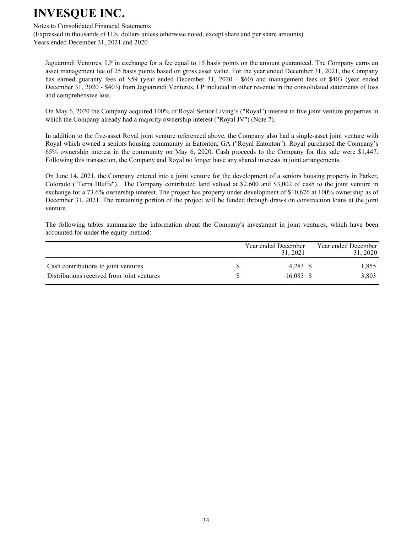#### Notes to Consolidated Financial Statements

(Expressed in thousands of U.S. dollars unless otherwise noted, except share and per share amounts) Years ended December 31, 2021 and 2020

Jaguarundi Ventures, LP in exchange for a fee equal to 15 basis points on the amount guaranteed. The Company earns an asset management fee of 25 basis points based on gross asset value. For the year ended December 31, 2021, the Company has earned guaranty fees of \$59 (year ended December 31, 2020 - \$60) and management fees of \$403 (year ended December 31, 2020 - \$403) from Jaguarundi Ventures, LP included in other revenue in the consolidated statements of loss and comprehensive loss.

On May 6, 2020 the Company acquired 100% of Royal Senior Living's ("Royal") interest in five joint venture properties in which the Company already had a majority ownership interest ("Royal JV") (Note 7).

In addition to the five-asset Royal joint venture referenced above, the Company also had a single-asset joint venture with Royal which owned a seniors housing community in Eatonton, GA ("Royal Eatonton"). Royal purchased the Company's 65% ownership interest in the community on May 6, 2020. Cash proceeds to the Company for this sale were \$1,447. Following this transaction, the Company and Royal no longer have any shared interests in joint arrangements.

On June 14, 2021, the Company entered into a joint venture for the development of a seniors housing property in Parker, Colorado ("Terra Bluffs"). The Company contributed land valued at \$2,600 and \$3,002 of cash to the joint venture in exchange for a 73.6% ownership interest. The project has property under development of \$10,676 at 100% ownership as of December 31, 2021. The remaining portion of the project will be funded through draws on construction loans at the joint venture.

The following tables summarize the information about the Company's investment in joint ventures, which have been accounted for under the equity method:

|                                                                                    | Year ended December<br>31, 2021 | Year ended December<br>31, 2020 |
|------------------------------------------------------------------------------------|---------------------------------|---------------------------------|
| Cash contributions to joint ventures<br>Distributions received from joint ventures | 4.283 \$<br>16,083 \$           | 1,855<br>3,803                  |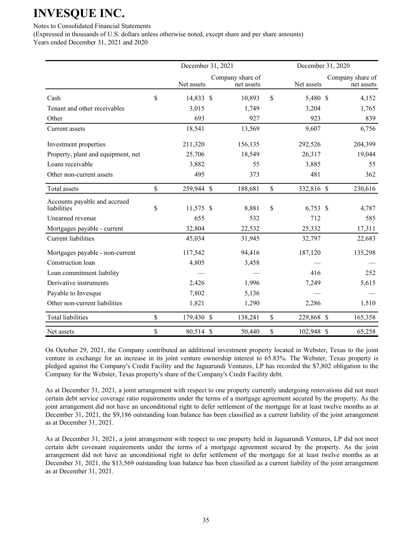Notes to Consolidated Financial Statements

(Expressed in thousands of U.S. dollars unless otherwise noted, except share and per share amounts) Years ended December 31, 2021 and 2020

December 31, 2021 December 31, 2020 Net assets Company share of net assets Net assets Company share of net assets Cash \$ 14,833 \$ 10,893 \$ 5,480 \$ 4,152 Tenant and other receivables 3,015 1,749 3,204 1,765 Other 693 927 923 839 Current assets 18,541 13,569 9,607 6,756 Investment properties 211,320 156,135 292,526 204,399 Property, plant and equipment, net 25,706 18,549 26,317 19,044 Loans receivable **3,882** 55 3,885 55 Other non-current assets 495 495 373 481 362 Total assets \$ 259,944 \$ 188,681 \$ 332,816 \$ 230,616 Accounts payable and accrued  $2 \times 11,575 \text{ s}$   $3,881 \text{ s}$   $6,753 \text{ s}$   $4,787$ Unearned revenue 655 532 712 585 Mortgages payable - current 32,804 22,532 25,332 17,311 Current liabilities 45,034 31,945 32,797 22,683 Mortgages payable - non-current 117,542 94,416 187,120 135,298 Construction loan 4,805 3,458 Loan commitment liability  $416$   $252$ Derivative instruments 2,426 1,996 7,249 5,615 Payable to Invesque 7,802 5,136 Other non-current liabilities 1,821 1,290 2,286 1,510 Total liabilities \$ 179,430 \$ 138,241 \$ 229,868 \$ 165,358 Net assets 65,258 \$ 80,514 \$ 50,440 \$ 102,948 \$ 65,258

On October 29, 2021, the Company contributed an additional investment property located in Webster, Texas to the joint venture in exchange for an increase in its joint venture ownership interest to 65.83%. The Webster, Texas property is pledged against the Company's Credit Facility and the Jaguarundi Ventures, LP has recorded the \$7,802 obligation to the Company for the Webster, Texas property's share of the Company's Credit Facility debt.

As at December 31, 2021, a joint arrangement with respect to one property currently undergoing renovations did not meet certain debt service coverage ratio requirements under the terms of a mortgage agreement secured by the property. As the joint arrangement did not have an unconditional right to defer settlement of the mortgage for at least twelve months as at December 31, 2021, the \$9,186 outstanding loan balance has been classified as a current liability of the joint arrangement as at December 31, 2021.

As at December 31, 2021, a joint arrangement with respect to one property held in Jaguarundi Ventures, LP did not meet certain debt covenant requirements under the terms of a mortgage agreement secured by the property. As the joint arrangement did not have an unconditional right to defer settlement of the mortgage for at least twelve months as at December 31, 2021, the \$13,569 outstanding loan balance has been classified as a current liability of the joint arrangement as at December 31, 2021.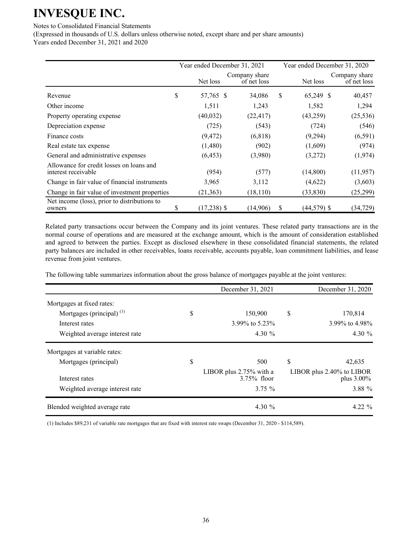Notes to Consolidated Financial Statements

(Expressed in thousands of U.S. dollars unless otherwise noted, except share and per share amounts)

Years ended December 31, 2021 and 2020

|                                                                 | Year ended December 31, 2021 |                              |    | Year ended December 31, 2020 |                              |  |  |
|-----------------------------------------------------------------|------------------------------|------------------------------|----|------------------------------|------------------------------|--|--|
|                                                                 | Net loss                     | Company share<br>of net loss |    | Net loss                     | Company share<br>of net loss |  |  |
| Revenue                                                         | \$<br>57,765 \$              | 34,086                       | \$ | 65,249 \$                    | 40,457                       |  |  |
| Other income                                                    | 1,511                        | 1,243                        |    | 1,582                        | 1,294                        |  |  |
| Property operating expense                                      | (40, 032)                    | (22, 417)                    |    | (43,259)                     | (25, 536)                    |  |  |
| Depreciation expense                                            | (725)                        | (543)                        |    | (724)                        | (546)                        |  |  |
| Finance costs                                                   | (9, 472)                     | (6, 818)                     |    | (9,294)                      | (6,591)                      |  |  |
| Real estate tax expense                                         | (1,480)                      | (902)                        |    | (1,609)                      | (974)                        |  |  |
| General and administrative expenses                             | (6, 453)                     | (3,980)                      |    | (3,272)                      | (1,974)                      |  |  |
| Allowance for credit losses on loans and<br>interest receivable | (954)                        | (577)                        |    | (14,800)                     | (11, 957)                    |  |  |
| Change in fair value of financial instruments                   | 3,965                        | 3,112                        |    | (4,622)                      | (3,603)                      |  |  |
| Change in fair value of investment properties                   | (21, 363)                    | (18, 110)                    |    | (33, 830)                    | (25,299)                     |  |  |
| Net income (loss), prior to distributions to<br>owners          | \$<br>$(17,238)$ \$          | (14,906)                     | S  | $(44, 579)$ \$               | (34, 729)                    |  |  |

Related party transactions occur between the Company and its joint ventures. These related party transactions are in the normal course of operations and are measured at the exchange amount, which is the amount of consideration established and agreed to between the parties. Except as disclosed elsewhere in these consolidated financial statements, the related party balances are included in other receivables, loans receivable, accounts payable, loan commitment liabilities, and lease revenue from joint ventures.

The following table summarizes information about the gross balance of mortgages payable at the joint ventures:

|                                | December 31, 2021                         | December 31, 2020                          |
|--------------------------------|-------------------------------------------|--------------------------------------------|
| Mortgages at fixed rates:      |                                           |                                            |
| Mortgages (principal) $^{(1)}$ | \$<br>150,900                             | \$<br>170,814                              |
| Interest rates                 | 3.99% to 5.23%                            | 3.99% to 4.98%                             |
| Weighted average interest rate | 4.30 $\%$                                 | 4.30 $\%$                                  |
| Mortgages at variable rates:   |                                           |                                            |
| Mortgages (principal)          | \$<br>500                                 | \$<br>42,635                               |
| Interest rates                 | LIBOR plus 2.75% with a<br>$3.75\%$ floor | LIBOR plus 2.40% to LIBOR<br>plus $3.00\%$ |
| Weighted average interest rate | $3.75 \%$                                 | 3.88 %                                     |
| Blended weighted average rate  | 4.30 $%$                                  | $4.22 \%$                                  |

(1) Includes \$89,231 of variable rate mortgages that are fixed with interest rate swaps (December 31, 2020 - \$114,589).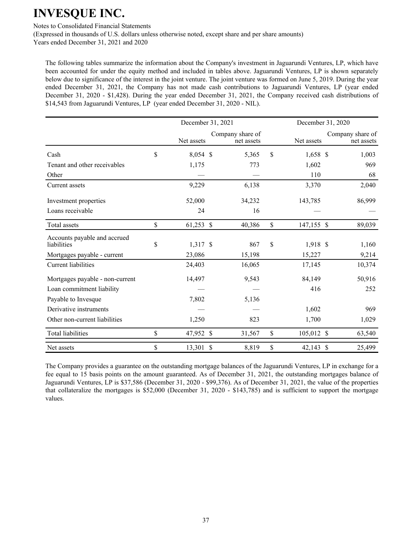Notes to Consolidated Financial Statements

(Expressed in thousands of U.S. dollars unless otherwise noted, except share and per share amounts) Years ended December 31, 2021 and 2020

The following tables summarize the information about the Company's investment in Jaguarundi Ventures, LP, which have been accounted for under the equity method and included in tables above. Jaguarundi Ventures, LP is shown separately below due to significance of the interest in the joint venture. The joint venture was formed on June 5, 2019. During the year ended December 31, 2021, the Company has not made cash contributions to Jaguarundi Ventures, LP (year ended December 31, 2020 - \$1,428). During the year ended December 31, 2021, the Company received cash distributions of \$14,543 from Jaguarundi Ventures, LP (year ended December 31, 2020 - NIL).

|                                             | December 31, 2021 |               |                                |              | December 31, 2020 |  |                                |  |
|---------------------------------------------|-------------------|---------------|--------------------------------|--------------|-------------------|--|--------------------------------|--|
|                                             | Net assets        |               | Company share of<br>net assets |              | Net assets        |  | Company share of<br>net assets |  |
| Cash                                        | \$<br>8,054 \$    |               | 5,365                          | \$           | $1,658$ \$        |  | 1,003                          |  |
| Tenant and other receivables                | 1,175             |               | 773                            |              | 1,602             |  | 969                            |  |
| Other                                       |                   |               |                                |              | 110               |  | 68                             |  |
| Current assets                              | 9,229             |               | 6,138                          |              | 3,370             |  | 2,040                          |  |
| Investment properties                       | 52,000            |               | 34,232                         |              | 143,785           |  | 86,999                         |  |
| Loans receivable                            | 24                |               | 16                             |              |                   |  |                                |  |
| Total assets                                | \$<br>$61,253$ \$ |               | 40,386                         | $\mathbb{S}$ | 147,155 \$        |  | 89,039                         |  |
| Accounts payable and accrued<br>liabilities | \$<br>1,317 \$    |               | 867                            | \$           | 1,918 \$          |  | 1,160                          |  |
| Mortgages payable - current                 | 23,086            |               | 15,198                         |              | 15,227            |  | 9,214                          |  |
| <b>Current liabilities</b>                  | 24,403            |               | 16,065                         |              | 17,145            |  | 10,374                         |  |
| Mortgages payable - non-current             | 14,497            |               | 9,543                          |              | 84,149            |  | 50,916                         |  |
| Loan commitment liability                   |                   |               |                                |              | 416               |  | 252                            |  |
| Payable to Invesque                         | 7,802             |               | 5,136                          |              |                   |  |                                |  |
| Derivative instruments                      |                   |               |                                |              | 1,602             |  | 969                            |  |
| Other non-current liabilities               | 1,250             |               | 823                            |              | 1,700             |  | 1,029                          |  |
| Total liabilities                           | \$<br>47,952 \$   |               | 31,567                         | \$           | 105,012 \$        |  | 63,540                         |  |
| Net assets                                  | \$<br>13,301      | $\mathcal{S}$ | 8,819                          | \$           | 42,143 \$         |  | 25,499                         |  |

The Company provides a guarantee on the outstanding mortgage balances of the Jaguarundi Ventures, LP in exchange for a fee equal to 15 basis points on the amount guaranteed. As of December 31, 2021, the outstanding mortgages balance of Jaguarundi Ventures, LP is \$37,586 (December 31, 2020 - \$99,376). As of December 31, 2021, the value of the properties that collateralize the mortgages is \$52,000 (December 31, 2020 - \$143,785) and is sufficient to support the mortgage values.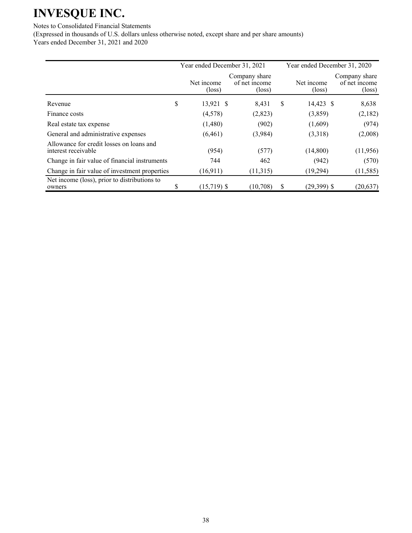Notes to Consolidated Financial Statements

(Expressed in thousands of U.S. dollars unless otherwise noted, except share and per share amounts) Years ended December 31, 2021 and 2020

|                                                                 | Year ended December 31, 2021  |                                                   |   | Year ended December 31, 2020  |                                                   |  |  |
|-----------------------------------------------------------------|-------------------------------|---------------------------------------------------|---|-------------------------------|---------------------------------------------------|--|--|
|                                                                 | Net income<br>$(\text{loss})$ | Company share<br>of net income<br>$(\text{loss})$ |   | Net income<br>$(\text{loss})$ | Company share<br>of net income<br>$(\text{loss})$ |  |  |
| Revenue                                                         | \$<br>13,921 \$               | 8,431                                             | S | 14,423 \$                     | 8,638                                             |  |  |
| Finance costs                                                   | (4,578)                       | (2,823)                                           |   | (3,859)                       | (2,182)                                           |  |  |
| Real estate tax expense                                         | (1,480)                       | (902)                                             |   | (1,609)                       | (974)                                             |  |  |
| General and administrative expenses                             | (6, 461)                      | (3,984)                                           |   | (3,318)                       | (2,008)                                           |  |  |
| Allowance for credit losses on loans and<br>interest receivable | (954)                         | (577)                                             |   | (14,800)                      | (11,956)                                          |  |  |
| Change in fair value of financial instruments                   | 744                           | 462                                               |   | (942)                         | (570)                                             |  |  |
| Change in fair value of investment properties                   | (16,911)                      | (11,315)                                          |   | (19,294)                      | (11, 585)                                         |  |  |
| Net income (loss), prior to distributions to<br>owners          | \$<br>$(15,719)$ \$           | (10,708)                                          | S | $(29,399)$ \$                 | (20, 637)                                         |  |  |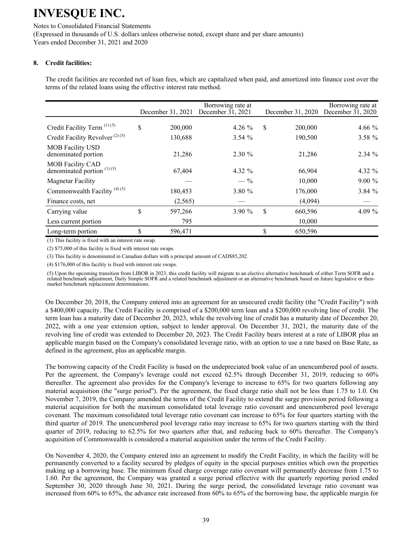Notes to Consolidated Financial Statements (Expressed in thousands of U.S. dollars unless otherwise noted, except share and per share amounts) Years ended December 31, 2021 and 2020

### **8. Credit facilities:**

The credit facilities are recorded net of loan fees, which are capitalized when paid, and amortized into finance cost over the terms of the related loans using the effective interest rate method.

|                                                         | December 31, 2021 | Borrowing rate at<br>December 31, 2021 | December 31, 2020 | Borrowing rate at<br>December 31, 2020 |
|---------------------------------------------------------|-------------------|----------------------------------------|-------------------|----------------------------------------|
| Credit Facility Term $(1)(5)$                           | \$<br>200,000     | 4.26 $%$                               | \$<br>200,000     | 4.66 $\%$                              |
| Credit Facility Revolver <sup>(2)(5)</sup>              | 130,688           | 3.54%                                  | 190,500           | 3.58 %                                 |
| <b>MOB</b> Facility USD<br>denominated portion          | 21,286            | $2.30 \%$                              | 21,286            | $2.34 \%$                              |
| <b>MOB Facility CAD</b><br>denominated portion $(1)(3)$ | 67,404            | 4.32 $%$                               | 66,904            | 4.32 %                                 |
| <b>Magnetar Facility</b>                                |                   | $-$ %                                  | 10,000            | $9.00\%$                               |
| Commonwealth Facility <sup>(4)(5)</sup>                 | 180,453           | 3.80 %                                 | 176,000           | 3.84%                                  |
| Finance costs, net                                      | (2,565)           |                                        | (4,094)           |                                        |
| Carrying value                                          | \$<br>597,266     | 3.90%                                  | \$<br>660,596     | 4.09 %                                 |
| Less current portion                                    | 795               |                                        | 10,000            |                                        |
| Long-term portion                                       | \$<br>596,471     |                                        | \$<br>650,596     |                                        |

(1) This facility is fixed with an interest rate swap.

(2) \$75,000 of this facility is fixed with interest rate swaps.

(3) This facility is denominated in Canadian dollars with a principal amount of CAD\$85,202.

(4) \$176,000 of this facility is fixed with interest rate swaps.

(5) Upon the upcoming transition from LIBOR in 2023, this credit facility will migrate to an elective alternative benchmark of either Term SOFR and a related benchmark adjustment, Daily Simple SOFR and a related benchmark adjustment or an alternative benchmark based on future legislative or thenmarket benchmark replacement determinations.

On December 20, 2018, the Company entered into an agreement for an unsecured credit facility (the "Credit Facility") with a \$400,000 capacity. The Credit Facility is comprised of a \$200,000 term loan and a \$200,000 revolving line of credit. The term loan has a maturity date of December 20, 2023, while the revolving line of credit has a maturity date of December 20, 2022, with a one year extension option, subject to lender approval. On December 31, 2021, the maturity date of the revolving line of credit was extended to December 20, 2023. The Credit Facility bears interest at a rate of LIBOR plus an applicable margin based on the Company's consolidated leverage ratio, with an option to use a rate based on Base Rate, as defined in the agreement, plus an applicable margin.

The borrowing capacity of the Credit Facility is based on the undepreciated book value of an unencumbered pool of assets. Per the agreement, the Company's leverage could not exceed 62.5% through December 31, 2019, reducing to 60% thereafter. The agreement also provides for the Company's leverage to increase to 65% for two quarters following any material acquisition (the "surge period"). Per the agreement, the fixed charge ratio shall not be less than 1.75 to 1.0. On November 7, 2019, the Company amended the terms of the Credit Facility to extend the surge provision period following a material acquisition for both the maximum consolidated total leverage ratio covenant and unencumbered pool leverage covenant. The maximum consolidated total leverage ratio covenant can increase to 65% for four quarters starting with the third quarter of 2019. The unencumbered pool leverage ratio may increase to 65% for two quarters starting with the third quarter of 2019, reducing to 62.5% for two quarters after that, and reducing back to 60% thereafter. The Company's acquisition of Commonwealth is considered a material acquisition under the terms of the Credit Facility.

On November 4, 2020, the Company entered into an agreement to modify the Credit Facility, in which the facility will be permanently converted to a facility secured by pledges of equity in the special purposes entities which own the properties making up a borrowing base. The minimum fixed charge coverage ratio covenant will permanently decrease from 1.75 to 1.60. Per the agreement, the Company was granted a surge period effective with the quarterly reporting period ended September 30, 2020 through June 30, 2021. During the surge period, the consolidated leverage ratio covenant was increased from 60% to 65%, the advance rate increased from 60% to 65% of the borrowing base, the applicable margin for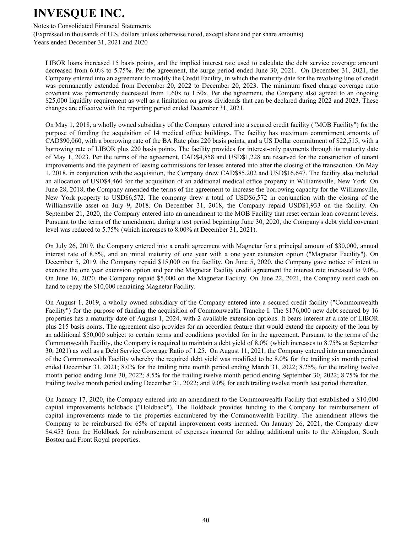Notes to Consolidated Financial Statements

(Expressed in thousands of U.S. dollars unless otherwise noted, except share and per share amounts) Years ended December 31, 2021 and 2020

LIBOR loans increased 15 basis points, and the implied interest rate used to calculate the debt service coverage amount decreased from 6.0% to 5.75%. Per the agreement, the surge period ended June 30, 2021. On December 31, 2021, the Company entered into an agreement to modify the Credit Facility, in which the maturity date for the revolving line of credit was permanently extended from December 20, 2022 to December 20, 2023. The minimum fixed charge coverage ratio covenant was permanently decreased from 1.60x to 1.50x. Per the agreement, the Company also agreed to an ongoing \$25,000 liquidity requirement as well as a limitation on gross dividends that can be declared during 2022 and 2023. These changes are effective with the reporting period ended December 31, 2021.

On May 1, 2018, a wholly owned subsidiary of the Company entered into a secured credit facility ("MOB Facility") for the purpose of funding the acquisition of 14 medical office buildings. The facility has maximum commitment amounts of CAD\$90,060, with a borrowing rate of the BA Rate plus 220 basis points, and a US Dollar commitment of \$22,515, with a borrowing rate of LIBOR plus 220 basis points. The facility provides for interest-only payments through its maturity date of May 1, 2023. Per the terms of the agreement, CAD\$4,858 and USD\$1,228 are reserved for the construction of tenant improvements and the payment of leasing commissions for leases entered into after the closing of the transaction. On May 1, 2018, in conjunction with the acquisition, the Company drew CAD\$85,202 and USD\$16,647. The facility also included an allocation of USD\$4,460 for the acquisition of an additional medical office property in Williamsville, New York. On June 28, 2018, the Company amended the terms of the agreement to increase the borrowing capacity for the Williamsville, New York property to USD\$6,572. The company drew a total of USD\$6,572 in conjunction with the closing of the Williamsville asset on July 9, 2018. On December 31, 2018, the Company repaid USD\$1,933 on the facility. On September 21, 2020, the Company entered into an amendment to the MOB Facility that reset certain loan covenant levels. Pursuant to the terms of the amendment, during a test period beginning June 30, 2020, the Company's debt yield covenant level was reduced to 5.75% (which increases to 8.00% at December 31, 2021).

On July 26, 2019, the Company entered into a credit agreement with Magnetar for a principal amount of \$30,000, annual interest rate of 8.5%, and an initial maturity of one year with a one year extension option ("Magnetar Facility"). On December 5, 2019, the Company repaid \$15,000 on the facility. On June 5, 2020, the Company gave notice of intent to exercise the one year extension option and per the Magnetar Facility credit agreement the interest rate increased to 9.0%. On June 16, 2020, the Company repaid \$5,000 on the Magnetar Facility. On June 22, 2021, the Company used cash on hand to repay the \$10,000 remaining Magnetar Facility.

On August 1, 2019, a wholly owned subsidiary of the Company entered into a secured credit facility ("Commonwealth Facility") for the purpose of funding the acquisition of Commonwealth Tranche I. The \$176,000 new debt secured by 16 properties has a maturity date of August 1, 2024, with 2 available extension options. It bears interest at a rate of LIBOR plus 215 basis points. The agreement also provides for an accordion feature that would extend the capacity of the loan by an additional \$50,000 subject to certain terms and conditions provided for in the agreement. Pursuant to the terms of the Commonwealth Facility, the Company is required to maintain a debt yield of 8.0% (which increases to 8.75% at September 30, 2021) as well as a Debt Service Coverage Ratio of 1.25. On August 11, 2021, the Company entered into an amendment of the Commonwealth Facility whereby the required debt yield was modified to be 8.0% for the trailing six month period ended December 31, 2021; 8.0% for the trailing nine month period ending March 31, 2022; 8.25% for the trailing twelve month period ending June 30, 2022; 8.5% for the trailing twelve month period ending September 30, 2022; 8.75% for the trailing twelve month period ending December 31, 2022; and 9.0% for each trailing twelve month test period thereafter.

On January 17, 2020, the Company entered into an amendment to the Commonwealth Facility that established a \$10,000 capital improvements holdback ("Holdback"). The Holdback provides funding to the Company for reimbursement of capital improvements made to the properties encumbered by the Commonwealth Facility. The amendment allows the Company to be reimbursed for 65% of capital improvement costs incurred. On January 26, 2021, the Company drew \$4,453 from the Holdback for reimbursement of expenses incurred for adding additional units to the Abingdon, South Boston and Front Royal properties.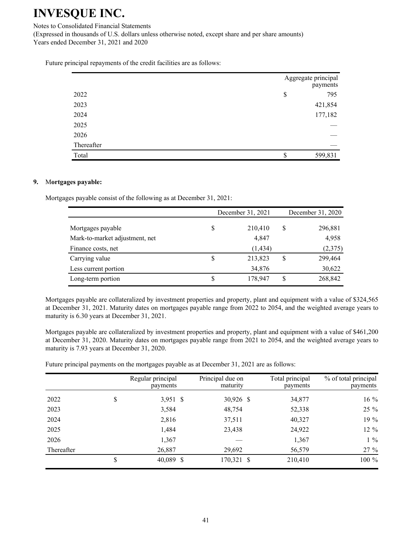Notes to Consolidated Financial Statements

(Expressed in thousands of U.S. dollars unless otherwise noted, except share and per share amounts) Years ended December 31, 2021 and 2020

Future principal repayments of the credit facilities are as follows:

|            | Aggregate principal<br>payments |
|------------|---------------------------------|
| 2022       | \$<br>795                       |
| 2023       | 421,854                         |
| 2024       | 177,182                         |
| 2025       |                                 |
| 2026       |                                 |
| Thereafter |                                 |
| Total      | 599,831                         |

#### **9.** M**ortgages payable:**

Mortgages payable consist of the following as at December 31, 2021:

|                                | December 31, 2021 |          |    | December 31, 2020 |  |  |
|--------------------------------|-------------------|----------|----|-------------------|--|--|
| Mortgages payable              | S                 | 210,410  | \$ | 296,881           |  |  |
| Mark-to-market adjustment, net |                   | 4,847    |    | 4,958             |  |  |
| Finance costs, net             |                   | (1, 434) |    | (2,375)           |  |  |
| Carrying value                 | S                 | 213,823  | S  | 299,464           |  |  |
| Less current portion           |                   | 34,876   |    | 30,622            |  |  |
| Long-term portion              | S                 | 178,947  | \$ | 268,842           |  |  |

Mortgages payable are collateralized by investment properties and property, plant and equipment with a value of \$324,565 at December 31, 2021. Maturity dates on mortgages payable range from 2022 to 2054, and the weighted average years to maturity is 6.30 years at December 31, 2021.

Mortgages payable are collateralized by investment properties and property, plant and equipment with a value of \$461,200 at December 31, 2020. Maturity dates on mortgages payable range from 2021 to 2054, and the weighted average years to maturity is 7.93 years at December 31, 2020.

Future principal payments on the mortgages payable as at December 31, 2021 are as follows:

|            | Regular principal<br>payments | Principal due on<br>maturity | Total principal<br>payments | % of total principal<br>payments |
|------------|-------------------------------|------------------------------|-----------------------------|----------------------------------|
| 2022       | \$<br>3,951 \$                | 30,926 \$                    | 34,877                      | 16 %                             |
| 2023       | 3,584                         | 48,754                       | 52,338                      | 25 %                             |
| 2024       | 2,816                         | 37,511                       | 40,327                      | 19 %                             |
| 2025       | 1,484                         | 23,438                       | 24,922                      | 12 %                             |
| 2026       | 1,367                         |                              | 1,367                       | $1\%$                            |
| Thereafter | 26,887                        | 29,692                       | 56,579                      | 27 %                             |
|            | 40,089 \$                     | 170,321 \$                   | 210,410                     | 100 %                            |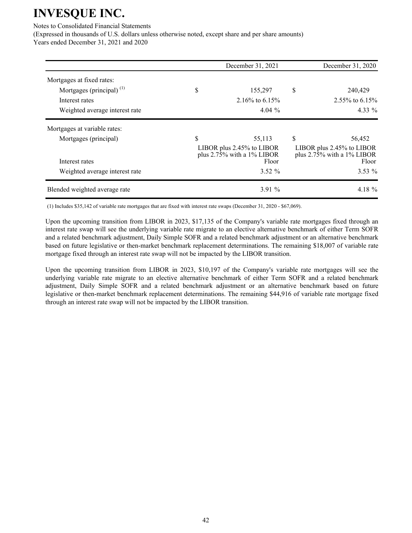Notes to Consolidated Financial Statements

(Expressed in thousands of U.S. dollars unless otherwise noted, except share and per share amounts)

Years ended December 31, 2021 and 2020

|                                | December 31, 2021                                                              |    | December 31, 2020                                                              |
|--------------------------------|--------------------------------------------------------------------------------|----|--------------------------------------------------------------------------------|
| Mortgages at fixed rates:      |                                                                                |    |                                                                                |
| Mortgages (principal) $^{(1)}$ | \$<br>155,297                                                                  | \$ | 240,429                                                                        |
| Interest rates                 | 2.16\% to 6.15\%                                                               |    | 2.55\% to 6.15\%                                                               |
| Weighted average interest rate | 4.04 $\%$                                                                      |    | $4.33\%$                                                                       |
| Mortgages at variable rates:   |                                                                                |    |                                                                                |
| Mortgages (principal)          | \$<br>55,113                                                                   | \$ | 56,452                                                                         |
| Interest rates                 | LIBOR plus 2.45% to LIBOR<br>plus $2.7\overline{5}\%$ with a 1% LIBOR<br>Floor |    | LIBOR plus 2.45% to LIBOR<br>plus $2.7\overline{5}\%$ with a 1% LIBOR<br>Floor |
| Weighted average interest rate | $3.52 \%$                                                                      |    | $3.53\%$                                                                       |
| Blended weighted average rate  | $3.91\%$                                                                       |    | 4.18 %                                                                         |

(1) Includes \$35,142 of variable rate mortgages that are fixed with interest rate swaps (December 31, 2020 - \$67,069).

Upon the upcoming transition from LIBOR in 2023, \$17,135 of the Company's variable rate mortgages fixed through an interest rate swap will see the underlying variable rate migrate to an elective alternative benchmark of either Term SOFR and a related benchmark adjustment, Daily Simple SOFR and a related benchmark adjustment or an alternative benchmark based on future legislative or then-market benchmark replacement determinations. The remaining \$18,007 of variable rate mortgage fixed through an interest rate swap will not be impacted by the LIBOR transition.

Upon the upcoming transition from LIBOR in 2023, \$10,197 of the Company's variable rate mortgages will see the underlying variable rate migrate to an elective alternative benchmark of either Term SOFR and a related benchmark adjustment, Daily Simple SOFR and a related benchmark adjustment or an alternative benchmark based on future legislative or then-market benchmark replacement determinations. The remaining \$44,916 of variable rate mortgage fixed through an interest rate swap will not be impacted by the LIBOR transition.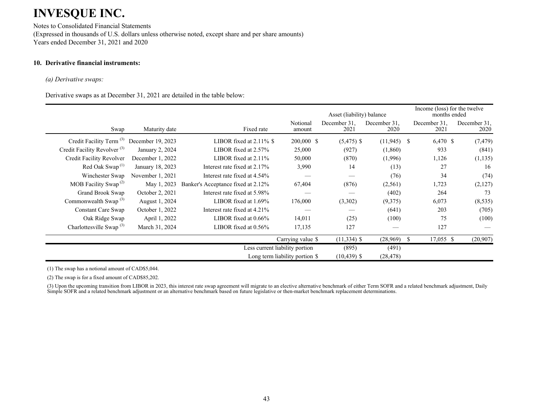Notes to Consolidated Financial Statements (Expressed in thousands of U.S. dollars unless otherwise noted, except share and per share amounts) Years ended December 31, 2021 and 2020

### **10. Derivative financial instruments:**

#### *(a) Derivative swaps:*

Derivative swaps as at December 31, 2021 are detailed in the table below:

|                                          |                   | Asset (liability) balance          |                                |                      | Income (loss) for the twelve<br>months ended |                      |                      |
|------------------------------------------|-------------------|------------------------------------|--------------------------------|----------------------|----------------------------------------------|----------------------|----------------------|
| Swap                                     | Maturity date     | Fixed rate                         | Notional<br>amount             | December 31.<br>2021 | December 31,<br>2020                         | December 31,<br>2021 | December 31,<br>2020 |
| Credit Facility Term <sup>(3)</sup>      | December 19, 2023 | LIBOR fixed at $2.11\%$ \$         | 200,000 \$                     | $(5,475)$ \$         | $(11,945)$ \$                                | 6,470 \$             | (7, 479)             |
| Credit Facility Revolver <sup>(3)</sup>  | January 2, 2024   | LIBOR fixed at $2.57\%$            | 25,000                         | (927)                | (1,860)                                      | 933                  | (841)                |
| Credit Facility Revolver                 | December 1, 2022  | LIBOR fixed at $2.11\%$            | 50,000                         | (870)                | (1,996)                                      | 1,126                | (1, 135)             |
| Red Oak Swap <sup><math>(1)</math></sup> | January 18, 2023  | Interest rate fixed at 2.17%       | 3,990                          | 14                   | (13)                                         | 27                   | 16                   |
| Winchester Swap                          | November 1, 2021  | Interest rate fixed at 4.54%       |                                |                      | (76)                                         | 34                   | (74)                 |
| MOB Facility Swap <sup>(2)</sup>         | May 1, 2023       | Banker's Acceptance fixed at 2.12% | 67,404                         | (876)                | (2,561)                                      | 1,723                | (2,127)              |
| Grand Brook Swap                         | October 2, 2021   | Interest rate fixed at 5.98%       |                                |                      | (402)                                        | 264                  | 73                   |
| Commonwealth Swap $^{(3)}$               | August 1, 2024    | LIBOR fixed at $1.69\%$            | 176,000                        | (3,302)              | (9,375)                                      | 6,073                | (8, 535)             |
| Constant Care Swap                       | October 1, 2022   | Interest rate fixed at 4.21%       |                                |                      | (641)                                        | 203                  | (705)                |
| Oak Ridge Swap                           | April 1, 2022     | LIBOR fixed at $0.66\%$            | 14,011                         | (25)                 | (100)                                        | 75                   | (100)                |
| Charlottesville Swap <sup>(3)</sup>      | March 31, 2024    | LIBOR fixed at $0.56\%$            | 17,135                         | 127                  |                                              | 127                  |                      |
|                                          |                   |                                    | Carrying value \$              | $(11,334)$ \$        | (28,969)                                     | -S<br>17,055 \$      | (20,907)             |
|                                          |                   |                                    | Less current liability portion | (895)                | (491)                                        |                      |                      |
|                                          |                   |                                    | Long term liability portion \$ | $(10, 439)$ \$       | (28, 478)                                    |                      |                      |

(1) The swap has a notional amount of CAD\$5,044.

(2) The swap is for a fixed amount of CAD\$85,202.

(3) Upon the upcoming transition from LIBOR in 2023, this interest rate swap agreement will migrate to an elective alternative benchmark of either Term SOFR and a related benchmark adjustment, Daily Simple SOFR and a related benchmark adjustment or an alternative benchmark based on future legislative or then-market benchmark replacement determinations.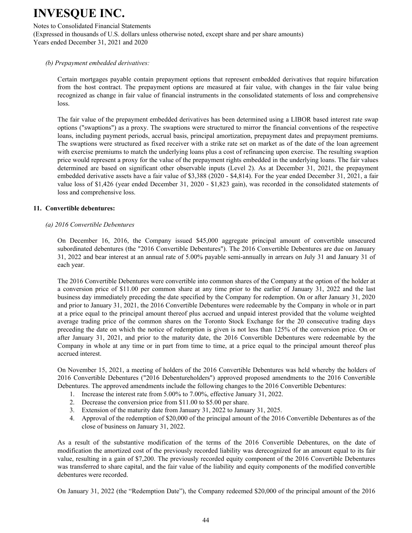#### Notes to Consolidated Financial Statements

(Expressed in thousands of U.S. dollars unless otherwise noted, except share and per share amounts) Years ended December 31, 2021 and 2020

#### *(b) Prepayment embedded derivatives:*

Certain mortgages payable contain prepayment options that represent embedded derivatives that require bifurcation from the host contract. The prepayment options are measured at fair value, with changes in the fair value being recognized as change in fair value of financial instruments in the consolidated statements of loss and comprehensive loss.

The fair value of the prepayment embedded derivatives has been determined using a LIBOR based interest rate swap options ("swaptions") as a proxy. The swaptions were structured to mirror the financial conventions of the respective loans, including payment periods, accrual basis, principal amortization, prepayment dates and prepayment premiums. The swaptions were structured as fixed receiver with a strike rate set on market as of the date of the loan agreement with exercise premiums to match the underlying loans plus a cost of refinancing upon exercise. The resulting swaption price would represent a proxy for the value of the prepayment rights embedded in the underlying loans. The fair values determined are based on significant other observable inputs (Level 2). As at December 31, 2021, the prepayment embedded derivative assets have a fair value of \$3,388 (2020 - \$4,814). For the year ended December 31, 2021, a fair value loss of \$1,426 (year ended December 31, 2020 - \$1,823 gain), was recorded in the consolidated statements of loss and comprehensive loss.

#### **11. Convertible debentures:**

#### *(a) 2016 Convertible Debentures*

On December 16, 2016, the Company issued \$45,000 aggregate principal amount of convertible unsecured subordinated debentures (the "2016 Convertible Debentures"). The 2016 Convertible Debentures are due on January 31, 2022 and bear interest at an annual rate of 5.00% payable semi-annually in arrears on July 31 and January 31 of each year.

The 2016 Convertible Debentures were convertible into common shares of the Company at the option of the holder at a conversion price of \$11.00 per common share at any time prior to the earlier of January 31, 2022 and the last business day immediately preceding the date specified by the Company for redemption. On or after January 31, 2020 and prior to January 31, 2021, the 2016 Convertible Debentures were redeemable by the Company in whole or in part at a price equal to the principal amount thereof plus accrued and unpaid interest provided that the volume weighted average trading price of the common shares on the Toronto Stock Exchange for the 20 consecutive trading days preceding the date on which the notice of redemption is given is not less than 125% of the conversion price. On or after January 31, 2021, and prior to the maturity date, the 2016 Convertible Debentures were redeemable by the Company in whole at any time or in part from time to time, at a price equal to the principal amount thereof plus accrued interest.

On November 15, 2021, a meeting of holders of the 2016 Convertible Debentures was held whereby the holders of 2016 Convertible Debentures ("2016 Debentureholders") approved proposed amendments to the 2016 Convertible Debentures. The approved amendments include the following changes to the 2016 Convertible Debentures:

- 1. Increase the interest rate from 5.00% to 7.00%, effective January 31, 2022.
- 2. Decrease the conversion price from \$11.00 to \$5.00 per share.
- 3. Extension of the maturity date from January 31, 2022 to January 31, 2025.
- 4. Approval of the redemption of \$20,000 of the principal amount of the 2016 Convertible Debentures as of the close of business on January 31, 2022.

As a result of the substantive modification of the terms of the 2016 Convertible Debentures, on the date of modification the amortized cost of the previously recorded liability was derecognized for an amount equal to its fair value, resulting in a gain of \$7,200. The previously recorded equity component of the 2016 Convertible Debentures was transferred to share capital, and the fair value of the liability and equity components of the modified convertible debentures were recorded.

On January 31, 2022 (the "Redemption Date"), the Company redeemed \$20,000 of the principal amount of the 2016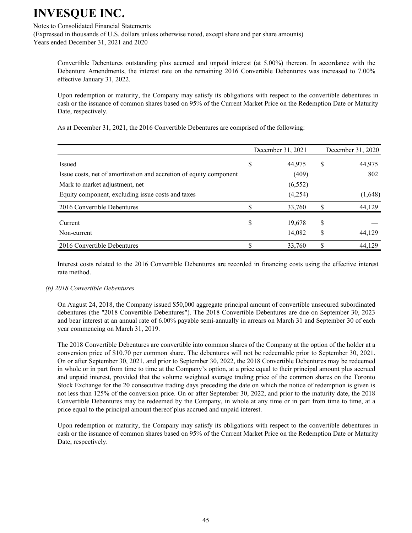#### Notes to Consolidated Financial Statements

(Expressed in thousands of U.S. dollars unless otherwise noted, except share and per share amounts) Years ended December 31, 2021 and 2020

Convertible Debentures outstanding plus accrued and unpaid interest (at 5.00%) thereon. In accordance with the Debenture Amendments, the interest rate on the remaining 2016 Convertible Debentures was increased to 7.00% effective January 31, 2022.

Upon redemption or maturity, the Company may satisfy its obligations with respect to the convertible debentures in cash or the issuance of common shares based on 95% of the Current Market Price on the Redemption Date or Maturity Date, respectively.

| As at December 31, 2021, the 2016 Convertible Debentures are comprised of the following: |  |
|------------------------------------------------------------------------------------------|--|
|------------------------------------------------------------------------------------------|--|

|                                                                    | December 31, 2021 |   | December 31, 2020 |
|--------------------------------------------------------------------|-------------------|---|-------------------|
| Issued                                                             | \$<br>44,975      | S | 44,975            |
| Issue costs, net of amortization and accretion of equity component | (409)             |   | 802               |
| Mark to market adjustment, net                                     | (6, 552)          |   |                   |
| Equity component, excluding issue costs and taxes                  | (4,254)           |   | (1,648)           |
| 2016 Convertible Debentures                                        | 33,760            |   | 44,129            |
| Current                                                            | \$<br>19,678      | S |                   |
| Non-current                                                        | 14,082            | S | 44,129            |
| 2016 Convertible Debentures                                        | 33,760            |   | 44,129            |

Interest costs related to the 2016 Convertible Debentures are recorded in financing costs using the effective interest rate method.

#### *(b) 2018 Convertible Debentures*

On August 24, 2018, the Company issued \$50,000 aggregate principal amount of convertible unsecured subordinated debentures (the "2018 Convertible Debentures"). The 2018 Convertible Debentures are due on September 30, 2023 and bear interest at an annual rate of 6.00% payable semi-annually in arrears on March 31 and September 30 of each year commencing on March 31, 2019.

The 2018 Convertible Debentures are convertible into common shares of the Company at the option of the holder at a conversion price of \$10.70 per common share. The debentures will not be redeemable prior to September 30, 2021. On or after September 30, 2021, and prior to September 30, 2022, the 2018 Convertible Debentures may be redeemed in whole or in part from time to time at the Company's option, at a price equal to their principal amount plus accrued and unpaid interest, provided that the volume weighted average trading price of the common shares on the Toronto Stock Exchange for the 20 consecutive trading days preceding the date on which the notice of redemption is given is not less than 125% of the conversion price. On or after September 30, 2022, and prior to the maturity date, the 2018 Convertible Debentures may be redeemed by the Company, in whole at any time or in part from time to time, at a price equal to the principal amount thereof plus accrued and unpaid interest.

Upon redemption or maturity, the Company may satisfy its obligations with respect to the convertible debentures in cash or the issuance of common shares based on 95% of the Current Market Price on the Redemption Date or Maturity Date, respectively.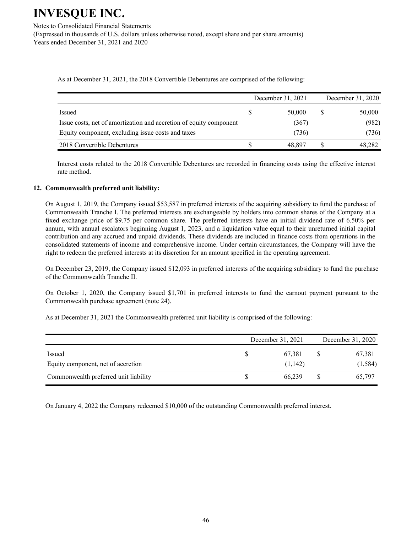Notes to Consolidated Financial Statements (Expressed in thousands of U.S. dollars unless otherwise noted, except share and per share amounts) Years ended December 31, 2021 and 2020

As at December 31, 2021, the 2018 Convertible Debentures are comprised of the following:

|                                                                    | December 31, 2021 | December 31, 2020 |
|--------------------------------------------------------------------|-------------------|-------------------|
| Issued                                                             | 50,000            | 50,000            |
| Issue costs, net of amortization and accretion of equity component | (367)             | (982)             |
| Equity component, excluding issue costs and taxes                  | (736)             | (736)             |
| 2018 Convertible Debentures                                        | 48.897            | 48,282            |

Interest costs related to the 2018 Convertible Debentures are recorded in financing costs using the effective interest rate method.

#### **12. Commonwealth preferred unit liability:**

On August 1, 2019, the Company issued \$53,587 in preferred interests of the acquiring subsidiary to fund the purchase of Commonwealth Tranche I. The preferred interests are exchangeable by holders into common shares of the Company at a fixed exchange price of \$9.75 per common share. The preferred interests have an initial dividend rate of 6.50% per annum, with annual escalators beginning August 1, 2023, and a liquidation value equal to their unreturned initial capital contribution and any accrued and unpaid dividends. These dividends are included in finance costs from operations in the consolidated statements of income and comprehensive income. Under certain circumstances, the Company will have the right to redeem the preferred interests at its discretion for an amount specified in the operating agreement.

On December 23, 2019, the Company issued \$12,093 in preferred interests of the acquiring subsidiary to fund the purchase of the Commonwealth Tranche II.

On October 1, 2020, the Company issued \$1,701 in preferred interests to fund the earnout payment pursuant to the Commonwealth purchase agreement (note 24).

As at December 31, 2021 the Commonwealth preferred unit liability is comprised of the following:

|                                       | December 31, 2021 | December 31, 2020 |          |  |
|---------------------------------------|-------------------|-------------------|----------|--|
| Issued                                | 67,381            |                   | 67,381   |  |
| Equity component, net of accretion    | (1,142)           |                   | (1, 584) |  |
| Commonwealth preferred unit liability | 66.239            |                   | 65.797   |  |

On January 4, 2022 the Company redeemed \$10,000 of the outstanding Commonwealth preferred interest.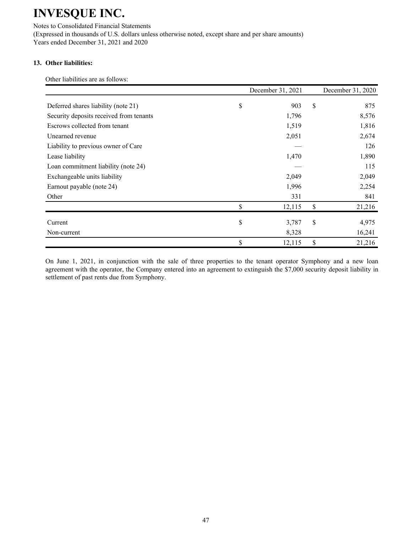Notes to Consolidated Financial Statements (Expressed in thousands of U.S. dollars unless otherwise noted, except share and per share amounts) Years ended December 31, 2021 and 2020

### **13. Other liabilities:**

Other liabilities are as follows:

|                                         | December 31, 2021 | December 31, 2020 |
|-----------------------------------------|-------------------|-------------------|
| Deferred shares liability (note 21)     | \$<br>903         | \$<br>875         |
| Security deposits received from tenants | 1,796             | 8,576             |
| Escrows collected from tenant           | 1,519             | 1,816             |
| Unearned revenue                        | 2,051             | 2,674             |
| Liability to previous owner of Care     |                   | 126               |
| Lease liability                         | 1,470             | 1,890             |
| Loan commitment liability (note 24)     |                   | 115               |
| Exchangeable units liability            | 2,049             | 2,049             |
| Earnout payable (note 24)               | 1,996             | 2,254             |
| Other                                   | 331               | 841               |
|                                         | \$<br>12,115      | \$<br>21,216      |
| Current                                 | \$<br>3,787       | \$<br>4,975       |
| Non-current                             | 8,328             | 16,241            |
|                                         | \$<br>12,115      | \$<br>21,216      |

On June 1, 2021, in conjunction with the sale of three properties to the tenant operator Symphony and a new loan agreement with the operator, the Company entered into an agreement to extinguish the \$7,000 security deposit liability in settlement of past rents due from Symphony.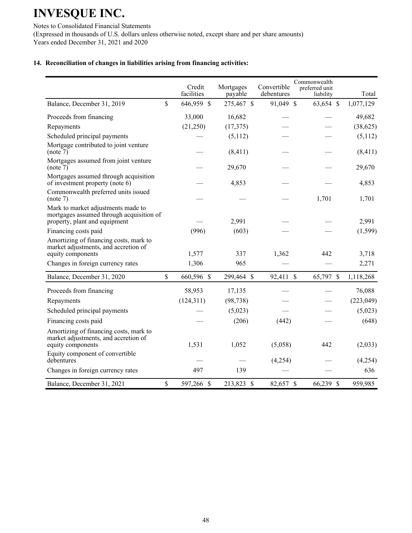Notes to Consolidated Financial Statements (Expressed in thousands of U.S. dollars unless otherwise noted, except share and per share amounts) Years ended December 31, 2021 and 2020

### **14. Reconciliation of changes in liabilities arising from financing activities:**

|                                                                                                                 |                    | Credit<br>facilities | Mortgages<br>payable | Convertible<br>debentures | Commonwealth<br>preferred unit<br>liability | Total      |
|-----------------------------------------------------------------------------------------------------------------|--------------------|----------------------|----------------------|---------------------------|---------------------------------------------|------------|
| Balance, December 31, 2019                                                                                      | \$                 | 646,959 \$           | 275,467 \$           | 91,049 \$                 | 63,654 \$                                   | 1,077,129  |
| Proceeds from financing                                                                                         |                    | 33,000               | 16,682               |                           |                                             | 49,682     |
| Repayments                                                                                                      |                    | (21, 250)            | (17, 375)            |                           |                                             | (38, 625)  |
| Scheduled principal payments                                                                                    |                    |                      | (5,112)              |                           |                                             | (5,112)    |
| Mortgage contributed to joint venture<br>(note 7)                                                               |                    |                      | (8, 411)             |                           |                                             | (8, 411)   |
| Mortgages assumed from joint venture<br>(note 7)                                                                |                    |                      | 29,670               |                           |                                             | 29,670     |
| Mortgages assumed through acquisition<br>of investment property (note 6)                                        |                    |                      | 4,853                |                           |                                             | 4,853      |
| Commonwealth preferred units issued<br>(note 7)                                                                 |                    |                      |                      |                           | 1,701                                       | 1,701      |
| Mark to market adjustments made to<br>mortgages assumed through acquisition of<br>property, plant and equipment |                    |                      | 2,991                |                           |                                             | 2,991      |
| Financing costs paid                                                                                            |                    | (996)                | (603)                |                           |                                             | (1, 599)   |
| Amortizing of financing costs, mark to<br>market adjustments, and accretion of<br>equity components             |                    | 1,577                | 337                  | 1,362                     | 442                                         | 3,718      |
| Changes in foreign currency rates                                                                               |                    | 1,306                | 965                  |                           |                                             | 2,271      |
| Balance, December 31, 2020                                                                                      | \$                 | 660,596 \$           | 299,464 \$           | 92,411 \$                 | 65,797 \$                                   | 1,118,268  |
| Proceeds from financing                                                                                         |                    | 58,953               | 17,135               |                           |                                             | 76,088     |
| Repayments                                                                                                      |                    | (124, 311)           | (98, 738)            |                           |                                             | (223, 049) |
| Scheduled principal payments                                                                                    |                    |                      | (5,023)              |                           |                                             | (5,023)    |
| Financing costs paid                                                                                            |                    |                      | (206)                | (442)                     |                                             | (648)      |
| Amortizing of financing costs, mark to<br>market adjustments, and accretion of<br>equity components             |                    | 1,531                | 1,052                | (5,058)                   | 442                                         | (2,033)    |
| Equity component of convertible<br>debentures                                                                   |                    |                      |                      | (4,254)                   |                                             | (4,254)    |
| Changes in foreign currency rates                                                                               |                    | 497                  | 139                  |                           |                                             | 636        |
| Balance, December 31, 2021                                                                                      | $\mathbf{\hat{S}}$ | 597,266 \$           | 213,823 \$           | 82,657 \$                 | 66,239 \$                                   | 959,985    |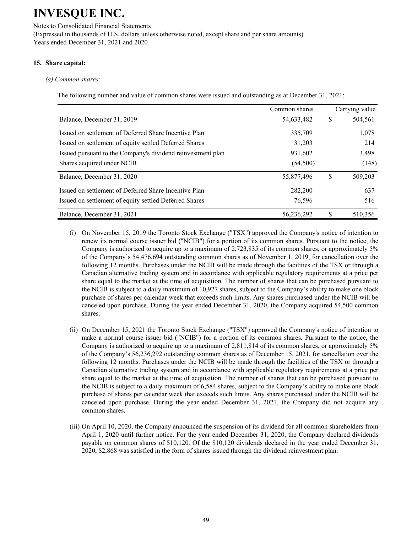Notes to Consolidated Financial Statements (Expressed in thousands of U.S. dollars unless otherwise noted, except share and per share amounts) Years ended December 31, 2021 and 2020

### **15. Share capital:**

#### *(a) Common shares:*

The following number and value of common shares were issued and outstanding as at December 31, 2021:

|                                                             | Common shares |    | Carrying value |
|-------------------------------------------------------------|---------------|----|----------------|
| Balance, December 31, 2019                                  | 54,633,482    | S  | 504,561        |
| Issued on settlement of Deferred Share Incentive Plan       | 335,709       |    | 1,078          |
| Issued on settlement of equity settled Deferred Shares      | 31,203        |    | 214            |
| Issued pursuant to the Company's dividend reinvestment plan | 931,602       |    | 3,498          |
| Shares acquired under NCIB                                  | (54,500)      |    | (148)          |
| Balance, December 31, 2020                                  | 55,877,496    | \$ | 509,203        |
| Issued on settlement of Deferred Share Incentive Plan       | 282,200       |    | 637            |
| Issued on settlement of equity settled Deferred Shares      | 76,596        |    | 516            |
| Balance, December 31, 2021                                  | 56.236.292    | S  | 510,356        |

- (i) On November 15, 2019 the Toronto Stock Exchange ("TSX") approved the Company's notice of intention to renew its normal course issuer bid ("NCIB") for a portion of its common shares. Pursuant to the notice, the Company is authorized to acquire up to a maximum of 2,723,835 of its common shares, or approximately 5% of the Company's 54,476,694 outstanding common shares as of November 1, 2019, for cancellation over the following 12 months. Purchases under the NCIB will be made through the facilities of the TSX or through a Canadian alternative trading system and in accordance with applicable regulatory requirements at a price per share equal to the market at the time of acquisition. The number of shares that can be purchased pursuant to the NCIB is subject to a daily maximum of 10,927 shares, subject to the Company's ability to make one block purchase of shares per calendar week that exceeds such limits. Any shares purchased under the NCIB will be canceled upon purchase. During the year ended December 31, 2020, the Company acquired 54,500 common shares.
- (ii) On December 15, 2021 the Toronto Stock Exchange ("TSX") approved the Company's notice of intention to make a normal course issuer bid ("NCIB") for a portion of its common shares. Pursuant to the notice, the Company is authorized to acquire up to a maximum of 2,811,814 of its common shares, or approximately 5% of the Company's 56,236,292 outstanding common shares as of December 15, 2021, for cancellation over the following 12 months. Purchases under the NCIB will be made through the facilities of the TSX or through a Canadian alternative trading system and in accordance with applicable regulatory requirements at a price per share equal to the market at the time of acquisition. The number of shares that can be purchased pursuant to the NCIB is subject to a daily maximum of 6,584 shares, subject to the Company's ability to make one block purchase of shares per calendar week that exceeds such limits. Any shares purchased under the NCIB will be canceled upon purchase. During the year ended December 31, 2021, the Company did not acquire any common shares.
- (iii) On April 10, 2020, the Company announced the suspension of its dividend for all common shareholders from April 1, 2020 until further notice. For the year ended December 31, 2020, the Company declared dividends payable on common shares of \$10,120. Of the \$10,120 dividends declared in the year ended December 31, 2020, \$2,868 was satisfied in the form of shares issued through the dividend reinvestment plan.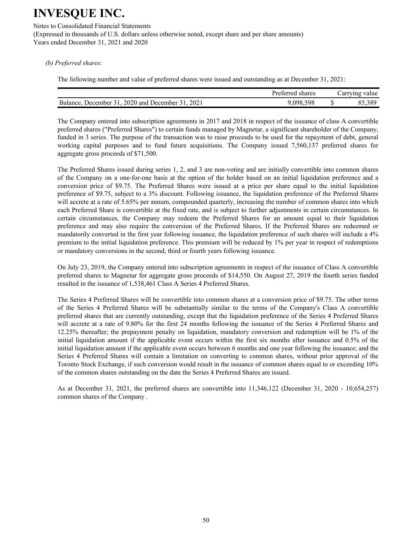Notes to Consolidated Financial Statements (Expressed in thousands of U.S. dollars unless otherwise noted, except share and per share amounts) Years ended December 31, 2021 and 2020

*(b) Preferred shares:*

The following number and value of preferred shares were issued and outstanding as at December 31, 2021:

|                                                     | Preferred shares | Carrying value |
|-----------------------------------------------------|------------------|----------------|
| December 31, 2020 and December 31, 2021<br>Balance. | 9.098.598        | 85,389         |

The Company entered into subscription agreements in 2017 and 2018 in respect of the issuance of class A convertible preferred shares ("Preferred Shares") to certain funds managed by Magnetar, a significant shareholder of the Company, funded in 3 series. The purpose of the transaction was to raise proceeds to be used for the repayment of debt, general working capital purposes and to fund future acquisitions. The Company issued 7,560,137 preferred shares for aggregate gross proceeds of \$71,500.

The Preferred Shares issued during series 1, 2, and 3 are non-voting and are initially convertible into common shares of the Company on a one-for-one basis at the option of the holder based on an initial liquidation preference and a conversion price of \$9.75. The Preferred Shares were issued at a price per share equal to the initial liquidation preference of \$9.75, subject to a 3% discount. Following issuance, the liquidation preference of the Preferred Shares will accrete at a rate of 5.65% per annum, compounded quarterly, increasing the number of common shares into which each Preferred Share is convertible at the fixed rate, and is subject to further adjustments in certain circumstances. In certain circumstances, the Company may redeem the Preferred Shares for an amount equal to their liquidation preference and may also require the conversion of the Preferred Shares. If the Preferred Shares are redeemed or mandatorily converted in the first year following issuance, the liquidation preference of such shares will include a 4% premium to the initial liquidation preference. This premium will be reduced by 1% per year in respect of redemptions or mandatory conversions in the second, third or fourth years following issuance.

On July 23, 2019, the Company entered into subscription agreements in respect of the issuance of Class A convertible preferred shares to Magnetar for aggregate gross proceeds of \$14,550. On August 27, 2019 the fourth series funded resulted in the issuance of 1,538,461 Class A Series 4 Preferred Shares.

The Series 4 Preferred Shares will be convertible into common shares at a conversion price of \$9.75. The other terms of the Series 4 Preferred Shares will be substantially similar to the terms of the Company's Class A convertible preferred shares that are currently outstanding, except that the liquidation preference of the Series 4 Preferred Shares will accrete at a rate of 9.80% for the first 24 months following the issuance of the Series 4 Preferred Shares and 12.25% thereafter; the prepayment penalty on liquidation, mandatory conversion and redemption will be 1% of the initial liquidation amount if the applicable event occurs within the first six months after issuance and 0.5% of the initial liquidation amount if the applicable event occurs between 6 months and one year following the issuance; and the Series 4 Preferred Shares will contain a limitation on converting to common shares, without prior approval of the Toronto Stock Exchange, if such conversion would result in the issuance of common shares equal to or exceeding 10% of the common shares outstanding on the date the Series 4 Preferred Shares are issued.

As at December 31, 2021, the preferred shares are convertible into 11,346,122 (December 31, 2020 - 10,654,257) common shares of the Company .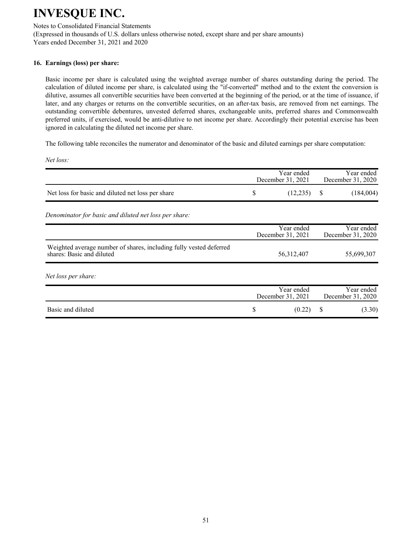Notes to Consolidated Financial Statements

(Expressed in thousands of U.S. dollars unless otherwise noted, except share and per share amounts) Years ended December 31, 2021 and 2020

#### **16. Earnings (loss) per share:**

Basic income per share is calculated using the weighted average number of shares outstanding during the period. The calculation of diluted income per share, is calculated using the "if-converted" method and to the extent the conversion is dilutive, assumes all convertible securities have been converted at the beginning of the period, or at the time of issuance, if later, and any charges or returns on the convertible securities, on an after-tax basis, are removed from net earnings. The outstanding convertible debentures, unvested deferred shares, exchangeable units, preferred shares and Commonwealth preferred units, if exercised, would be anti-dilutive to net income per share. Accordingly their potential exercise has been ignored in calculating the diluted net income per share.

The following table reconciles the numerator and denominator of the basic and diluted earnings per share computation:

*Net loss:*

|                                                                                                 |    | Year ended<br>December 31, 2021 |   | Year ended<br>December 31, 2020 |
|-------------------------------------------------------------------------------------------------|----|---------------------------------|---|---------------------------------|
| Net loss for basic and diluted net loss per share                                               | \$ | (12, 235)                       | S | (184,004)                       |
| Denominator for basic and diluted net loss per share:                                           |    |                                 |   |                                 |
|                                                                                                 |    | Year ended<br>December 31, 2021 |   | Year ended<br>December 31, 2020 |
| Weighted average number of shares, including fully vested deferred<br>shares: Basic and diluted |    | 56,312,407                      |   | 55,699,307                      |
| Net loss per share:                                                                             |    |                                 |   |                                 |
|                                                                                                 |    | Year ended<br>December 31, 2021 |   | Year ended<br>December 31, 2020 |
| Basic and diluted                                                                               | S  | (0.22)                          | S | (3.30)                          |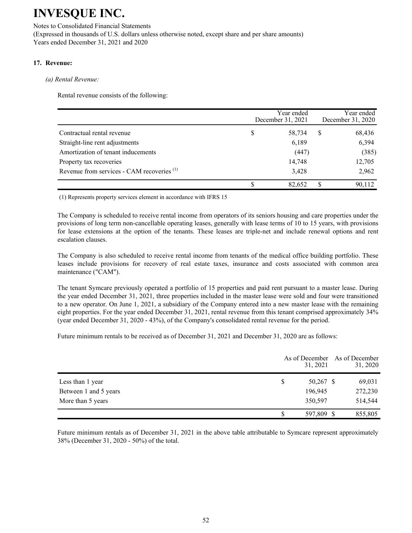Notes to Consolidated Financial Statements (Expressed in thousands of U.S. dollars unless otherwise noted, except share and per share amounts) Years ended December 31, 2021 and 2020

### **17. Revenue:**

#### *(a) Rental Revenue:*

Rental revenue consists of the following:

|                                                       |   | Year ended<br>December 31, 2021 |   |        |
|-------------------------------------------------------|---|---------------------------------|---|--------|
| Contractual rental revenue                            | S | 58,734                          | S | 68,436 |
| Straight-line rent adjustments                        |   | 6,189                           |   | 6,394  |
| Amortization of tenant inducements                    |   | (447)                           |   | (385)  |
| Property tax recoveries                               |   | 14,748                          |   | 12,705 |
| Revenue from services - CAM recoveries <sup>(1)</sup> |   | 3,428                           |   | 2,962  |
|                                                       |   | 82.652                          |   | 90,112 |

(1) Represents property services element in accordance with IFRS 15

The Company is scheduled to receive rental income from operators of its seniors housing and care properties under the provisions of long term non-cancellable operating leases, generally with lease terms of 10 to 15 years, with provisions for lease extensions at the option of the tenants. These leases are triple-net and include renewal options and rent escalation clauses.

The Company is also scheduled to receive rental income from tenants of the medical office building portfolio. These leases include provisions for recovery of real estate taxes, insurance and costs associated with common area maintenance ("CAM").

The tenant Symcare previously operated a portfolio of 15 properties and paid rent pursuant to a master lease. During the year ended December 31, 2021, three properties included in the master lease were sold and four were transitioned to a new operator. On June 1, 2021, a subsidiary of the Company entered into a new master lease with the remaining eight properties. For the year ended December 31, 2021, rental revenue from this tenant comprised approximately 34% (year ended December 31, 2020 - 43%), of the Company's consolidated rental revenue for the period.

Future minimum rentals to be received as of December 31, 2021 and December 31, 2020 are as follows:

|                       | 31, 2021          | As of December As of December<br>31, 2020 |
|-----------------------|-------------------|-------------------------------------------|
| Less than 1 year      | \$<br>$50,267$ \$ | 69,031                                    |
| Between 1 and 5 years | 196,945           | 272,230                                   |
| More than 5 years     | 350,597           | 514,544                                   |
|                       | 597,809 \$        | 855,805                                   |

Future minimum rentals as of December 31, 2021 in the above table attributable to Symcare represent approximately 38% (December 31, 2020 - 50%) of the total.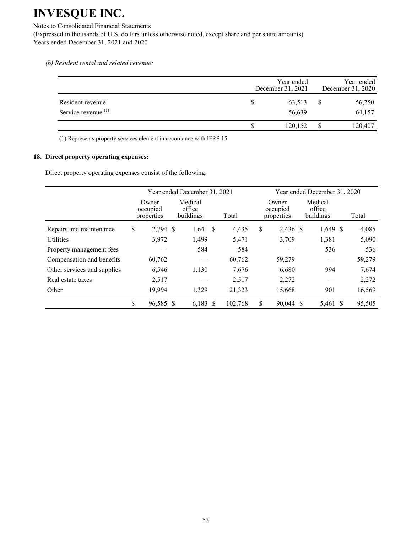Notes to Consolidated Financial Statements (Expressed in thousands of U.S. dollars unless otherwise noted, except share and per share amounts) Years ended December 31, 2021 and 2020

*(b) Resident rental and related revenue:*

|                                                    | Year ended<br>December 31, 2021 | Year ended<br>December 31, 2020 |
|----------------------------------------------------|---------------------------------|---------------------------------|
| Resident revenue<br>Service revenue <sup>(1)</sup> | 63,513<br>56,639                | 56,250<br>64,157                |
|                                                    | 120,152                         | 120,407                         |

(1) Represents property services element in accordance with IFRS 15

#### **18. Direct property operating expenses:**

Direct property operating expenses consist of the following:

|                             |                                 | Year ended December 31, 2021   |         | Year ended December 31, 2020 |                                 |                                |  |        |
|-----------------------------|---------------------------------|--------------------------------|---------|------------------------------|---------------------------------|--------------------------------|--|--------|
|                             | Owner<br>occupied<br>properties | Medical<br>office<br>buildings | Total   |                              | Owner<br>occupied<br>properties | Medical<br>office<br>buildings |  | Total  |
| Repairs and maintenance     | \$<br>2,794 \$                  | $1,641$ \$                     | 4,435   | \$                           | 2,436 \$                        | $1,649$ \$                     |  | 4,085  |
| <b>Utilities</b>            | 3,972                           | 1,499                          | 5,471   |                              | 3,709                           | 1,381                          |  | 5,090  |
| Property management fees    |                                 | 584                            | 584     |                              |                                 | 536                            |  | 536    |
| Compensation and benefits   | 60,762                          |                                | 60,762  |                              | 59,279                          |                                |  | 59,279 |
| Other services and supplies | 6,546                           | 1,130                          | 7,676   |                              | 6,680                           | 994                            |  | 7,674  |
| Real estate taxes           | 2,517                           |                                | 2,517   |                              | 2,272                           |                                |  | 2,272  |
| Other                       | 19,994                          | 1,329                          | 21,323  |                              | 15,668                          | 901                            |  | 16,569 |
|                             | \$<br>96,585 \$                 | $6,183$ \$                     | 102,768 | \$                           | 90.044                          | 5,461<br><sup>S</sup>          |  | 95,505 |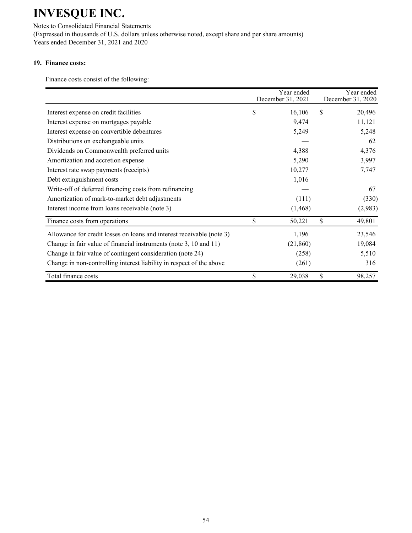Notes to Consolidated Financial Statements (Expressed in thousands of U.S. dollars unless otherwise noted, except share and per share amounts) Years ended December 31, 2021 and 2020

### **19. Finance costs:**

Finance costs consist of the following:

|                                                                       | Year ended<br>December 31, 2021 | Year ended<br>December 31, 2020 |
|-----------------------------------------------------------------------|---------------------------------|---------------------------------|
| Interest expense on credit facilities                                 | \$<br>16,106                    | \$<br>20,496                    |
| Interest expense on mortgages payable                                 | 9,474                           | 11,121                          |
| Interest expense on convertible debentures                            | 5,249                           | 5,248                           |
| Distributions on exchangeable units                                   |                                 | 62                              |
| Dividends on Commonwealth preferred units                             | 4,388                           | 4,376                           |
| Amortization and accretion expense                                    | 5,290                           | 3,997                           |
| Interest rate swap payments (receipts)                                | 10,277                          | 7,747                           |
| Debt extinguishment costs                                             | 1,016                           |                                 |
| Write-off of deferred financing costs from refinancing                |                                 | 67                              |
| Amortization of mark-to-market debt adjustments                       | (111)                           | (330)                           |
| Interest income from loans receivable (note 3)                        | (1, 468)                        | (2,983)                         |
| Finance costs from operations                                         | \$<br>50,221                    | \$<br>49,801                    |
| Allowance for credit losses on loans and interest receivable (note 3) | 1,196                           | 23,546                          |
| Change in fair value of financial instruments (note 3, 10 and 11)     | (21, 860)                       | 19,084                          |
| Change in fair value of contingent consideration (note 24)            | (258)                           | 5,510                           |
| Change in non-controlling interest liability in respect of the above  | (261)                           | 316                             |
| Total finance costs                                                   | \$<br>29,038                    | \$<br>98,257                    |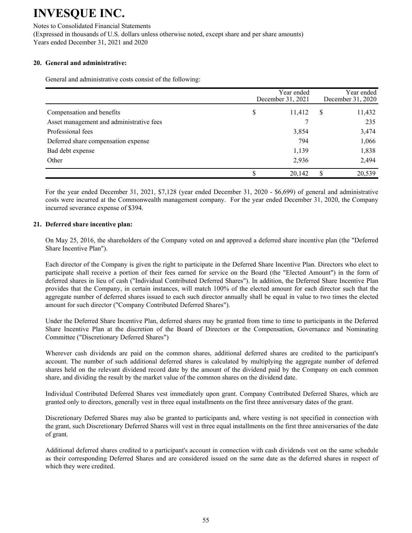Notes to Consolidated Financial Statements (Expressed in thousands of U.S. dollars unless otherwise noted, except share and per share amounts) Years ended December 31, 2021 and 2020

### **20. General and administrative:**

General and administrative costs consist of the following:

|                                          | Year ended<br>December 31, 2021 |   | Year ended<br>December 31, 2020 |
|------------------------------------------|---------------------------------|---|---------------------------------|
| Compensation and benefits                | \$<br>11,412                    | S | 11,432                          |
| Asset management and administrative fees |                                 |   | 235                             |
| Professional fees                        | 3,854                           |   | 3,474                           |
| Deferred share compensation expense      | 794                             |   | 1,066                           |
| Bad debt expense                         | 1,139                           |   | 1,838                           |
| Other                                    | 2,936                           |   | 2,494                           |
|                                          | 20,142                          | S | 20,539                          |

For the year ended December 31, 2021, \$7,128 (year ended December 31, 2020 - \$6,699) of general and administrative costs were incurred at the Commonwealth management company. For the year ended December 31, 2020, the Company incurred severance expense of \$394.

#### **21. Deferred share incentive plan:**

On May 25, 2016, the shareholders of the Company voted on and approved a deferred share incentive plan (the "Deferred Share Incentive Plan").

Each director of the Company is given the right to participate in the Deferred Share Incentive Plan. Directors who elect to participate shall receive a portion of their fees earned for service on the Board (the "Elected Amount") in the form of deferred shares in lieu of cash ("Individual Contributed Deferred Shares"). In addition, the Deferred Share Incentive Plan provides that the Company, in certain instances, will match 100% of the elected amount for each director such that the aggregate number of deferred shares issued to each such director annually shall be equal in value to two times the elected amount for such director ("Company Contributed Deferred Shares").

Under the Deferred Share Incentive Plan, deferred shares may be granted from time to time to participants in the Deferred Share Incentive Plan at the discretion of the Board of Directors or the Compensation, Governance and Nominating Committee ("Discretionary Deferred Shares")

Wherever cash dividends are paid on the common shares, additional deferred shares are credited to the participant's account. The number of such additional deferred shares is calculated by multiplying the aggregate number of deferred shares held on the relevant dividend record date by the amount of the dividend paid by the Company on each common share, and dividing the result by the market value of the common shares on the dividend date.

Individual Contributed Deferred Shares vest immediately upon grant. Company Contributed Deferred Shares, which are granted only to directors, generally vest in three equal installments on the first three anniversary dates of the grant.

Discretionary Deferred Shares may also be granted to participants and, where vesting is not specified in connection with the grant, such Discretionary Deferred Shares will vest in three equal installments on the first three anniversaries of the date of grant.

Additional deferred shares credited to a participant's account in connection with cash dividends vest on the same schedule as their corresponding Deferred Shares and are considered issued on the same date as the deferred shares in respect of which they were credited.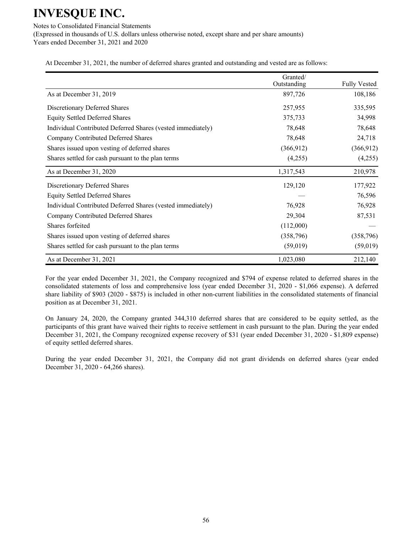Notes to Consolidated Financial Statements (Expressed in thousands of U.S. dollars unless otherwise noted, except share and per share amounts) Years ended December 31, 2021 and 2020

At December 31, 2021, the number of deferred shares granted and outstanding and vested are as follows:

|                                                             | Granted/<br>Outstanding | <b>Fully Vested</b> |
|-------------------------------------------------------------|-------------------------|---------------------|
| As at December 31, 2019                                     | 897,726                 | 108,186             |
| Discretionary Deferred Shares                               | 257,955                 | 335,595             |
| <b>Equity Settled Deferred Shares</b>                       | 375,733                 | 34,998              |
| Individual Contributed Deferred Shares (vested immediately) | 78,648                  | 78,648              |
| Company Contributed Deferred Shares                         | 78,648                  | 24,718              |
| Shares issued upon vesting of deferred shares               | (366, 912)              | (366, 912)          |
| Shares settled for cash pursuant to the plan terms          | (4,255)                 | (4,255)             |
| As at December 31, 2020                                     | 1,317,543               | 210,978             |
| Discretionary Deferred Shares                               | 129,120                 | 177,922             |
| <b>Equity Settled Deferred Shares</b>                       |                         | 76,596              |
| Individual Contributed Deferred Shares (vested immediately) | 76,928                  | 76,928              |
| Company Contributed Deferred Shares                         | 29,304                  | 87,531              |
| Shares forfeited                                            | (112,000)               |                     |
| Shares issued upon vesting of deferred shares               | (358, 796)              | (358, 796)          |
| Shares settled for cash pursuant to the plan terms          | (59,019)                | (59,019)            |
| As at December 31, 2021                                     | 1,023,080               | 212,140             |

For the year ended December 31, 2021, the Company recognized and \$794 of expense related to deferred shares in the consolidated statements of loss and comprehensive loss (year ended December 31, 2020 - \$1,066 expense). A deferred share liability of \$903 (2020 - \$875) is included in other non-current liabilities in the consolidated statements of financial position as at December 31, 2021.

On January 24, 2020, the Company granted 344,310 deferred shares that are considered to be equity settled, as the participants of this grant have waived their rights to receive settlement in cash pursuant to the plan. During the year ended December 31, 2021, the Company recognized expense recovery of \$31 (year ended December 31, 2020 - \$1,809 expense) of equity settled deferred shares.

During the year ended December 31, 2021, the Company did not grant dividends on deferred shares (year ended December 31, 2020 - 64,266 shares).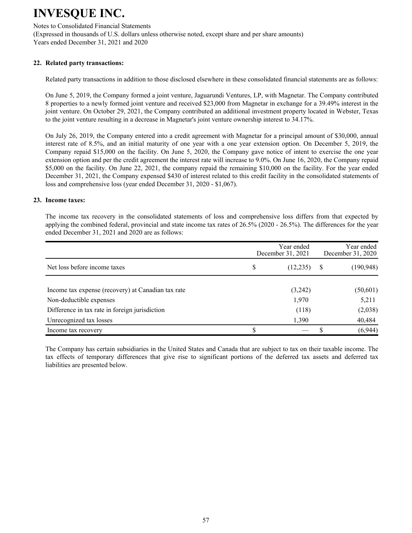Notes to Consolidated Financial Statements (Expressed in thousands of U.S. dollars unless otherwise noted, except share and per share amounts) Years ended December 31, 2021 and 2020

#### **22. Related party transactions:**

Related party transactions in addition to those disclosed elsewhere in these consolidated financial statements are as follows:

On June 5, 2019, the Company formed a joint venture, Jaguarundi Ventures, LP, with Magnetar. The Company contributed 8 properties to a newly formed joint venture and received \$23,000 from Magnetar in exchange for a 39.49% interest in the joint venture. On October 29, 2021, the Company contributed an additional investment property located in Webster, Texas to the joint venture resulting in a decrease in Magnetar's joint venture ownership interest to 34.17%.

On July 26, 2019, the Company entered into a credit agreement with Magnetar for a principal amount of \$30,000, annual interest rate of 8.5%, and an initial maturity of one year with a one year extension option. On December 5, 2019, the Company repaid \$15,000 on the facility. On June 5, 2020, the Company gave notice of intent to exercise the one year extension option and per the credit agreement the interest rate will increase to 9.0%. On June 16, 2020, the Company repaid \$5,000 on the facility. On June 22, 2021, the company repaid the remaining \$10,000 on the facility. For the year ended December 31, 2021, the Company expensed \$430 of interest related to this credit facility in the consolidated statements of loss and comprehensive loss (year ended December 31, 2020 - \$1,067).

#### **23. Income taxes:**

The income tax recovery in the consolidated statements of loss and comprehensive loss differs from that expected by applying the combined federal, provincial and state income tax rates of 26.5% (2020 - 26.5%). The differences for the year ended December 31, 2021 and 2020 are as follows:

|                                                    | Year ended<br>December 31, 2021 |   | Year ended<br>December 31, 2020 |
|----------------------------------------------------|---------------------------------|---|---------------------------------|
| Net loss before income taxes                       | \$<br>(12, 235)                 | S | (190, 948)                      |
| Income tax expense (recovery) at Canadian tax rate | (3,242)                         |   | (50, 601)                       |
| Non-deductible expenses                            | 1,970                           |   | 5,211                           |
| Difference in tax rate in foreign jurisdiction     | (118)                           |   | (2,038)                         |
| Unrecognized tax losses                            | 1,390                           |   | 40,484                          |
| Income tax recovery                                |                                 |   | (6,944)                         |

The Company has certain subsidiaries in the United States and Canada that are subject to tax on their taxable income. The tax effects of temporary differences that give rise to significant portions of the deferred tax assets and deferred tax liabilities are presented below.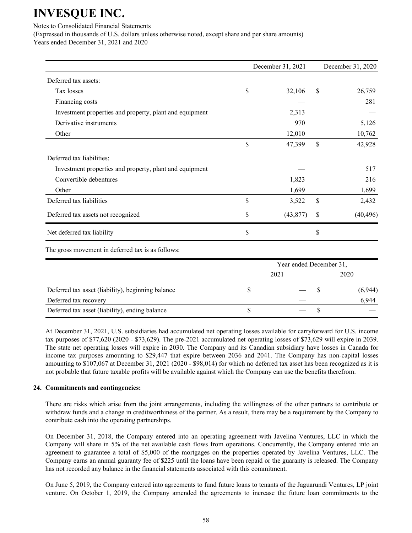#### Notes to Consolidated Financial Statements

(Expressed in thousands of U.S. dollars unless otherwise noted, except share and per share amounts)

Years ended December 31, 2021 and 2020

|                                                         | December 31, 2021       | December 31, 2020 |
|---------------------------------------------------------|-------------------------|-------------------|
| Deferred tax assets:                                    |                         |                   |
| Tax losses                                              | \$<br>32,106            | \$<br>26,759      |
| Financing costs                                         |                         | 281               |
| Investment properties and property, plant and equipment | 2,313                   |                   |
| Derivative instruments                                  | 970                     | 5,126             |
| Other                                                   | 12,010                  | 10,762            |
|                                                         | \$<br>47,399            | \$<br>42,928      |
| Deferred tax liabilities:                               |                         |                   |
| Investment properties and property, plant and equipment |                         | 517               |
| Convertible debentures                                  | 1,823                   | 216               |
| Other                                                   | 1,699                   | 1,699             |
| Deferred tax liabilities                                | \$<br>3,522             | \$<br>2,432       |
| Deferred tax assets not recognized                      | \$<br>(43, 877)         | \$<br>(40, 496)   |
| Net deferred tax liability                              | \$                      | \$                |
| The gross movement in deferred tax is as follows:       |                         |                   |
|                                                         | Year ended December 31, |                   |
|                                                         | 2021                    | 2020              |
| Deferred tax asset (liability), beginning balance       | \$                      | \$<br>(6,944)     |
| Deferred tax recovery                                   |                         | 6,944             |
| Deferred tax asset (liability), ending balance          | \$                      | \$                |

At December 31, 2021, U.S. subsidiaries had accumulated net operating losses available for carryforward for U.S. income tax purposes of \$77,620 (2020 - \$73,629). The pre-2021 accumulated net operating losses of \$73,629 will expire in 2039. The state net operating losses will expire in 2030. The Company and its Canadian subsidiary have losses in Canada for income tax purposes amounting to \$29,447 that expire between 2036 and 2041. The Company has non-capital losses amounting to \$107,067 at December 31, 2021 (2020 - \$98,014) for which no deferred tax asset has been recognized as it is not probable that future taxable profits will be available against which the Company can use the benefits therefrom.

### **24. Commitments and contingencies:**

There are risks which arise from the joint arrangements, including the willingness of the other partners to contribute or withdraw funds and a change in creditworthiness of the partner. As a result, there may be a requirement by the Company to contribute cash into the operating partnerships.

On December 31, 2018, the Company entered into an operating agreement with Javelina Ventures, LLC in which the Company will share in 5% of the net available cash flows from operations. Concurrently, the Company entered into an agreement to guarantee a total of \$5,000 of the mortgages on the properties operated by Javelina Ventures, LLC. The Company earns an annual guaranty fee of \$225 until the loans have been repaid or the guaranty is released. The Company has not recorded any balance in the financial statements associated with this commitment.

On June 5, 2019, the Company entered into agreements to fund future loans to tenants of the Jaguarundi Ventures, LP joint venture. On October 1, 2019, the Company amended the agreements to increase the future loan commitments to the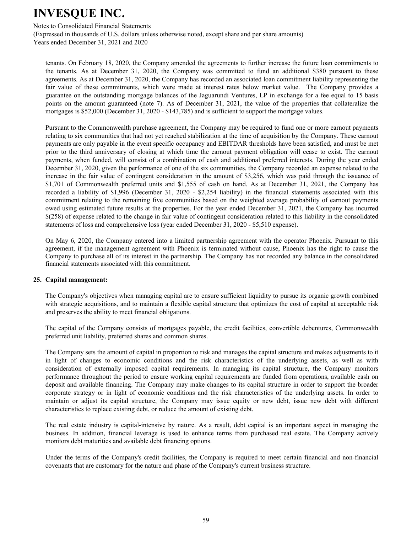Notes to Consolidated Financial Statements

(Expressed in thousands of U.S. dollars unless otherwise noted, except share and per share amounts) Years ended December 31, 2021 and 2020

tenants. On February 18, 2020, the Company amended the agreements to further increase the future loan commitments to the tenants. As at December 31, 2020, the Company was committed to fund an additional \$380 pursuant to these agreements. As at December 31, 2020, the Company has recorded an associated loan commitment liability representing the fair value of these commitments, which were made at interest rates below market value. The Company provides a guarantee on the outstanding mortgage balances of the Jaguarundi Ventures, LP in exchange for a fee equal to 15 basis points on the amount guaranteed (note 7). As of December 31, 2021, the value of the properties that collateralize the mortgages is \$52,000 (December 31, 2020 - \$143,785) and is sufficient to support the mortgage values.

Pursuant to the Commonwealth purchase agreement, the Company may be required to fund one or more earnout payments relating to six communities that had not yet reached stabilization at the time of acquisition by the Company. These earnout payments are only payable in the event specific occupancy and EBITDAR thresholds have been satisfied, and must be met prior to the third anniversary of closing at which time the earnout payment obligation will cease to exist. The earnout payments, when funded, will consist of a combination of cash and additional preferred interests. During the year ended December 31, 2020, given the performance of one of the six communities, the Company recorded an expense related to the increase in the fair value of contingent consideration in the amount of \$3,256, which was paid through the issuance of \$1,701 of Commonwealth preferred units and \$1,555 of cash on hand. As at December 31, 2021, the Company has recorded a liability of \$1,996 (December 31, 2020 - \$2,254 liability) in the financial statements associated with this commitment relating to the remaining five communities based on the weighted average probability of earnout payments owed using estimated future results at the properties. For the year ended December 31, 2021, the Company has incurred \$(258) of expense related to the change in fair value of contingent consideration related to this liability in the consolidated statements of loss and comprehensive loss (year ended December 31, 2020 - \$5,510 expense).

On May 6, 2020, the Company entered into a limited partnership agreement with the operator Phoenix. Pursuant to this agreement, if the management agreement with Phoenix is terminated without cause, Phoenix has the right to cause the Company to purchase all of its interest in the partnership. The Company has not recorded any balance in the consolidated financial statements associated with this commitment.

#### **25. Capital management:**

The Company's objectives when managing capital are to ensure sufficient liquidity to pursue its organic growth combined with strategic acquisitions, and to maintain a flexible capital structure that optimizes the cost of capital at acceptable risk and preserves the ability to meet financial obligations.

The capital of the Company consists of mortgages payable, the credit facilities, convertible debentures, Commonwealth preferred unit liability, preferred shares and common shares.

The Company sets the amount of capital in proportion to risk and manages the capital structure and makes adjustments to it in light of changes to economic conditions and the risk characteristics of the underlying assets, as well as with consideration of externally imposed capital requirements. In managing its capital structure, the Company monitors performance throughout the period to ensure working capital requirements are funded from operations, available cash on deposit and available financing. The Company may make changes to its capital structure in order to support the broader corporate strategy or in light of economic conditions and the risk characteristics of the underlying assets. In order to maintain or adjust its capital structure, the Company may issue equity or new debt, issue new debt with different characteristics to replace existing debt, or reduce the amount of existing debt.

The real estate industry is capital-intensive by nature. As a result, debt capital is an important aspect in managing the business. In addition, financial leverage is used to enhance terms from purchased real estate. The Company actively monitors debt maturities and available debt financing options.

Under the terms of the Company's credit facilities, the Company is required to meet certain financial and non-financial covenants that are customary for the nature and phase of the Company's current business structure.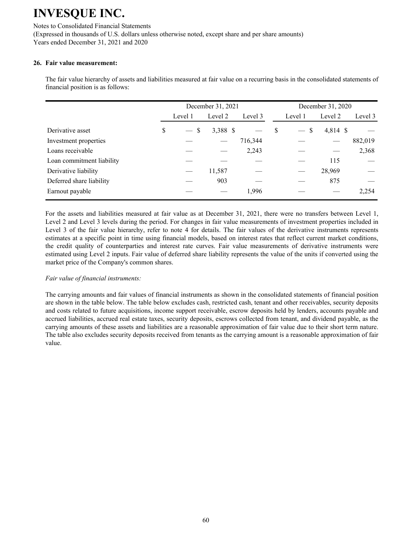Notes to Consolidated Financial Statements (Expressed in thousands of U.S. dollars unless otherwise noted, except share and per share amounts) Years ended December 31, 2021 and 2020

#### **26. Fair value measurement:**

The fair value hierarchy of assets and liabilities measured at fair value on a recurring basis in the consolidated statements of financial position is as follows:

|                           |                                      | December 31, 2021 |         |   |                                | December 31, 2020 |         |
|---------------------------|--------------------------------------|-------------------|---------|---|--------------------------------|-------------------|---------|
|                           | Level 1                              | Level 2           | Level 3 |   | Level 1                        | Level 2           | Level 3 |
| Derivative asset          | \$<br>\$<br>$\overline{\phantom{0}}$ | 3,388 \$          |         | S | -S<br>$\overline{\phantom{0}}$ | 4,814 \$          |         |
| Investment properties     |                                      |                   | 716,344 |   |                                |                   | 882,019 |
| Loans receivable          |                                      |                   | 2,243   |   |                                |                   | 2,368   |
| Loan commitment liability |                                      |                   |         |   |                                | 115               |         |
| Derivative liability      |                                      | 11,587            |         |   |                                | 28,969            |         |
| Deferred share liability  |                                      | 903               |         |   |                                | 875               |         |
| Earnout payable           |                                      |                   | 1,996   |   |                                |                   | 2,254   |

 For the assets and liabilities measured at fair value as at December 31, 2021, there were no transfers between Level 1, Level 2 and Level 3 levels during the period. For changes in fair value measurements of investment properties included in Level 3 of the fair value hierarchy, refer to note 4 for details. The fair values of the derivative instruments represents estimates at a specific point in time using financial models, based on interest rates that reflect current market conditions, the credit quality of counterparties and interest rate curves. Fair value measurements of derivative instruments were estimated using Level 2 inputs. Fair value of deferred share liability represents the value of the units if converted using the market price of the Company's common shares.

### *Fair value of financial instruments:*

The carrying amounts and fair values of financial instruments as shown in the consolidated statements of financial position are shown in the table below. The table below excludes cash, restricted cash, tenant and other receivables, security deposits and costs related to future acquisitions, income support receivable, escrow deposits held by lenders, accounts payable and accrued liabilities, accrued real estate taxes, security deposits, escrows collected from tenant, and dividend payable, as the carrying amounts of these assets and liabilities are a reasonable approximation of fair value due to their short term nature. The table also excludes security deposits received from tenants as the carrying amount is a reasonable approximation of fair value.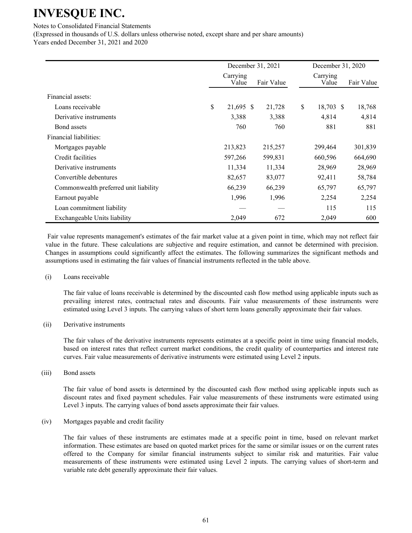Notes to Consolidated Financial Statements

(Expressed in thousands of U.S. dollars unless otherwise noted, except share and per share amounts) Years ended December 31, 2021 and 2020

December 31, 2021 December 31, 2020 Carrying Value Fair Value Carrying Value Fair Value Financial assets: Loans receivable  $\begin{array}{cccc} 8 & 21,695 & 21,728 & 21,728 \end{array}$  18,703 \$ 18,768 Derivative instruments 1,388 3,388 4,814 4,814 4,814 Bond assets **760** 760 881 881 881 Financial liabilities: Mortgages payable 213,823 215,257 299,464 301,839 Credit facilities 664,690 664,690 664,690 597,266 599,831 660,596 664,690 Derivative instruments 11,334 11,334 28,969 28,969 Convertible debentures 82,657 83,077 92,411 58,784 Commonwealth preferred unit liability 66,239 66,239 65,797 65,797 Earnout payable 2,254 2,254 2,254 2,254 2,254 2,254 2,254 2,254 2,254 2,254 2,254 2,254 2,254 2,254 2,254 2,254 2,254 2,254 2,254 2,254 2,254 2,254 2,254 2,254 2,254 2,254 2,254 2,254 2,254 2,254 2,254 2,254 2,254 2,254 2, Loan commitment liability — — — 115 115 Exchangeable Units liability 12,049 672 2,049 600

 Fair value represents management's estimates of the fair market value at a given point in time, which may not reflect fair value in the future. These calculations are subjective and require estimation, and cannot be determined with precision. Changes in assumptions could significantly affect the estimates. The following summarizes the significant methods and assumptions used in estimating the fair values of financial instruments reflected in the table above.

#### (i) Loans receivable

The fair value of loans receivable is determined by the discounted cash flow method using applicable inputs such as prevailing interest rates, contractual rates and discounts. Fair value measurements of these instruments were estimated using Level 3 inputs. The carrying values of short term loans generally approximate their fair values.

(ii) Derivative instruments

The fair values of the derivative instruments represents estimates at a specific point in time using financial models, based on interest rates that reflect current market conditions, the credit quality of counterparties and interest rate curves. Fair value measurements of derivative instruments were estimated using Level 2 inputs.

(iii) Bond assets

The fair value of bond assets is determined by the discounted cash flow method using applicable inputs such as discount rates and fixed payment schedules. Fair value measurements of these instruments were estimated using Level 3 inputs. The carrying values of bond assets approximate their fair values.

(iv) Mortgages payable and credit facility

The fair values of these instruments are estimates made at a specific point in time, based on relevant market information. These estimates are based on quoted market prices for the same or similar issues or on the current rates offered to the Company for similar financial instruments subject to similar risk and maturities. Fair value measurements of these instruments were estimated using Level 2 inputs. The carrying values of short-term and variable rate debt generally approximate their fair values.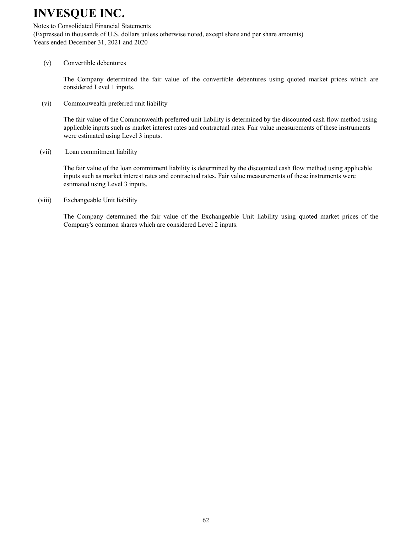#### Notes to Consolidated Financial Statements

(Expressed in thousands of U.S. dollars unless otherwise noted, except share and per share amounts) Years ended December 31, 2021 and 2020

#### (v) Convertible debentures

The Company determined the fair value of the convertible debentures using quoted market prices which are considered Level 1 inputs.

(vi) Commonwealth preferred unit liability

The fair value of the Commonwealth preferred unit liability is determined by the discounted cash flow method using applicable inputs such as market interest rates and contractual rates. Fair value measurements of these instruments were estimated using Level 3 inputs.

(vii) Loan commitment liability

The fair value of the loan commitment liability is determined by the discounted cash flow method using applicable inputs such as market interest rates and contractual rates. Fair value measurements of these instruments were estimated using Level 3 inputs.

(viii) Exchangeable Unit liability

The Company determined the fair value of the Exchangeable Unit liability using quoted market prices of the Company's common shares which are considered Level 2 inputs.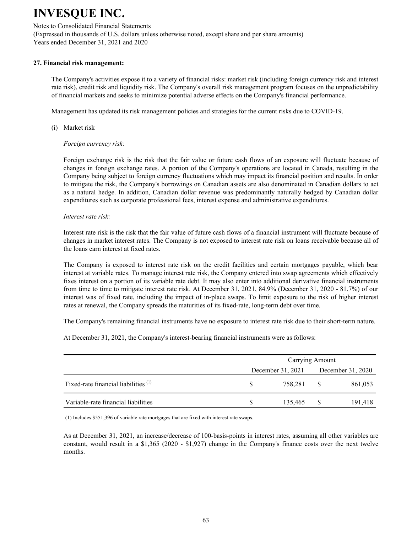#### Notes to Consolidated Financial Statements

(Expressed in thousands of U.S. dollars unless otherwise noted, except share and per share amounts) Years ended December 31, 2021 and 2020

#### **27. Financial risk management:**

The Company's activities expose it to a variety of financial risks: market risk (including foreign currency risk and interest rate risk), credit risk and liquidity risk. The Company's overall risk management program focuses on the unpredictability of financial markets and seeks to minimize potential adverse effects on the Company's financial performance.

Management has updated its risk management policies and strategies for the current risks due to COVID-19.

(i) Market risk

#### *Foreign currency risk:*

Foreign exchange risk is the risk that the fair value or future cash flows of an exposure will fluctuate because of changes in foreign exchange rates. A portion of the Company's operations are located in Canada, resulting in the Company being subject to foreign currency fluctuations which may impact its financial position and results. In order to mitigate the risk, the Company's borrowings on Canadian assets are also denominated in Canadian dollars to act as a natural hedge. In addition, Canadian dollar revenue was predominantly naturally hedged by Canadian dollar expenditures such as corporate professional fees, interest expense and administrative expenditures.

#### *Interest rate risk:*

Interest rate risk is the risk that the fair value of future cash flows of a financial instrument will fluctuate because of changes in market interest rates. The Company is not exposed to interest rate risk on loans receivable because all of the loans earn interest at fixed rates.

The Company is exposed to interest rate risk on the credit facilities and certain mortgages payable, which bear interest at variable rates. To manage interest rate risk, the Company entered into swap agreements which effectively fixes interest on a portion of its variable rate debt. It may also enter into additional derivative financial instruments from time to time to mitigate interest rate risk. At December 31, 2021, 84.9% (December 31, 2020 - 81.7%) of our interest was of fixed rate, including the impact of in-place swaps. To limit exposure to the risk of higher interest rates at renewal, the Company spreads the maturities of its fixed-rate, long-term debt over time.

The Company's remaining financial instruments have no exposure to interest rate risk due to their short-term nature.

At December 31, 2021, the Company's interest-bearing financial instruments were as follows:

|                                        | Carrying Amount   |  |                   |  |  |  |  |
|----------------------------------------|-------------------|--|-------------------|--|--|--|--|
|                                        | December 31, 2021 |  | December 31, 2020 |  |  |  |  |
| Fixed-rate financial liabilities $(1)$ | 758.281           |  | 861,053           |  |  |  |  |
| Variable-rate financial liabilities    | 135.465           |  | 191,418           |  |  |  |  |

(1) Includes \$551,396 of variable rate mortgages that are fixed with interest rate swaps.

As at December 31, 2021, an increase/decrease of 100-basis-points in interest rates, assuming all other variables are constant, would result in a \$1,365 (2020 - \$1,927) change in the Company's finance costs over the next twelve months.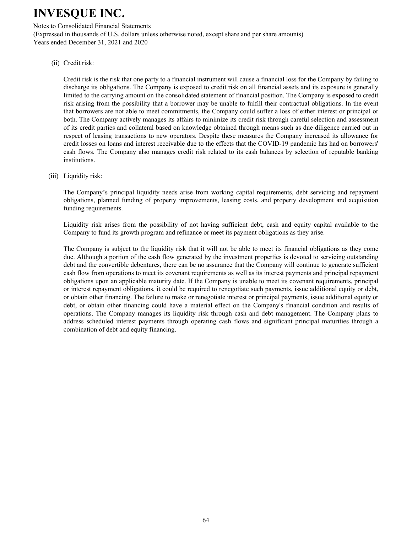#### Notes to Consolidated Financial Statements

(Expressed in thousands of U.S. dollars unless otherwise noted, except share and per share amounts) Years ended December 31, 2021 and 2020

(ii) Credit risk:

Credit risk is the risk that one party to a financial instrument will cause a financial loss for the Company by failing to discharge its obligations. The Company is exposed to credit risk on all financial assets and its exposure is generally limited to the carrying amount on the consolidated statement of financial position. The Company is exposed to credit risk arising from the possibility that a borrower may be unable to fulfill their contractual obligations. In the event that borrowers are not able to meet commitments, the Company could suffer a loss of either interest or principal or both. The Company actively manages its affairs to minimize its credit risk through careful selection and assessment of its credit parties and collateral based on knowledge obtained through means such as due diligence carried out in respect of leasing transactions to new operators. Despite these measures the Company increased its allowance for credit losses on loans and interest receivable due to the effects that the COVID-19 pandemic has had on borrowers' cash flows. The Company also manages credit risk related to its cash balances by selection of reputable banking institutions.

(iii) Liquidity risk:

The Company's principal liquidity needs arise from working capital requirements, debt servicing and repayment obligations, planned funding of property improvements, leasing costs, and property development and acquisition funding requirements.

Liquidity risk arises from the possibility of not having sufficient debt, cash and equity capital available to the Company to fund its growth program and refinance or meet its payment obligations as they arise.

The Company is subject to the liquidity risk that it will not be able to meet its financial obligations as they come due. Although a portion of the cash flow generated by the investment properties is devoted to servicing outstanding debt and the convertible debentures, there can be no assurance that the Company will continue to generate sufficient cash flow from operations to meet its covenant requirements as well as its interest payments and principal repayment obligations upon an applicable maturity date. If the Company is unable to meet its covenant requirements, principal or interest repayment obligations, it could be required to renegotiate such payments, issue additional equity or debt, or obtain other financing. The failure to make or renegotiate interest or principal payments, issue additional equity or debt, or obtain other financing could have a material effect on the Company's financial condition and results of operations. The Company manages its liquidity risk through cash and debt management. The Company plans to address scheduled interest payments through operating cash flows and significant principal maturities through a combination of debt and equity financing.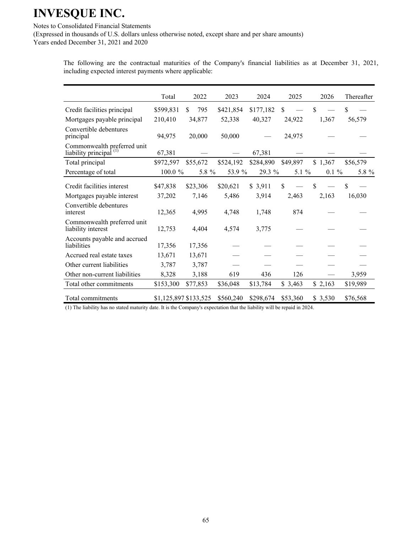Notes to Consolidated Financial Statements

(Expressed in thousands of U.S. dollars unless otherwise noted, except share and per share amounts) Years ended December 31, 2021 and 2020

> The following are the contractual maturities of the Company's financial liabilities as at December 31, 2021, including expected interest payments where applicable:

|                                                                   | Total     | 2022                  | 2023      | 2024      | 2025     | 2026     | Thereafter |
|-------------------------------------------------------------------|-----------|-----------------------|-----------|-----------|----------|----------|------------|
| Credit facilities principal                                       | \$599,831 | \$<br>795             | \$421,854 | \$177,182 | \$       | \$       | \$         |
| Mortgages payable principal                                       | 210,410   | 34,877                | 52,338    | 40,327    | 24,922   | 1,367    | 56,579     |
| Convertible debentures<br>principal                               | 94,975    | 20,000                | 50,000    |           | 24,975   |          |            |
| Commonwealth preferred unit<br>liability principal <sup>(1)</sup> | 67,381    |                       |           | 67,381    |          |          |            |
| Total principal                                                   | \$972,597 | \$55,672              | \$524,192 | \$284,890 | \$49,897 | \$1,367  | \$56,579   |
| Percentage of total                                               | 100.0 %   | 5.8 %                 | 53.9 %    | 29.3 %    | 5.1 $%$  | $0.1 \%$ | 5.8 %      |
| Credit facilities interest                                        | \$47,838  | \$23,306              | \$20,621  | \$3,911   | \$       | \$       | \$         |
| Mortgages payable interest                                        | 37,202    | 7,146                 | 5,486     | 3,914     | 2,463    | 2,163    | 16,030     |
| Convertible debentures<br>interest                                | 12,365    | 4,995                 | 4,748     | 1,748     | 874      |          |            |
| Commonwealth preferred unit<br>liability interest                 | 12,753    | 4,404                 | 4,574     | 3,775     |          |          |            |
| Accounts payable and accrued<br>liabilities                       | 17,356    | 17,356                |           |           |          |          |            |
| Accrued real estate taxes                                         | 13,671    | 13,671                |           |           |          |          |            |
| Other current liabilities                                         | 3,787     | 3,787                 |           |           |          |          |            |
| Other non-current liabilities                                     | 8,328     | 3,188                 | 619       | 436       | 126      |          | 3,959      |
| Total other commitments                                           | \$153,300 | \$77,853              | \$36,048  | \$13,784  | \$3,463  | \$2,163  | \$19,989   |
| Total commitments                                                 |           | \$1,125,897 \$133,525 | \$560,240 | \$298,674 | \$53,360 | \$3,530  | \$76,568   |

(1) The liability has no stated maturity date. It is the Company's expectation that the liability will be repaid in 2024.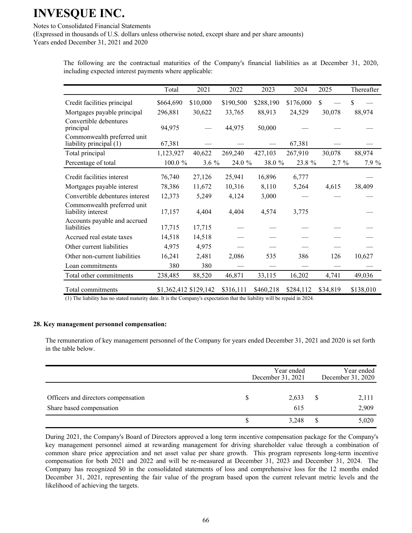Notes to Consolidated Financial Statements

(Expressed in thousands of U.S. dollars unless otherwise noted, except share and per share amounts) Years ended December 31, 2021 and 2020

> The following are the contractual maturities of the Company's financial liabilities as at December 31, 2020, including expected interest payments where applicable:

|                                                        | Total                 | 2021     | 2022      | 2023      | 2024      | 2025     | Thereafter |
|--------------------------------------------------------|-----------------------|----------|-----------|-----------|-----------|----------|------------|
| Credit facilities principal                            | \$664,690             | \$10,000 | \$190,500 | \$288,190 | \$176,000 | \$       | \$         |
| Mortgages payable principal                            | 296,881               | 30,622   | 33,765    | 88,913    | 24,529    | 30,078   | 88,974     |
| Convertible debentures<br>principal                    | 94,975                |          | 44,975    | 50,000    |           |          |            |
| Commonwealth preferred unit<br>liability principal (1) | 67,381                |          |           |           | 67,381    |          |            |
| Total principal                                        | 1,123,927             | 40,622   | 269,240   | 427,103   | 267,910   | 30,078   | 88,974     |
| Percentage of total                                    | 100.0 %               | $3.6\%$  | 24.0 %    | 38.0 %    | 23.8 %    | $2.7\%$  | 7.9 %      |
| Credit facilities interest                             | 76,740                | 27,126   | 25,941    | 16,896    | 6,777     |          |            |
| Mortgages payable interest                             | 78,386                | 11,672   | 10,316    | 8,110     | 5,264     | 4,615    | 38,409     |
| Convertible debentures interest                        | 12,373                | 5,249    | 4,124     | 3,000     |           |          |            |
| Commonwealth preferred unit<br>liability interest      | 17,157                | 4,404    | 4,404     | 4,574     | 3,775     |          |            |
| Accounts payable and accrued<br>liabilities            | 17,715                | 17,715   |           |           |           |          |            |
| Accrued real estate taxes                              | 14,518                | 14,518   |           |           |           |          |            |
| Other current liabilities                              | 4,975                 | 4,975    |           |           |           |          |            |
| Other non-current liabilities                          | 16,241                | 2,481    | 2,086     | 535       | 386       | 126      | 10,627     |
| Loan commitments                                       | 380                   | 380      |           |           |           |          |            |
| Total other commitments                                | 238,485               | 88,520   | 46,871    | 33,115    | 16,202    | 4,741    | 49,036     |
| Total commitments                                      | \$1,362,412 \$129,142 |          | \$316,111 | \$460,218 | \$284,112 | \$34,819 | \$138,010  |

(1) The liability has no stated maturity date. It is the Company's expectation that the liability will be repaid in 2024.

#### **28. Key management personnel compensation:**

The remuneration of key management personnel of the Company for years ended December 31, 2021 and 2020 is set forth in the table below.

|                                                                 | Year ended<br>December 31, 2021 | Year ended<br>December 31, 2020 |                |  |
|-----------------------------------------------------------------|---------------------------------|---------------------------------|----------------|--|
| Officers and directors compensation<br>Share based compensation | 2,633<br>615                    | S                               | 2,111<br>2,909 |  |
|                                                                 | 3,248                           |                                 | 5,020          |  |

During 2021, the Company's Board of Directors approved a long term incentive compensation package for the Company's key management personnel aimed at rewarding management for driving shareholder value through a combination of common share price appreciation and net asset value per share growth. This program represents long-term incentive compensation for both 2021 and 2022 and will be re-measured at December 31, 2023 and December 31, 2024. The Company has recognized \$0 in the consolidated statements of loss and comprehensive loss for the 12 months ended December 31, 2021, representing the fair value of the program based upon the current relevant metric levels and the likelihood of achieving the targets.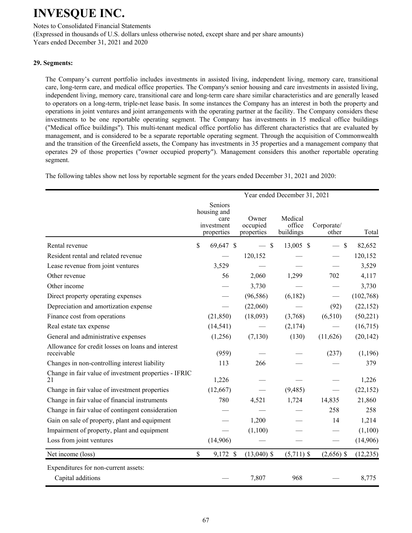Notes to Consolidated Financial Statements

(Expressed in thousands of U.S. dollars unless otherwise noted, except share and per share amounts) Years ended December 31, 2021 and 2020

### **29. Segments:**

The Company's current portfolio includes investments in assisted living, independent living, memory care, transitional care, long-term care, and medical office properties. The Company's senior housing and care investments in assisted living, independent living, memory care, transitional care and long-term care share similar characteristics and are generally leased to operators on a long-term, triple-net lease basis. In some instances the Company has an interest in both the property and operations in joint ventures and joint arrangements with the operating partner at the facility. The Company considers these investments to be one reportable operating segment. The Company has investments in 15 medical office buildings ("Medical office buildings"). This multi-tenant medical office portfolio has different characteristics that are evaluated by management, and is considered to be a separate reportable operating segment. Through the acquisition of Commonwealth and the transition of the Greenfield assets, the Company has investments in 35 properties and a management company that operates 29 of those properties ("owner occupied property"). Management considers this another reportable operating segment.

The following tables show net loss by reportable segment for the years ended December 31, 2021 and 2020:

|                                                                 |               |                                                            |                                 | Year ended December 31, 2021   |                                  |           |
|-----------------------------------------------------------------|---------------|------------------------------------------------------------|---------------------------------|--------------------------------|----------------------------------|-----------|
|                                                                 |               | Seniors<br>housing and<br>care<br>investment<br>properties | Owner<br>occupied<br>properties | Medical<br>office<br>buildings | Corporate/<br>other              | Total     |
| Rental revenue                                                  | \$            | 69,647 \$                                                  | $-$ \$                          | 13,005 \$                      | $\mathcal{S}$<br>$\qquad \qquad$ | 82,652    |
| Resident rental and related revenue                             |               |                                                            | 120,152                         |                                |                                  | 120,152   |
| Lease revenue from joint ventures                               |               | 3,529                                                      |                                 |                                |                                  | 3,529     |
| Other revenue                                                   |               | 56                                                         | 2,060                           | 1,299                          | 702                              | 4,117     |
| Other income                                                    |               |                                                            | 3,730                           |                                |                                  | 3,730     |
| Direct property operating expenses                              |               |                                                            | (96, 586)                       | (6,182)                        |                                  | (102,768) |
| Depreciation and amortization expense                           |               |                                                            | (22,060)                        |                                | (92)                             | (22, 152) |
| Finance cost from operations                                    |               | (21, 850)                                                  | (18,093)                        | (3,768)                        | (6,510)                          | (50, 221) |
| Real estate tax expense                                         |               | (14, 541)                                                  |                                 | (2,174)                        |                                  | (16,715)  |
| General and administrative expenses                             |               | (1,256)                                                    | (7,130)                         | (130)                          | (11,626)                         | (20, 142) |
| Allowance for credit losses on loans and interest<br>receivable |               | (959)                                                      |                                 |                                | (237)                            | (1,196)   |
| Changes in non-controlling interest liability                   |               | 113                                                        | 266                             |                                |                                  | 379       |
| Change in fair value of investment properties - IFRIC<br>21     |               | 1,226                                                      |                                 |                                |                                  | 1,226     |
| Change in fair value of investment properties                   |               | (12,667)                                                   |                                 | (9, 485)                       |                                  | (22, 152) |
| Change in fair value of financial instruments                   |               | 780                                                        | 4,521                           | 1,724                          | 14,835                           | 21,860    |
| Change in fair value of contingent consideration                |               |                                                            |                                 |                                | 258                              | 258       |
| Gain on sale of property, plant and equipment                   |               |                                                            | 1,200                           |                                | 14                               | 1,214     |
| Impairment of property, plant and equipment                     |               |                                                            | (1,100)                         |                                |                                  | (1,100)   |
| Loss from joint ventures                                        |               | (14,906)                                                   |                                 |                                |                                  | (14,906)  |
| Net income (loss)                                               | $\mathsf{\$}$ | 9,172 \$                                                   | $(13,040)$ \$                   | $(5,711)$ \$                   | $(2,656)$ \$                     | (12, 235) |
| Expenditures for non-current assets:<br>Capital additions       |               |                                                            | 7,807                           | 968                            |                                  | 8,775     |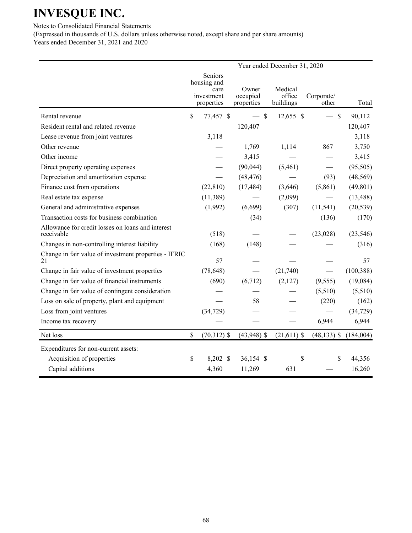Notes to Consolidated Financial Statements

(Expressed in thousands of U.S. dollars unless otherwise noted, except share and per share amounts) Years ended December 31, 2021 and 2020

|                                                                 | Year ended December 31, 2020   |                          |                        |                     |                     |            |  |  |  |
|-----------------------------------------------------------------|--------------------------------|--------------------------|------------------------|---------------------|---------------------|------------|--|--|--|
|                                                                 | Seniors<br>housing and<br>care |                          | Owner                  | Medical             |                     |            |  |  |  |
|                                                                 |                                | investment<br>properties | occupied<br>properties | office<br>buildings | Corporate/<br>other | Total      |  |  |  |
| Rental revenue                                                  | \$                             | 77,457 \$                | $-$ \$                 | $12,655$ \$         | $-$ \$              | 90,112     |  |  |  |
| Resident rental and related revenue                             |                                |                          | 120,407                |                     |                     | 120,407    |  |  |  |
| Lease revenue from joint ventures                               |                                | 3,118                    |                        |                     |                     | 3,118      |  |  |  |
| Other revenue                                                   |                                |                          | 1,769                  | 1,114               | 867                 | 3,750      |  |  |  |
| Other income                                                    |                                |                          | 3,415                  |                     |                     | 3,415      |  |  |  |
| Direct property operating expenses                              |                                |                          | (90,044)               | (5,461)             |                     | (95, 505)  |  |  |  |
| Depreciation and amortization expense                           |                                |                          | (48, 476)              |                     | (93)                | (48, 569)  |  |  |  |
| Finance cost from operations                                    |                                | (22, 810)                | (17, 484)              | (3,646)             | (5,861)             | (49, 801)  |  |  |  |
| Real estate tax expense                                         |                                | (11, 389)                |                        | (2,099)             |                     | (13, 488)  |  |  |  |
| General and administrative expenses                             |                                | (1,992)                  | (6,699)                | (307)               | (11, 541)           | (20, 539)  |  |  |  |
| Transaction costs for business combination                      |                                |                          | (34)                   |                     | (136)               | (170)      |  |  |  |
| Allowance for credit losses on loans and interest<br>receivable |                                | (518)                    |                        |                     | (23, 028)           | (23, 546)  |  |  |  |
| Changes in non-controlling interest liability                   |                                | (168)                    | (148)                  |                     |                     | (316)      |  |  |  |
| Change in fair value of investment properties - IFRIC<br>21     |                                | 57                       |                        |                     |                     | 57         |  |  |  |
| Change in fair value of investment properties                   |                                | (78, 648)                |                        | (21,740)            |                     | (100, 388) |  |  |  |
| Change in fair value of financial instruments                   |                                | (690)                    | (6,712)                | (2,127)             | (9, 555)            | (19,084)   |  |  |  |
| Change in fair value of contingent consideration                |                                |                          |                        |                     | (5,510)             | (5,510)    |  |  |  |
| Loss on sale of property, plant and equipment                   |                                |                          | 58                     |                     | (220)               | (162)      |  |  |  |
| Loss from joint ventures                                        |                                | (34, 729)                |                        |                     |                     | (34, 729)  |  |  |  |
| Income tax recovery                                             |                                |                          |                        |                     | 6,944               | 6,944      |  |  |  |
| Net loss                                                        | \$                             | $(70,312)$ \$            | $(43,948)$ \$          | $(21,611)$ \$       | $(48, 133)$ \$      | (184,004)  |  |  |  |
| Expenditures for non-current assets:                            |                                |                          |                        |                     |                     |            |  |  |  |
| Acquisition of properties                                       | \$                             | 8,202 \$                 | 36,154 \$              | $\mathcal{S}$       | $\mathbb{S}$        | 44,356     |  |  |  |
| Capital additions                                               |                                | 4,360                    | 11,269                 | 631                 |                     | 16,260     |  |  |  |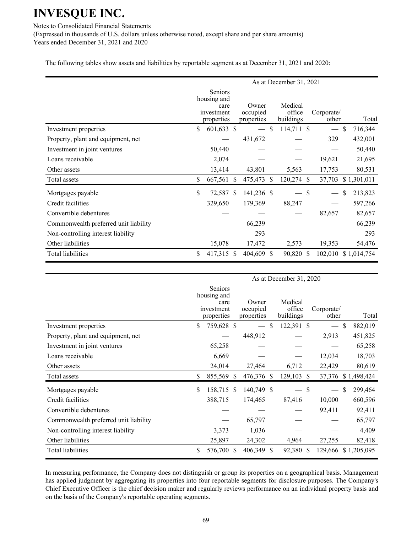Notes to Consolidated Financial Statements

(Expressed in thousands of U.S. dollars unless otherwise noted, except share and per share amounts) Years ended December 31, 2021 and 2020

The following tables show assets and liabilities by reportable segment as at December 31, 2021 and 2020:

|                                       | As at December 31, 2021                                    |              |                                 |               |                                |               |                          |               |             |
|---------------------------------------|------------------------------------------------------------|--------------|---------------------------------|---------------|--------------------------------|---------------|--------------------------|---------------|-------------|
|                                       | Seniors<br>housing and<br>care<br>investment<br>properties |              | Owner<br>occupied<br>properties |               | Medical<br>office<br>buildings |               | Corporate/<br>other      |               | Total       |
| Investment properties                 | \$<br>601,633 \$                                           |              |                                 | $\mathcal{S}$ | 114,711 \$                     |               | $\overline{\phantom{m}}$ | <sup>\$</sup> | 716,344     |
| Property, plant and equipment, net    |                                                            |              | 431,672                         |               |                                |               | 329                      |               | 432,001     |
| Investment in joint ventures          | 50,440                                                     |              |                                 |               |                                |               |                          |               | 50,440      |
| Loans receivable                      | 2,074                                                      |              |                                 |               |                                |               | 19,621                   |               | 21,695      |
| Other assets                          | 13,414                                                     |              | 43,801                          |               | 5,563                          |               | 17,753                   |               | 80,531      |
| Total assets                          | \$<br>667,561                                              | <sup>S</sup> | 475,473 \$                      |               | 120,274                        | <sup>\$</sup> | 37,703                   |               | \$1,301,011 |
| Mortgages payable                     | \$<br>72,587 \$                                            |              | 141,236 \$                      |               | $-$ \$                         |               |                          | \$            | 213,823     |
| Credit facilities                     | 329,650                                                    |              | 179,369                         |               | 88,247                         |               |                          |               | 597,266     |
| Convertible debentures                |                                                            |              |                                 |               |                                |               | 82,657                   |               | 82,657      |
| Commonwealth preferred unit liability |                                                            |              | 66,239                          |               |                                |               |                          |               | 66,239      |
| Non-controlling interest liability    |                                                            |              | 293                             |               |                                |               |                          |               | 293         |
| Other liabilities                     | 15,078                                                     |              | 17,472                          |               | 2,573                          |               | 19,353                   |               | 54,476      |
| <b>Total liabilities</b>              | \$<br>417,315 \$                                           |              | 404,609 \$                      |               | 90,820 \$                      |               | 102,010                  |               | \$1,014,754 |

|                                       | As at December 31, 2020 |                                                                   |   |                                 |              |                                |              |                          |               |             |
|---------------------------------------|-------------------------|-------------------------------------------------------------------|---|---------------------------------|--------------|--------------------------------|--------------|--------------------------|---------------|-------------|
|                                       |                         | <b>Seniors</b><br>housing and<br>care<br>investment<br>properties |   | Owner<br>occupied<br>properties |              | Medical<br>office<br>buildings |              | Corporate/<br>other      |               | Total       |
| Investment properties                 | \$                      | 759,628 \$                                                        |   |                                 | <sup>S</sup> | 122,391 \$                     |              | $\overline{\phantom{m}}$ | $\mathbb{S}$  | 882,019     |
| Property, plant and equipment, net    |                         |                                                                   |   | 448,912                         |              |                                |              | 2,913                    |               | 451,825     |
| Investment in joint ventures          |                         | 65,258                                                            |   |                                 |              |                                |              |                          |               | 65,258      |
| Loans receivable                      |                         | 6,669                                                             |   |                                 |              |                                |              | 12,034                   |               | 18,703      |
| Other assets                          |                         | 24,014                                                            |   | 27,464                          |              | 6,712                          |              | 22,429                   |               | 80,619      |
| Total assets                          | \$                      | 855,569 \$                                                        |   | 476,376 \$                      |              | 129,103                        | <sup>S</sup> | 37,376                   |               | \$1,498,424 |
| Mortgages payable                     | \$                      | 158,715 \$                                                        |   | 140,749 \$                      |              |                                | \$           |                          | <sup>\$</sup> | 299,464     |
| Credit facilities                     |                         | 388,715                                                           |   | 174,465                         |              | 87,416                         |              | 10,000                   |               | 660,596     |
| Convertible debentures                |                         |                                                                   |   |                                 |              |                                |              | 92,411                   |               | 92,411      |
| Commonwealth preferred unit liability |                         |                                                                   |   | 65,797                          |              |                                |              |                          |               | 65,797      |
| Non-controlling interest liability    |                         | 3,373                                                             |   | 1,036                           |              |                                |              |                          |               | 4,409       |
| Other liabilities                     |                         | 25,897                                                            |   | 24,302                          |              | 4,964                          |              | 27,255                   |               | 82,418      |
| <b>Total liabilities</b>              | \$                      | 576,700                                                           | S | 406,349 \$                      |              | 92,380                         | <sup>S</sup> | 129,666                  |               | \$1,205,095 |

In measuring performance, the Company does not distinguish or group its properties on a geographical basis. Management has applied judgment by aggregating its properties into four reportable segments for disclosure purposes. The Company's Chief Executive Officer is the chief decision maker and regularly reviews performance on an individual property basis and on the basis of the Company's reportable operating segments.